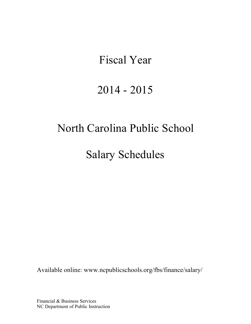# Fiscal Year

# 2014 - 2015

# North Carolina Public School

Salary Schedules

Available online: [www.ncpublicschools.org/fbs/finance/salary/](http://www.ncpublicschools.org/fbs/finance/salary/)

Financial & Business Services NC Department of Public Instruction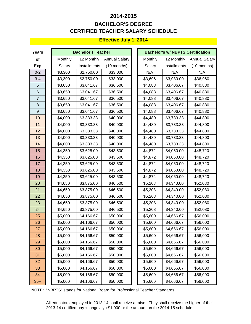# **CERTIFIED TEACHER SALARY SCHEDULE 2014-2015 BACHELOR'S DEGREE**

### **Effective July 1, 2014**

| <b>Years</b> |               | <b>Bachelor's Teacher</b> |                      | <b>Bachelor's w/ NBPTS Certification</b> |                     |                      |  |
|--------------|---------------|---------------------------|----------------------|------------------------------------------|---------------------|----------------------|--|
| of           | Monthly       | 12 Monthly                | <b>Annual Salary</b> | Monthly                                  | 12 Monthly          | <b>Annual Salary</b> |  |
| <b>Exp</b>   | <b>Salary</b> | <b>Installments</b>       | (10 months)          | <b>Salary</b>                            | <b>Installments</b> | $(10$ months)        |  |
| $0 - 2$      | \$3,300       | \$2,750.00                | \$33,000             | N/A                                      | N/A                 | N/A                  |  |
| $3 - 4$      | \$3,300       | \$2,750.00                | \$33,000             | \$3,696                                  | \$3,080.00          | \$36,960             |  |
| 5            | \$3,650       | \$3,041.67                | \$36,500             | \$4,088                                  | \$3,406.67          | \$40,880             |  |
| 6            | \$3,650       | \$3,041.67                | \$36,500             | \$4,088                                  | \$3,406.67          | \$40,880             |  |
| 7            | \$3,650       | \$3,041.67                | \$36,500             | \$4,088                                  | \$3,406.67          | \$40,880             |  |
| 8            | \$3,650       | \$3,041.67                | \$36,500             | \$4,088                                  | \$3,406.67          | \$40,880             |  |
| 9            | \$3,650       | \$3,041.67                | \$36,500             | \$4,088                                  | \$3,406.67          | \$40,880             |  |
| 10           | \$4,000       | \$3,333.33                | \$40,000             | \$4,480                                  | \$3,733.33          | \$44,800             |  |
| 11           | \$4,000       | \$3,333.33                | \$40,000             | \$4,480                                  | \$3,733.33          | \$44,800             |  |
| 12           | \$4,000       | \$3,333.33                | \$40,000             | \$4,480                                  | \$3,733.33          | \$44,800             |  |
| 13           | \$4,000       | \$3,333.33                | \$40,000             | \$4,480                                  | \$3,733.33          | \$44,800             |  |
| 14           | \$4,000       | \$3,333.33                | \$40,000             | \$4,480                                  | \$3,733.33          | \$44,800             |  |
| 15           | \$4,350       | \$3,625.00                | \$43,500             | \$4,872                                  | \$4,060.00          | \$48,720             |  |
| 16           | \$4,350       | \$3,625.00                | \$43,500             | \$4,872                                  | \$4,060.00          | \$48,720             |  |
| 17           | \$4,350       | \$3,625.00                | \$43,500             | \$4,872                                  | \$4,060.00          | \$48,720             |  |
| 18           | \$4,350       | \$3,625.00                | \$43,500             | \$4,872                                  | \$4,060.00          | \$48,720             |  |
| 19           | \$4,350       | \$3,625.00                | \$43,500             | \$4,872                                  | \$4,060.00          | \$48,720             |  |
| 20           | \$4,650       | \$3,875.00                | \$46,500             | \$5,208                                  | \$4,340.00          | \$52,080             |  |
| 21           | \$4,650       | \$3,875.00                | \$46,500             | \$5,208                                  | \$4,340.00          | \$52,080             |  |
| 22           | \$4,650       | \$3,875.00                | \$46,500             | \$5,208                                  | \$4,340.00          | \$52,080             |  |
| 23           | \$4,650       | \$3,875.00                | \$46,500             | \$5,208                                  | \$4,340.00          | \$52,080             |  |
| 24           | \$4,650       | \$3,875.00                | \$46,500             | \$5,208                                  | \$4,340.00          | \$52,080             |  |
| 25           | \$5,000       | \$4,166.67                | \$50,000             | \$5,600                                  | \$4,666.67          | \$56,000             |  |
| 26           | \$5,000       | \$4,166.67                | \$50,000             | \$5,600                                  | \$4,666.67          | \$56,000             |  |
| 27           | \$5,000       | \$4,166.67                | \$50,000             | \$5,600                                  | \$4,666.67          | \$56,000             |  |
| 28           | \$5,000       | \$4,166.67                | \$50,000             | \$5,600                                  | \$4,666.67          | \$56,000             |  |
| 29           | \$5,000       | \$4,166.67                | \$50,000             | \$5,600                                  | \$4,666.67          | \$56,000             |  |
| 30           | \$5,000       | \$4,166.67                | \$50,000             | \$5,600                                  | \$4,666.67          | \$56,000             |  |
| 31           | \$5,000       | \$4,166.67                | \$50,000             | \$5,600                                  | \$4,666.67          | \$56,000             |  |
| 32           | \$5,000       | \$4,166.67                | \$50,000             | \$5,600                                  | \$4,666.67          | \$56,000             |  |
| 33           | \$5,000       | \$4,166.67                | \$50,000             | \$5,600                                  | \$4,666.67          | \$56,000             |  |
| 34           | \$5,000       | \$4,166.67                | \$50,000             | \$5,600                                  | \$4,666.67          | \$56,000             |  |
| $35+$        | \$5,000       | \$4,166.67                | \$50,000             | \$5,600                                  | \$4,666.67          | \$56,000             |  |

**NOTE:** "NBPTS" stands for National Board for Professional Teacher Standards.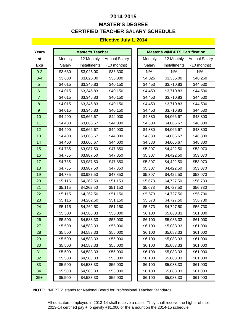# **CERTIFIED TEACHER SALARY SCHEDULE 2014-2015 MASTER'S DEGREE**

### **Effective July 1, 2014**

| <b>Years</b>   |         | <b>Master's Teacher</b> |                      |         | <b>Master's w/NBPTS Certification</b> |                      |
|----------------|---------|-------------------------|----------------------|---------|---------------------------------------|----------------------|
| of             | Monthly | 12 Monthly              | <b>Annual Salary</b> | Monthly | 12 Monthly                            | <b>Annual Salary</b> |
| <b>Exp</b>     | Salary  | <b>Installments</b>     | (10 months)          | Salary  | <b>Installments</b>                   | (10 months)          |
| $0 - 2$        | \$3,630 | \$3,025.00              | \$36,300             | N/A     | N/A                                   | N/A                  |
| $3 - 4$        | \$3,630 | \$3,025.00              | \$36,300             | \$4,026 | \$3,355.00                            | \$40,260             |
| 5              | \$4,015 | \$3,345.83              | \$40,150             | \$4,453 | \$3,710.83                            | \$44,530             |
| $6\phantom{1}$ | \$4,015 | \$3,345.83              | \$40,150             | \$4,453 | \$3,710.83                            | \$44,530             |
| $\overline{7}$ | \$4,015 | \$3,345.83              | \$40,150             | \$4,453 | \$3,710.83                            | \$44,530             |
| 8              | \$4,015 | \$3,345.83              | \$40,150             | \$4,453 | \$3,710.83                            | \$44,530             |
| 9              | \$4,015 | \$3,345.83              | \$40,150             | \$4,453 | \$3,710.83                            | \$44,530             |
| 10             | \$4,400 | \$3,666.67              | \$44,000             | \$4,880 | \$4,066.67                            | \$48,800             |
| 11             | \$4,400 | \$3,666.67              | \$44,000             | \$4,880 | \$4,066.67                            | \$48,800             |
| 12             | \$4,400 | \$3,666.67              | \$44,000             | \$4,880 | \$4,066.67                            | \$48,800             |
| 13             | \$4,400 | \$3,666.67              | \$44,000             | \$4,880 | \$4,066.67                            | \$48,800             |
| 14             | \$4,400 | \$3,666.67              | \$44,000             | \$4,880 | \$4,066.67                            | \$48,800             |
| 15             | \$4,785 | \$3,987.50              | \$47,850             | \$5,307 | \$4,422.50                            | \$53,070             |
| 16             | \$4,785 | \$3,987.50              | \$47,850             | \$5,307 | \$4,422.50                            | \$53,070             |
| 17             | \$4,785 | \$3,987.50              | \$47,850             | \$5,307 | \$4,422.50                            | \$53,070             |
| 18             | \$4,785 | \$3,987.50              | \$47,850             | \$5,307 | \$4,422.50                            | \$53,070             |
| 19             | \$4,785 | \$3,987.50              | \$47,850             | \$5,307 | \$4,422.50                            | \$53,070             |
| 20             | \$5,115 | \$4,262.50              | \$51,150             | \$5,673 | \$4,727.50                            | \$56,730             |
| 21             | \$5,115 | \$4,262.50              | \$51,150             | \$5,673 | \$4,727.50                            | \$56,730             |
| 22             | \$5,115 | \$4,262.50              | \$51,150             | \$5,673 | \$4,727.50                            | \$56,730             |
| 23             | \$5,115 | \$4,262.50              | \$51,150             | \$5,673 | \$4,727.50                            | \$56,730             |
| 24             | \$5,115 | \$4,262.50              | \$51,150             | \$5,673 | \$4,727.50                            | \$56,730             |
| 25             | \$5,500 | \$4,583.33              | \$55,000             | \$6,100 | \$5,083.33                            | \$61,000             |
| 26             | \$5,500 | \$4,583.33              | \$55,000             | \$6,100 | \$5,083.33                            | \$61,000             |
| 27             | \$5,500 | \$4,583.33              | \$55,000             | \$6,100 | \$5,083.33                            | \$61,000             |
| 28             | \$5,500 | \$4,583.33              | \$55,000             | \$6,100 | \$5,083.33                            | \$61,000             |
| 29             | \$5,500 | \$4,583.33              | \$55,000             | \$6,100 | \$5,083.33                            | \$61,000             |
| 30             | \$5,500 | \$4,583.33              | \$55,000             | \$6,100 | \$5,083.33                            | \$61,000             |
| 31             | \$5,500 | \$4,583.33              | \$55,000             | \$6,100 | \$5,083.33                            | \$61,000             |
| 32             | \$5,500 | \$4,583.33              | \$55,000             | \$6,100 | \$5,083.33                            | \$61,000             |
| 33             | \$5,500 | \$4,583.33              | \$55,000             | \$6,100 | \$5,083.33                            | \$61,000             |
| 34             | \$5,500 | \$4,583.33              | \$55,000             | \$6,100 | \$5,083.33                            | \$61,000             |
| $35+$          | \$5,500 | \$4,583.33              | \$55,000             | \$6,100 | \$5,083.33                            | \$61,000             |

**NOTE:** "NBPTS" stands for National Board for Professional Teacher Standards.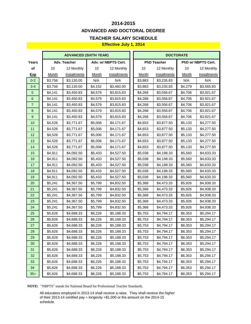# **2014-2015 ADVANCED AND DOCTORAL DEGREE**

### **TEACHER SALARY SCHEDULE**

### **Effective July 1, 2014**

|                  | <b>ADVANCED (SIXTH YEAR)</b> |              |              |                     | <b>DOCTORATE</b> |                    |              |                    |  |
|------------------|------------------------------|--------------|--------------|---------------------|------------------|--------------------|--------------|--------------------|--|
| Years            |                              | Adv. Teacher |              | Adv. w/ NBPTS Cert. |                  | <b>PhD Teacher</b> |              | PhD w/ NBPTS Cert. |  |
| of               | 10                           | 12 Monthly   | 10           | 12 Monthly          | $10$             | 12 Monthly         | $10$         | 12 Monthly         |  |
| <b>Exp</b>       | <b>Month</b>                 | Installments | <b>Month</b> | Installments        | <b>Month</b>     | Installments       | <b>Month</b> | Installments       |  |
| $0 - 2$          | \$3,756                      | \$3,130.00   | N/A          | N/A                 | \$3,883          | \$3,235.83         | N/A          | N/A                |  |
| $3 - 4$          | \$3,756                      | \$3,130.00   | \$4,152      | \$3,460.00          | \$3,883          | \$3,235.83         | \$4,279      | \$3,565.83         |  |
| $\overline{5}$   | \$4,141                      | \$3,450.83   | \$4,579      | \$3,815.83          | \$4,268          | \$3,556.67         | \$4,706      | \$3,921.67         |  |
| $\,6\,$          | \$4,141                      | \$3,450.83   | \$4,579      | \$3,815.83          | \$4,268          | \$3,556.67         | \$4,706      | \$3,921.67         |  |
| $\overline{7}$   | \$4,141                      | \$3,450.83   | \$4,579      | \$3,815.83          | \$4,268          | \$3,556.67         | \$4,706      | \$3,921.67         |  |
| $\bf 8$          | \$4,141                      | \$3,450.83   | \$4,579      | \$3,815.83          | \$4,268          | \$3,556.67         | \$4,706      | \$3,921.67         |  |
| $\boldsymbol{9}$ | \$4,141                      | \$3,450.83   | \$4,579      | \$3,815.83          | \$4,268          | \$3,556.67         | \$4,706      | \$3,921.67         |  |
| 10               | \$4,526                      | \$3,771.67   | \$5,006      | \$4,171.67          | \$4,653          | \$3,877.50         | \$5,133      | \$4,277.50         |  |
| 11               | \$4,526                      | \$3,771.67   | \$5,006      | \$4,171.67          | \$4,653          | \$3,877.50         | \$5,133      | \$4,277.50         |  |
| 12               | \$4,526                      | \$3,771.67   | \$5,006      | \$4,171.67          | \$4,653          | \$3,877.50         | \$5,133      | \$4,277.50         |  |
| 13               | \$4,526                      | \$3,771.67   | \$5,006      | \$4,171.67          | \$4,653          | \$3,877.50         | \$5,133      | \$4,277.50         |  |
| 14               | \$4,526                      | \$3,771.67   | \$5,006      | \$4,171.67          | \$4,653          | \$3,877.50         | \$5,133      | \$4,277.50         |  |
| 15               | \$4,911                      | \$4,092.50   | \$5,433      | \$4,527.50          | \$5,038          | \$4,198.33         | \$5,560      | \$4,633.33         |  |
| 16               | \$4,911                      | \$4,092.50   | \$5,433      | \$4,527.50          | \$5,038          | \$4,198.33         | \$5,560      | \$4,633.33         |  |
| 17               | \$4,911                      | \$4,092.50   | \$5,433      | \$4,527.50          | \$5,038          | \$4,198.33         | \$5,560      | \$4,633.33         |  |
| 18               | \$4,911                      | \$4,092.50   | \$5,433      | \$4,527.50          | \$5,038          | \$4,198.33         | \$5,560      | \$4,633.33         |  |
| 19               | \$4,911                      | \$4,092.50   | \$5,433      | \$4,527.50          | \$5,038          | \$4,198.33         | \$5,560      | \$4,633.33         |  |
| 20               | \$5,241                      | \$4,367.50   | \$5,799      | \$4,832.50          | \$5,368          | \$4,473.33         | \$5,926      | \$4,938.33         |  |
| 21               | \$5,241                      | \$4,367.50   | \$5,799      | \$4,832.50          | \$5,368          | \$4,473.33         | \$5,926      | \$4,938.33         |  |
| 22               | \$5,241                      | \$4,367.50   | \$5,799      | \$4,832.50          | \$5,368          | \$4,473.33         | \$5,926      | \$4,938.33         |  |
| 23               | \$5,241                      | \$4,367.50   | \$5,799      | \$4,832.50          | \$5,368          | \$4,473.33         | \$5,926      | \$4,938.33         |  |
| 24               | \$5,241                      | \$4,367.50   | \$5,799      | \$4,832.50          | \$5,368          | \$4,473.33         | \$5,926      | \$4,938.33         |  |
| 25               | \$5,626                      | \$4,688.33   | \$6,226      | \$5,188.33          | \$5,753          | \$4,794.17         | \$6,353      | \$5,294.17         |  |
| 26               | \$5,626                      | \$4,688.33   | \$6,226      | \$5,188.33          | \$5,753          | \$4,794.17         | \$6,353      | \$5,294.17         |  |
| 27               | \$5,626                      | \$4,688.33   | \$6,226      | \$5,188.33          | \$5,753          | \$4,794.17         | \$6,353      | \$5,294.17         |  |
| 28               | \$5,626                      | \$4,688.33   | \$6,226      | \$5,188.33          | \$5,753          | \$4,794.17         | \$6,353      | \$5,294.17         |  |
| 29               | \$5,626                      | \$4,688.33   | \$6,226      | \$5,188.33          | \$5,753          | \$4,794.17         | \$6,353      | \$5,294.17         |  |
| 30               | \$5,626                      | \$4,688.33   | \$6,226      | \$5,188.33          | \$5,753          | \$4,794.17         | \$6,353      | \$5,294.17         |  |
| 31               | \$5,626                      | \$4,688.33   | \$6,226      | \$5,188.33          | \$5,753          | \$4,794.17         | \$6,353      | \$5,294.17         |  |
| 32               | \$5,626                      | \$4,688.33   | \$6,226      | \$5,188.33          | \$5,753          | \$4,794.17         | \$6,353      | \$5,294.17         |  |
| 33               | \$5,626                      | \$4,688.33   | \$6,226      | \$5,188.33          | \$5,753          | \$4,794.17         | \$6,353      | \$5,294.17         |  |
| 34               | \$5,626                      | \$4,688.33   | \$6,226      | \$5,188.33          | \$5,753          | \$4,794.17         | \$6,353      | \$5,294.17         |  |
| $35+$            | \$5,626                      | \$4,688.33   | \$6,226      | \$5,188.33          | \$5,753          | \$4,794.17         | \$6,353      | \$5,294.17         |  |

**NOTE:** "NBPTS" stands for National Board for Professional Teacher Standards.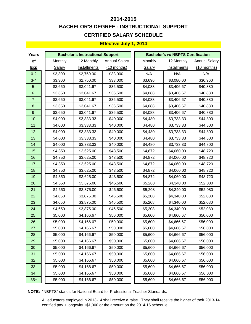# **CERTIFIED SALARY SCHEDULE 2014-2015 BACHELOR'S DEGREE - INSTRUCTIONAL SUPPORT**

### **Effective July 1, 2014**

| <b>Years</b>     |         | <b>Bachelor's Instructional Support</b> |                      |               | <b>Bachelor's w/ NBPTS Certification</b> |                      |
|------------------|---------|-----------------------------------------|----------------------|---------------|------------------------------------------|----------------------|
| of               | Monthly | 12 Monthly                              | <b>Annual Salary</b> | Monthly       | 12 Monthly                               | <b>Annual Salary</b> |
| <b>Exp</b>       | Salary  | <b>Installments</b>                     | (10 months)          | <b>Salary</b> | <b>Installments</b>                      | $(10$ months)        |
| $0 - 2$          | \$3,300 | \$2,750.00                              | \$33,000             | N/A           | N/A                                      | N/A                  |
| $3 - 4$          | \$3,300 | \$2,750.00                              | \$33,000             | \$3,696       | \$3,080.00                               | \$36,960             |
| 5                | \$3,650 | \$3,041.67                              | \$36,500             | \$4,088       | \$3,406.67                               | \$40,880             |
| $\,6$            | \$3,650 | \$3,041.67                              | \$36,500             | \$4,088       | \$3,406.67                               | \$40,880             |
| $\overline{7}$   | \$3,650 | \$3,041.67                              | \$36,500             | \$4,088       | \$3,406.67                               | \$40,880             |
| $\bf 8$          | \$3,650 | \$3,041.67                              | \$36,500             | \$4,088       | \$3,406.67                               | \$40,880             |
| $\boldsymbol{9}$ | \$3,650 | \$3,041.67                              | \$36,500             | \$4,088       | \$3,406.67                               | \$40,880             |
| 10               | \$4,000 | \$3,333.33                              | \$40,000             | \$4,480       | \$3,733.33                               | \$44,800             |
| 11               | \$4,000 | \$3,333.33                              | \$40,000             | \$4,480       | \$3,733.33                               | \$44,800             |
| 12               | \$4,000 | \$3,333.33                              | \$40,000             | \$4,480       | \$3,733.33                               | \$44,800             |
| 13               | \$4,000 | \$3,333.33                              | \$40,000             | \$4,480       | \$3,733.33                               | \$44,800             |
| 14               | \$4,000 | \$3,333.33                              | \$40,000             | \$4,480       | \$3,733.33                               | \$44,800             |
| 15               | \$4,350 | \$3,625.00                              | \$43,500             | \$4,872       | \$4,060.00                               | \$48,720             |
| 16               | \$4,350 | \$3,625.00                              | \$43,500             | \$4,872       | \$4,060.00                               | \$48,720             |
| 17               | \$4,350 | \$3,625.00                              | \$43,500             | \$4,872       | \$4,060.00                               | \$48,720             |
| 18               | \$4,350 | \$3,625.00                              | \$43,500             | \$4,872       | \$4,060.00                               | \$48,720             |
| 19               | \$4,350 | \$3,625.00                              | \$43,500             | \$4,872       | \$4,060.00                               | \$48,720             |
| 20               | \$4,650 | \$3,875.00                              | \$46,500             | \$5,208       | \$4,340.00                               | \$52,080             |
| 21               | \$4,650 | \$3,875.00                              | \$46,500             | \$5,208       | \$4,340.00                               | \$52,080             |
| 22               | \$4,650 | \$3,875.00                              | \$46,500             | \$5,208       | \$4,340.00                               | \$52,080             |
| 23               | \$4,650 | \$3,875.00                              | \$46,500             | \$5,208       | \$4,340.00                               | \$52,080             |
| 24               | \$4,650 | \$3,875.00                              | \$46,500             | \$5,208       | \$4,340.00                               | \$52,080             |
| 25               | \$5,000 | \$4,166.67                              | \$50,000             | \$5,600       | \$4,666.67                               | \$56,000             |
| 26               | \$5,000 | \$4,166.67                              | \$50,000             | \$5,600       | \$4,666.67                               | \$56,000             |
| 27               | \$5,000 | \$4,166.67                              | \$50,000             | \$5,600       | \$4,666.67                               | \$56,000             |
| 28               | \$5,000 | \$4,166.67                              | \$50,000             | \$5,600       | \$4,666.67                               | \$56,000             |
| 29               | \$5,000 | \$4,166.67                              | \$50,000             | \$5,600       | \$4,666.67                               | \$56,000             |
| 30               | \$5,000 | \$4,166.67                              | \$50,000             | \$5,600       | \$4,666.67                               | \$56,000             |
| 31               | \$5,000 | \$4,166.67                              | \$50,000             | \$5,600       | \$4,666.67                               | \$56,000             |
| 32               | \$5,000 | \$4,166.67                              | \$50,000             | \$5,600       | \$4,666.67                               | \$56,000             |
| 33               | \$5,000 | \$4,166.67                              | \$50,000             | \$5,600       | \$4,666.67                               | \$56,000             |
| 34               | \$5,000 | \$4,166.67                              | \$50,000             | \$5,600       | \$4,666.67                               | \$56,000             |
| $35+$            | \$5,000 | \$4,166.67                              | \$50,000             | \$5,600       | \$4,666.67                               | \$56,000             |

**NOTE:** "NBPTS" stands for National Board for Professional Teacher Standards.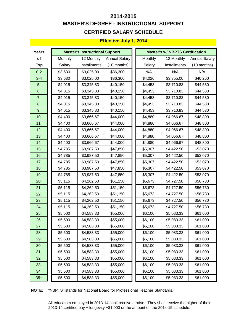# **MASTER'S DEGREE - INSTRUCTIONAL SUPPORT CERTIFIED SALARY SCHEDULE 2014-2015**

#### **Effective July 1, 2014**

| Years            |         | <b>Master's Instructional Support</b> |                      |         | <b>Master's w/ NBPTS Certification</b> |                      |
|------------------|---------|---------------------------------------|----------------------|---------|----------------------------------------|----------------------|
| of               | Monthly | 12 Monthly                            | <b>Annual Salary</b> | Monthly | 12 Monthly                             | <b>Annual Salary</b> |
| <b>Exp</b>       | Salary  | <b>Installments</b>                   | $(10$ months)        | Salary  | Installments                           | $(10$ months)        |
| $0 - 2$          | \$3,630 | \$3,025.00                            | \$36,300             | N/A     | N/A                                    | N/A                  |
| $3 - 4$          | \$3,630 | \$3,025.00                            | \$36,300             | \$4,026 | \$3,355.00                             | \$40,260             |
| $\overline{5}$   | \$4,015 | \$3,345.83                            | \$40,150             | \$4,453 | \$3,710.83                             | \$44,530             |
| $6\phantom{1}$   | \$4,015 | \$3,345.83                            | \$40,150             | \$4,453 | \$3,710.83                             | \$44,530             |
| $\overline{7}$   | \$4,015 | \$3,345.83                            | \$40,150             | \$4,453 | \$3,710.83                             | \$44,530             |
| $\bf 8$          | \$4,015 | \$3,345.83                            | \$40,150             | \$4,453 | \$3,710.83                             | \$44,530             |
| $\boldsymbol{9}$ | \$4,015 | \$3,345.83                            | \$40,150             | \$4,453 | \$3,710.83                             | \$44,530             |
| 10               | \$4,400 | \$3,666.67                            | \$44,000             | \$4,880 | \$4,066.67                             | \$48,800             |
| 11               | \$4,400 | \$3,666.67                            | \$44,000             | \$4,880 | \$4,066.67                             | \$48,800             |
| 12               | \$4,400 | \$3,666.67                            | \$44,000             | \$4,880 | \$4,066.67                             | \$48,800             |
| 13               | \$4,400 | \$3,666.67                            | \$44,000             | \$4,880 | \$4,066.67                             | \$48,800             |
| 14               | \$4,400 | \$3,666.67                            | \$44,000             | \$4,880 | \$4,066.67                             | \$48,800             |
| 15               | \$4,785 | \$3,987.50                            | \$47,850             | \$5,307 | \$4,422.50                             | \$53,070             |
| 16               | \$4,785 | \$3,987.50                            | \$47,850             | \$5,307 | \$4,422.50                             | \$53,070             |
| 17               | \$4,785 | \$3,987.50                            | \$47,850             | \$5,307 | \$4,422.50                             | \$53,070             |
| 18               | \$4,785 | \$3,987.50                            | \$47,850             | \$5,307 | \$4,422.50                             | \$53,070             |
| 19               | \$4,785 | \$3,987.50                            | \$47,850             | \$5,307 | \$4,422.50                             | \$53,070             |
| 20               | \$5,115 | \$4,262.50                            | \$51,150             | \$5,673 | \$4,727.50                             | \$56,730             |
| 21               | \$5,115 | \$4,262.50                            | \$51,150             | \$5,673 | \$4,727.50                             | \$56,730             |
| 22               | \$5,115 | \$4,262.50                            | \$51,150             | \$5,673 | \$4,727.50                             | \$56,730             |
| 23               | \$5,115 | \$4,262.50                            | \$51,150             | \$5,673 | \$4,727.50                             | \$56,730             |
| 24               | \$5,115 | \$4,262.50                            | \$51,150             | \$5,673 | \$4,727.50                             | \$56,730             |
| 25               | \$5,500 | \$4,583.33                            | \$55,000             | \$6,100 | \$5,083.33                             | \$61,000             |
| 26               | \$5,500 | \$4,583.33                            | \$55,000             | \$6,100 | \$5,083.33                             | \$61,000             |
| 27               | \$5,500 | \$4,583.33                            | \$55,000             | \$6,100 | \$5,083.33                             | \$61,000             |
| 28               | \$5,500 | \$4,583.33                            | \$55,000             | \$6,100 | \$5,083.33                             | \$61,000             |
| 29               | \$5,500 | \$4,583.33                            | \$55,000             | \$6,100 | \$5,083.33                             | \$61,000             |
| 30               | \$5,500 | \$4,583.33                            | \$55,000             | \$6,100 | \$5,083.33                             | \$61,000             |
| 31               | \$5,500 | \$4,583.33                            | \$55,000             | \$6,100 | \$5,083.33                             | \$61,000             |
| 32               | \$5,500 | \$4,583.33                            | \$55,000             | \$6,100 | \$5,083.33                             | \$61,000             |
| 33               | \$5,500 | \$4,583.33                            | \$55,000             | \$6,100 | \$5,083.33                             | \$61,000             |
| 34               | \$5,500 | \$4,583.33                            | \$55,000             | \$6,100 | \$5,083.33                             | \$61,000             |
| $35+$            | \$5,500 | \$4,583.33                            | \$55,000             | \$6,100 | \$5,083.33                             | \$61,000             |

**NOTE:** "NBPTS" stands for National Board for Professional Teacher Standards.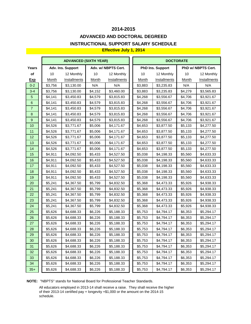### **ADVANCED AND DOCTORAL DEGREED INSTRUCTIONAL SUPPORT SALARY SCHEDULE**

#### **Effective July 1, 2014**

|                  | <b>ADVANCED (SIXTH YEAR)</b> |                   |         |                     |  | <b>DOCTORATE</b> |                         |         |                    |  |  |
|------------------|------------------------------|-------------------|---------|---------------------|--|------------------|-------------------------|---------|--------------------|--|--|
| Years            |                              | Adv. Ins. Support |         | Adv. w/ NBPTS Cert. |  |                  | <b>PhD Ins. Support</b> |         | PhD w/ NBPTS Cert. |  |  |
| of               | 10                           | 12 Monthly        | 10      | 12 Monthly          |  | 10               | 12 Monthly              | 10      | 12 Monthly         |  |  |
| <u>Exp</u>       | Month                        | Installments      | Month   | Installments        |  | Month            | Installments            | Month   | Installments       |  |  |
| $0 - 2$          | \$3,756                      | \$3,130.00        | N/A     | N/A                 |  | \$3,883          | \$3,235.83              | N/A     | N/A                |  |  |
| $3 - 4$          | \$3,756                      | \$3,130.00        | \$4,152 | \$3,460.00          |  | \$3,883          | \$3,235.83              | \$4,279 | \$3,565.83         |  |  |
| $5\phantom{1}$   | \$4,141                      | \$3,450.83        | \$4,579 | \$3,815.83          |  | \$4,268          | \$3,556.67              | \$4,706 | \$3,921.67         |  |  |
| $\,6\,$          | \$4,141                      | \$3,450.83        | \$4,579 | \$3,815.83          |  | \$4,268          | \$3,556.67              | \$4,706 | \$3,921.67         |  |  |
| $\boldsymbol{7}$ | \$4,141                      | \$3,450.83        | \$4,579 | \$3,815.83          |  | \$4,268          | \$3,556.67              | \$4,706 | \$3,921.67         |  |  |
| $\bf 8$          | \$4,141                      | \$3,450.83        | \$4,579 | \$3,815.83          |  | \$4,268          | \$3,556.67              | \$4,706 | \$3,921.67         |  |  |
| $\boldsymbol{9}$ | \$4,141                      | \$3,450.83        | \$4,579 | \$3,815.83          |  | \$4,268          | \$3,556.67              | \$4,706 | \$3,921.67         |  |  |
| 10               | \$4,526                      | \$3,771.67        | \$5,006 | \$4,171.67          |  | \$4,653          | \$3,877.50              | \$5,133 | \$4,277.50         |  |  |
| 11               | \$4,526                      | \$3,771.67        | \$5,006 | \$4,171.67          |  | \$4,653          | \$3,877.50              | \$5,133 | \$4,277.50         |  |  |
| 12               | \$4,526                      | \$3,771.67        | \$5,006 | \$4,171.67          |  | \$4,653          | \$3,877.50              | \$5,133 | \$4,277.50         |  |  |
| 13               | \$4,526                      | \$3,771.67        | \$5,006 | \$4,171.67          |  | \$4,653          | \$3,877.50              | \$5,133 | \$4,277.50         |  |  |
| 14               | \$4,526                      | \$3,771.67        | \$5,006 | \$4,171.67          |  | \$4,653          | \$3,877.50              | \$5,133 | \$4,277.50         |  |  |
| 15               | \$4,911                      | \$4,092.50        | \$5,433 | \$4,527.50          |  | \$5,038          | \$4,198.33              | \$5,560 | \$4,633.33         |  |  |
| 16               | \$4,911                      | \$4,092.50        | \$5,433 | \$4,527.50          |  | \$5,038          | \$4,198.33              | \$5,560 | \$4,633.33         |  |  |
| 17               | \$4,911                      | \$4,092.50        | \$5,433 | \$4,527.50          |  | \$5,038          | \$4,198.33              | \$5,560 | \$4,633.33         |  |  |
| 18               | \$4,911                      | \$4,092.50        | \$5,433 | \$4,527.50          |  | \$5,038          | \$4,198.33              | \$5,560 | \$4,633.33         |  |  |
| 19               | \$4,911                      | \$4,092.50        | \$5,433 | \$4,527.50          |  | \$5,038          | \$4,198.33              | \$5,560 | \$4,633.33         |  |  |
| 20               | \$5,241                      | \$4,367.50        | \$5,799 | \$4,832.50          |  | \$5,368          | \$4,473.33              | \$5,926 | \$4,938.33         |  |  |
| 21               | \$5,241                      | \$4,367.50        | \$5,799 | \$4,832.50          |  | \$5,368          | \$4,473.33              | \$5,926 | \$4,938.33         |  |  |
| 22               | \$5,241                      | \$4,367.50        | \$5,799 | \$4,832.50          |  | \$5,368          | \$4,473.33              | \$5,926 | \$4,938.33         |  |  |
| 23               | \$5,241                      | \$4,367.50        | \$5,799 | \$4,832.50          |  | \$5,368          | \$4,473.33              | \$5,926 | \$4,938.33         |  |  |
| 24               | \$5,241                      | \$4,367.50        | \$5,799 | \$4,832.50          |  | \$5,368          | \$4,473.33              | \$5,926 | \$4,938.33         |  |  |
| 25               | \$5,626                      | \$4,688.33        | \$6,226 | \$5,188.33          |  | \$5,753          | \$4,794.17              | \$6,353 | \$5,294.17         |  |  |
| 26               | \$5,626                      | \$4,688.33        | \$6,226 | \$5,188.33          |  | \$5,753          | \$4,794.17              | \$6,353 | \$5,294.17         |  |  |
| 27               | \$5,626                      | \$4,688.33        | \$6,226 | \$5,188.33          |  | \$5,753          | \$4,794.17              | \$6,353 | \$5,294.17         |  |  |
| 28               | \$5,626                      | \$4,688.33        | \$6,226 | \$5,188.33          |  | \$5,753          | \$4,794.17              | \$6,353 | \$5,294.17         |  |  |
| 29               | \$5,626                      | \$4,688.33        | \$6,226 | \$5,188.33          |  | \$5,753          | \$4,794.17              | \$6,353 | \$5,294.17         |  |  |
| 30               | \$5,626                      | \$4,688.33        | \$6,226 | \$5,188.33          |  | \$5,753          | \$4,794.17              | \$6,353 | \$5,294.17         |  |  |
| 31               | \$5,626                      | \$4,688.33        | \$6,226 | \$5,188.33          |  | \$5,753          | \$4,794.17              | \$6,353 | \$5,294.17         |  |  |
| 32               | \$5,626                      | \$4,688.33        | \$6,226 | \$5,188.33          |  | \$5,753          | \$4,794.17              | \$6,353 | \$5,294.17         |  |  |
| 33               | \$5,626                      | \$4,688.33        | \$6,226 | \$5,188.33          |  | \$5,753          | \$4,794.17              | \$6,353 | \$5,294.17         |  |  |
| 34               | \$5,626                      | \$4,688.33        | \$6,226 | \$5,188.33          |  | \$5,753          | \$4,794.17              | \$6,353 | \$5,294.17         |  |  |
| $35+$            | \$5,626                      | \$4,688.33        | \$6,226 | \$5,188.33          |  | \$5,753          | \$4,794.17              | \$6,353 | \$5,294.17         |  |  |

**NOTE:** "NBPTS" stands for National Board for Professional Teacher Standards.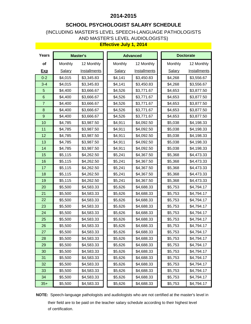### **SCHOOL PSYCHOLOGIST SALARY SCHEDULE**

### (INCLUDING MASTER'S LEVEL SPEECH-LANGUAGE PATHOLOGISTS AND MASTER'S LEVEL AUDIOLOGISTS)

#### **Effective July 1, 2014**

| Years            |         | <b>Master's</b>     | <b>Advanced</b> |              | <b>Doctorate</b> |                     |
|------------------|---------|---------------------|-----------------|--------------|------------------|---------------------|
| of               | Monthly | 12 Monthly          | Monthly         | 12 Monthly   | Monthly          | 12 Monthly          |
| <b>Exp</b>       | Salary  | <b>Installments</b> | Salary          | Installments | <b>Salary</b>    | <b>Installments</b> |
| $0 - 2$          | \$4,015 | \$3,345.83          | \$4,141         | \$3,450.83   | \$4,268          | \$3,556.67          |
| $3 - 4$          | \$4,015 | \$3,345.83          | \$4,141         | \$3,450.83   | \$4,268          | \$3,556.67          |
| $\sqrt{5}$       | \$4,400 | \$3,666.67          | \$4,526         | \$3,771.67   | \$4,653          | \$3,877.50          |
| $\,$ 6 $\,$      | \$4,400 | \$3,666.67          | \$4,526         | \$3,771.67   | \$4,653          | \$3,877.50          |
| $\overline{7}$   | \$4,400 | \$3,666.67          | \$4,526         | \$3,771.67   | \$4,653          | \$3,877.50          |
| $\bf8$           | \$4,400 | \$3,666.67          | \$4,526         | \$3,771.67   | \$4,653          | \$3,877.50          |
| $\boldsymbol{9}$ | \$4,400 | \$3,666.67          | \$4,526         | \$3,771.67   | \$4,653          | \$3,877.50          |
| 10               | \$4,785 | \$3,987.50          | \$4,911         | \$4,092.50   | \$5,038          | \$4,198.33          |
| 11               | \$4,785 | \$3,987.50          | \$4,911         | \$4,092.50   | \$5,038          | \$4,198.33          |
| 12               | \$4,785 | \$3,987.50          | \$4,911         | \$4,092.50   | \$5,038          | \$4,198.33          |
| 13               | \$4,785 | \$3,987.50          | \$4,911         | \$4,092.50   | \$5,038          | \$4,198.33          |
| 14               | \$4,785 | \$3,987.50          | \$4,911         | \$4,092.50   | \$5,038          | \$4,198.33          |
| 15               | \$5,115 | \$4,262.50          | \$5,241         | \$4,367.50   | \$5,368          | \$4,473.33          |
| 16               | \$5,115 | \$4,262.50          | \$5,241         | \$4,367.50   | \$5,368          | \$4,473.33          |
| 17               | \$5,115 | \$4,262.50          | \$5,241         | \$4,367.50   | \$5,368          | \$4,473.33          |
| 18               | \$5,115 | \$4,262.50          | \$5,241         | \$4,367.50   | \$5,368          | \$4,473.33          |
| 19               | \$5,115 | \$4,262.50          | \$5,241         | \$4,367.50   | \$5,368          | \$4,473.33          |
| 20               | \$5,500 | \$4,583.33          | \$5,626         | \$4,688.33   | \$5,753          | \$4,794.17          |
| 21               | \$5,500 | \$4,583.33          | \$5,626         | \$4,688.33   | \$5,753          | \$4,794.17          |
| 22               | \$5,500 | \$4,583.33          | \$5,626         | \$4,688.33   | \$5,753          | \$4,794.17          |
| 23               | \$5,500 | \$4,583.33          | \$5,626         | \$4,688.33   | \$5,753          | \$4,794.17          |
| 24               | \$5,500 | \$4,583.33          | \$5,626         | \$4,688.33   | \$5,753          | \$4,794.17          |
| 25               | \$5,500 | \$4,583.33          | \$5,626         | \$4,688.33   | \$5,753          | \$4,794.17          |
| 26               | \$5,500 | \$4,583.33          | \$5,626         | \$4,688.33   | \$5,753          | \$4,794.17          |
| 27               | \$5,500 | \$4,583.33          | \$5,626         | \$4,688.33   | \$5,753          | \$4,794.17          |
| 28               | \$5,500 | \$4,583.33          | \$5,626         | \$4,688.33   | \$5,753          | \$4,794.17          |
| 29               | \$5,500 | \$4,583.33          | \$5,626         | \$4,688.33   | \$5,753          | \$4,794.17          |
| 30               | \$5,500 | \$4,583.33          | \$5,626         | \$4,688.33   | \$5,753          | \$4,794.17          |
| 31               | \$5,500 | \$4,583.33          | \$5,626         | \$4,688.33   | \$5,753          | \$4,794.17          |
| 32               | \$5,500 | \$4,583.33          | \$5,626         | \$4,688.33   | \$5,753          | \$4,794.17          |
| 33               | \$5,500 | \$4,583.33          | \$5,626         | \$4,688.33   | \$5,753          | \$4,794.17          |
| 34               | \$5,500 | \$4,583.33          | \$5,626         | \$4,688.33   | \$5,753          | \$4,794.17          |
| $35+$            | \$5,500 | \$4,583.33          | \$5,626         | \$4,688.33   | \$5,753          | \$4,794.17          |

**NOTE:** Speech-language pathologists and audiologists who are not certified at the master's level in their field are to be paid on the teacher salary schedule according to their highest level of certification.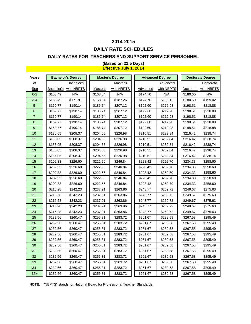### **DAILY RATE SCHEDULES**

#### **DAILY RATES FOR TEACHERS AND SUPPORT SERVICE PERSONNEL**

| Years          |            | <b>Bachelor's Degree</b> |          | <b>Master's Degree</b> |          | <b>Advanced Degree</b> |           | <b>Doctorate Degree</b> |
|----------------|------------|--------------------------|----------|------------------------|----------|------------------------|-----------|-------------------------|
| οf             |            | Bachelor's               |          | Master's               |          | Advanced               |           | Doctorate               |
| <b>Exp</b>     | Bachelor's | with NBPTS               | Master's | with NBPTS             | Advanced | with NBPTS             | Doctorate | with NBPTS              |
| $0 - 2$        | \$153.49   | N/A                      | \$168.84 | N/A                    | \$174.70 | N/A                    | \$180.60  | N/A                     |
| $3 - 4$        | \$153.49   | \$171.91                 | \$168.84 | \$187.26               | \$174.70 | \$193.12               | \$180.60  | \$199.02                |
| 5              | \$169.77   | \$190.14                 | \$186.74 | \$207.12               | \$192.60 | \$212.98               | \$198.51  | \$218.88                |
| 6              | \$169.77   | \$190.14                 | \$186.74 | \$207.12               | \$192.60 | \$212.98               | \$198.51  | \$218.88                |
| $\overline{7}$ | \$169.77   | \$190.14                 | \$186.74 | \$207.12               | \$192.60 | \$212.98               | \$198.51  | \$218.88                |
| 8              | \$169.77   | \$190.14                 | \$186.74 | \$207.12               | \$192.60 | \$212.98               | \$198.51  | \$218.88                |
| 9              | \$169.77   | \$190.14                 | \$186.74 | \$207.12               | \$192.60 | \$212.98               | \$198.51  | \$218.88                |
| 10             | \$186.05   | \$208.37                 | \$204.65 | \$226.98               | \$210.51 | \$232.84               | \$216.42  | \$238.74                |
| 11             | \$186.05   | \$208.37                 | \$204.65 | \$226.98               | \$210.51 | \$232.84               | \$216.42  | \$238.74                |
| 12             | \$186.05   | \$208.37                 | \$204.65 | \$226.98               | \$210.51 | \$232.84               | \$216.42  | \$238.74                |
| 13             | \$186.05   | \$208.37                 | \$204.65 | \$226.98               | \$210.51 | \$232.84               | \$216.42  | \$238.74                |
| 14             | \$186.05   | \$208.37                 | \$204.65 | \$226.98               | \$210.51 | \$232.84               | \$216.42  | \$238.74                |
| 15             | \$202.33   | \$226.60                 | \$222.56 | \$246.84               | \$228.42 | \$252.70               | \$234.33  | \$258.60                |
| 16             | \$202.33   | \$226.60                 | \$222.56 | \$246.84               | \$228.42 | \$252.70               | \$234.33  | \$258.60                |
| 17             | \$202.33   | \$226.60                 | \$222.56 | \$246.84               | \$228.42 | \$252.70               | \$234.33  | \$258.60                |
| 18             | \$202.33   | \$226.60                 | \$222.56 | \$246.84               | \$228.42 | \$252.70               | \$234.33  | \$258.60                |
| 19             | \$202.33   | \$226.60                 | \$222.56 | \$246.84               | \$228.42 | \$252.70               | \$234.33  | \$258.60                |
| 20             | \$216.28   | \$242.23                 | \$237.91 | \$263.86               | \$243.77 | \$269.72               | \$249.67  | \$275.63                |
| 21             | \$216.28   | \$242.23                 | \$237.91 | \$263.86               | \$243.77 | \$269.72               | \$249.67  | \$275.63                |
| 22             | \$216.28   | \$242.23                 | \$237.91 | \$263.86               | \$243.77 | \$269.72               | \$249.67  | \$275.63                |
| 23             | \$216.28   | \$242.23                 | \$237.91 | \$263.86               | \$243.77 | \$269.72               | \$249.67  | \$275.63                |
| 24             | \$216.28   | \$242.23                 | \$237.91 | \$263.86               | \$243.77 | \$269.72               | \$249.67  | \$275.63                |
| 25             | \$232.56   | \$260.47                 | \$255.81 | \$283.72               | \$261.67 | \$289.58               | \$267.58  | \$295.49                |
| 26             | \$232.56   | \$260.47                 | \$255.81 | \$283.72               | \$261.67 | \$289.58               | \$267.58  | \$295.49                |
| 27             | \$232.56   | \$260.47                 | \$255.81 | \$283.72               | \$261.67 | \$289.58               | \$267.58  | \$295.49                |
| 28             | \$232.56   | \$260.47                 | \$255.81 | \$283.72               | \$261.67 | \$289.58               | \$267.58  | \$295.49                |
| 29             | \$232.56   | \$260.47                 | \$255.81 | \$283.72               | \$261.67 | \$289.58               | \$267.58  | \$295.49                |
| 30             | \$232.56   | \$260.47                 | \$255.81 | \$283.72               | \$261.67 | \$289.58               | \$267.58  | \$295.49                |
| 31             | \$232.56   | \$260.47                 | \$255.81 | \$283.72               | \$261.67 | \$289.58               | \$267.58  | \$295.49                |
| 32             | \$232.56   | \$260.47                 | \$255.81 | \$283.72               | \$261.67 | \$289.58               | \$267.58  | \$295.49                |
| 33             | \$232.56   | \$260.47                 | \$255.81 | \$283.72               | \$261.67 | \$289.58               | \$267.58  | \$295.49                |
| 34             | \$232.56   | \$260.47                 | \$255.81 | \$283.72               | \$261.67 | \$289.58               | \$267.58  | \$295.49                |
| $35+$          | \$232.56   | \$260.47                 | \$255.81 | \$283.72               | \$261.67 | \$289.58               | \$267.58  | \$295.49                |

#### **(Based on 21.5 Days) Effective July 1, 2014**

**NOTE:** "NBPTS" stands for National Board for Professional Teacher Standards.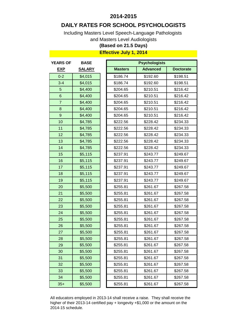### **DAILY RATES FOR SCHOOL PSYCHOLOGISTS**

Including Masters Level Speech-Language Pathologists

and Masters Level Audiologists

### **(Based on 21.5 Days)**

### **Effective July 1, 2014**

| <b>YEARS OF</b> | <b>BASE</b>   |                | <b>Psychologists</b> |                  |  |  |  |  |  |
|-----------------|---------------|----------------|----------------------|------------------|--|--|--|--|--|
| <u>EXP</u>      | <b>SALARY</b> | <b>Masters</b> | <b>Advanced</b>      | <b>Doctorate</b> |  |  |  |  |  |
| $0 - 2$         | \$4,015       | \$186.74       | \$192.60             | \$198.51         |  |  |  |  |  |
| $3 - 4$         | \$4,015       | \$186.74       | \$192.60             | \$198.51         |  |  |  |  |  |
| 5               | \$4,400       | \$204.65       | \$210.51             | \$216.42         |  |  |  |  |  |
| 6               | \$4,400       | \$204.65       | \$210.51             | \$216.42         |  |  |  |  |  |
| $\overline{7}$  | \$4,400       | \$204.65       | \$210.51             | \$216.42         |  |  |  |  |  |
| 8               | \$4,400       | \$204.65       | \$210.51             | \$216.42         |  |  |  |  |  |
| $9$             | \$4,400       | \$204.65       | \$210.51             | \$216.42         |  |  |  |  |  |
| 10              | \$4,785       | \$222.56       | \$228.42             | \$234.33         |  |  |  |  |  |
| 11              | \$4,785       | \$222.56       | \$228.42             | \$234.33         |  |  |  |  |  |
| 12              | \$4,785       | \$222.56       | \$228.42             | \$234.33         |  |  |  |  |  |
| 13              | \$4,785       | \$222.56       | \$228.42             | \$234.33         |  |  |  |  |  |
| 14              | \$4,785       | \$222.56       | \$228.42             | \$234.33         |  |  |  |  |  |
| 15              | \$5,115       | \$237.91       | \$243.77             | \$249.67         |  |  |  |  |  |
| 16              | \$5,115       | \$237.91       | \$243.77             | \$249.67         |  |  |  |  |  |
| 17              | \$5,115       | \$237.91       | \$243.77             | \$249.67         |  |  |  |  |  |
| 18              | \$5,115       | \$237.91       | \$243.77             | \$249.67         |  |  |  |  |  |
| 19              | \$5,115       | \$237.91       | \$243.77             | \$249.67         |  |  |  |  |  |
| 20              | \$5,500       | \$255.81       | \$261.67             | \$267.58         |  |  |  |  |  |
| 21              | \$5,500       | \$255.81       | \$261.67             | \$267.58         |  |  |  |  |  |
| 22              | \$5,500       | \$255.81       | \$261.67             | \$267.58         |  |  |  |  |  |
| 23              | \$5,500       | \$255.81       | \$261.67             | \$267.58         |  |  |  |  |  |
| 24              | \$5,500       | \$255.81       | \$261.67             | \$267.58         |  |  |  |  |  |
| 25              | \$5,500       | \$255.81       | \$261.67             | \$267.58         |  |  |  |  |  |
| 26              | \$5,500       | \$255.81       | \$261.67             | \$267.58         |  |  |  |  |  |
| 27              | \$5,500       | \$255.81       | \$261.67             | \$267.58         |  |  |  |  |  |
| 28              | \$5,500       | \$255.81       | \$261.67             | \$267.58         |  |  |  |  |  |
| 29              | \$5,500       | \$255.81       | \$261.67             | \$267.58         |  |  |  |  |  |
| 30              | \$5,500       | \$255.81       | \$261.67             | \$267.58         |  |  |  |  |  |
| 31              | \$5,500       | \$255.81       | \$261.67             | \$267.58         |  |  |  |  |  |
| 32              | \$5,500       | \$255.81       | \$261.67             | \$267.58         |  |  |  |  |  |
| 33              | \$5,500       | \$255.81       | \$261.67             | \$267.58         |  |  |  |  |  |
| 34              | \$5,500       | \$255.81       | \$261.67             | \$267.58         |  |  |  |  |  |
| $35+$           | \$5,500       | \$255.81       | \$261.67             | \$267.58         |  |  |  |  |  |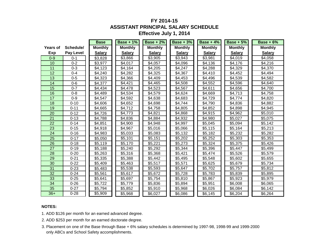# **FY 2014-15 ASSISTANT PRINCIPAL SALARY SCHEDULE**

| Effective July 1, 2014 |  |  |
|------------------------|--|--|
|------------------------|--|--|

|          |                  | <b>Base</b>    | <b>Base + 1%</b> | <b>Base + 2%</b> | $Base + 3%$         | $Base + 4%$    | <b>Base + 5%</b> | $Base + 6%$    |
|----------|------------------|----------------|------------------|------------------|---------------------|----------------|------------------|----------------|
| Years of | Schedule/        | <b>Monthly</b> | <b>Monthly</b>   | <b>Monthly</b>   | <b>Monthly</b>      | <b>Monthly</b> | <b>Monthly</b>   | <b>Monthly</b> |
| Exp      | <b>Pay Level</b> | <b>Salary</b>  | <b>Salary</b>    | <b>Salary</b>    | <b>Salary</b>       | <b>Salary</b>  | <b>Salary</b>    | <b>Salary</b>  |
| $0 - 9$  | $0 - 1$          | \$3,828        | \$3,866          | \$3,905          | \$3,943             | \$3,981        | \$4,019          | \$4,058        |
| 10       | $0 - 2$          | \$3,977        | \$4,017          | \$4,057          | \$4,096             | \$4,136        | \$4,176          | \$4,216        |
| 11       | $0 - 3$          | \$4,123        | \$4,164          | \$4,205          | \$4,247             | \$4,288        | \$4,329          | \$4,370        |
| 12       | $0 - 4$          | \$4,240        | \$4,282          | \$4,325          | \$4,367             | \$4,410        | \$4,452          | \$4,494        |
| 13       | $0 - 5$          | \$4,323        | \$4,366          | \$4,409          | \$4,453             | \$4,496        | \$4,539          | \$4,582        |
| 14       | $0 - 6$          | \$4,377        | \$4,421          | \$4,465          | \$4,508             | \$4,552        | \$4,596          | \$4,640        |
| 15       | $0 - 7$          | \$4,434        | \$4,478          | \$4,523          | \$4,567             | \$4,611        | \$4,656          | \$4,700        |
| 16       | $0 - 8$          | \$4,489        | \$4,534          | \$4,579          | \$4,624             | \$4,669        | \$4,713          | \$4,758        |
| 17       | $0 - 9$          | \$4,547        | \$4,592          | \$4,638          | \$4,683             | \$4,729        | \$4,774          | \$4,820        |
| 18       | $0 - 10$         | \$4,606        | \$4,652          | \$4,698          | \$4,744             | \$4,790        | \$4,836          | \$4,882        |
| 19       | $0 - 11$         | \$4,665        | \$4,712          | \$4,758          | \$4,805             | \$4,852        | \$4,898          | \$4,945        |
| 20       | $0 - 12$         | \$4,726        | \$4,773          | \$4,821          | \$4,868             | \$4,915        | \$4,962          | \$5,010        |
| 21       | $0 - 13$         | \$4,788        | \$4,836          | \$4,884          | \$4,932             | \$4,980        | \$5,027          | \$5,075        |
| 22       | $0 - 14$         | \$4,851        | \$4,900          | \$4,948          | \$4,997             | \$5,045        | \$5,094          | \$5,142        |
| 23       | $0 - 15$         | \$4,918        | \$4,967          | \$5,016          | \$5,066             | \$5,115        | \$5,164          | \$5,213        |
| 24       | $0 - 16$         | \$4,983        | \$5,033          | \$5,083          | \$5,132             | \$5,182        | \$5,232          | \$5,282        |
| 25       | $0 - 17$         | \$5,050        | \$5,101          | \$5,151          | \$5,202             | \$5,252        | \$5,303          | \$5,353        |
| 26       | $0 - 18$         | \$5,119        | \$5,170          | \$5,221          | \$5,273             | \$5,324        | \$5,375          | \$5,426        |
| 27       | $0 - 19$         | \$5,188        | \$5,240          | \$5,292          | \$5,344             | \$5,396        | \$5,447          | \$5,499        |
| 28       | $0 - 20$         | \$5,263        | \$5,316          | \$5,368          | \$5,421             | \$5,474        | \$5,526          | \$5,579        |
| 29       | $0 - 21$         | \$5,335        | \$5,388          | \$5,442          | \$5,495             | \$5,548        | \$5,602          | \$5,655        |
| 30       | $0 - 22$         | \$5,409        | \$5,463          | \$5,517          | \$5,571             | \$5,625        | \$5,679          | \$5,734        |
| 31       | $0 - 23$         | \$5,483        | \$5,538          | \$5,593          | \$5,647             | \$5,702        | \$5,757          | \$5,812        |
| 32       | $0 - 24$         | \$5,561        | \$5,617          | \$5,672          | \$5,728             | \$5,783        | \$5,839          | \$5,895        |
| 33       | $0 - 25$         | \$5,641        | \$5,697          | \$5,754          | $\overline{$}5,810$ | \$5,867        | \$5,923          | \$5,979        |
| 34       | $0 - 26$         | \$5,722        | \$5,779          | \$5,836          | \$5,894             | \$5,951        | \$6,008          | \$6,065        |
| 35       | $0 - 27$         | \$5,794        | \$5,852          | \$5,910          | \$5,968             | \$6,026        | \$6,084          | \$6,142        |
| $36+$    | $0 - 28$         | \$5,909        | \$5,968          | \$6,027          | \$6,086             | \$6,145        | \$6,204          | \$6,264        |

#### **NOTES:**

- 1. ADD \$126 per month for an earned advanced degree.
- 2. ADD \$253 per month for an earned doctorate degree.
- 3. Placement on one of the Base through Base + 6% salary schedules is determined by 1997-98, 1998-99 and 1999-2000 only ABCs and School Safety accomplishments.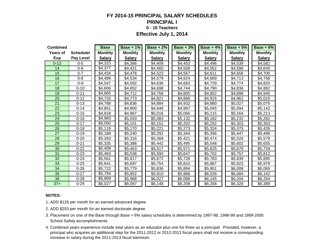### **FY 2014-15 PRINCIPAL SALARY SCHEDULES PRINCIPAL I 0 - 10 Teachers Effective July 1, 2014**

| <b>Combined</b> |                  | <b>Base</b>    | <b>Base + 1%</b> | <b>Base + 2%</b> | <b>Base + 3%</b> | <b>Base + 4%</b> | <b>Base + 5%</b> | <b>Base + 6%</b> |
|-----------------|------------------|----------------|------------------|------------------|------------------|------------------|------------------|------------------|
| <b>Years of</b> | Schedule/        | <b>Monthly</b> | <b>Monthly</b>   | <b>Monthly</b>   | <b>Monthly</b>   | <b>Monthly</b>   | <b>Monthly</b>   | <b>Monthly</b>   |
| Exp             | <b>Pay Level</b> | <b>Salary</b>  | <b>Salary</b>    | <b>Salary</b>    | <b>Salary</b>    | <b>Salary</b>    | <b>Salary</b>    | <b>Salary</b>    |
| $0 - 13$        | $0 - 5$          | \$4,323        | \$4,366          | \$4,409          | \$4,453          | \$4,496          | \$4,539          | \$4,582          |
| 14              | $0 - 6$          | \$4,377        | \$4,421          | \$4,465          | \$4,508          | \$4,552          | \$4,596          | \$4,640          |
| 15              | $0 - 7$          | \$4,434        | \$4,478          | \$4,523          | \$4,567          | \$4,611          | \$4,656          | \$4,700          |
| 16              | $0 - 8$          | \$4,489        | \$4,534          | \$4,579          | \$4,624          | \$4,669          | \$4,713          | \$4,758          |
| 17              | $0-9$            | \$4,547        | \$4,592          | \$4,638          | \$4,683          | \$4,729          | \$4,774          | \$4,820          |
| 18              | $0 - 10$         | \$4,606        | \$4,652          | \$4,698          | \$4,744          | \$4,790          | \$4,836          | \$4,882          |
| 19              | $0 - 11$         | \$4,665        | \$4,712          | \$4,758          | \$4,805          | \$4,852          | \$4,898          | \$4,945          |
| 20              | $0 - 12$         | \$4,726        | \$4,773          | \$4,821          | \$4,868          | \$4,915          | \$4,962          | \$5,010          |
| 21              | $0 - 13$         | \$4,788        | \$4,836          | \$4,884          | \$4,932          | \$4,980          | \$5,027          | \$5,075          |
| 22              | $0 - 14$         | \$4,851        | \$4,900          | \$4,948          | \$4,997          | \$5,045          | \$5,094          | \$5,142          |
| 23              | $0 - 15$         | \$4,918        | \$4,967          | \$5,016          | \$5,066          | \$5,115          | \$5,164          | \$5,213          |
| 24              | $0 - 16$         | \$4,983        | \$5,033          | \$5,083          | \$5,132          | \$5,182          | \$5,232          | \$5,282          |
| 25              | $0 - 17$         | \$5,050        | \$5,101          | \$5,151          | \$5,202          | \$5,252          | \$5,303          | \$5,353          |
| 26              | $0 - 18$         | \$5,119        | \$5,170          | \$5,221          | \$5,273          | \$5,324          | \$5,375          | \$5,426          |
| 27              | $0 - 19$         | \$5,188        | \$5,240          | \$5,292          | \$5,344          | \$5,396          | \$5,447          | \$5,499          |
| 28              | $0 - 20$         | \$5,263        | \$5,316          | \$5,368          | \$5,421          | \$5,474          | \$5,526          | \$5,579          |
| 29              | $0 - 21$         | \$5,335        | \$5,388          | \$5,442          | \$5,495          | \$5,548          | \$5,602          | \$5,655          |
| 30              | $0 - 22$         | \$5,409        | \$5,463          | \$5,517          | \$5,571          | \$5,625          | \$5,679          | \$5,734          |
| 31              | $0 - 23$         | \$5,483        | \$5,538          | \$5,593          | \$5,647          | \$5,702          | \$5,757          | \$5,812          |
| 32              | $0 - 24$         | \$5,561        | \$5,617          | \$5,672          | \$5,728          | \$5,783          | \$5,839          | \$5,895          |
| 33              | $0 - 25$         | \$5,641        | \$5,697          | \$5,754          | \$5,810          | \$5,867          | \$5,923          | \$5,979          |
| 34              | $0 - 26$         | \$5,722        | \$5,779          | \$5,836          | \$5,894          | \$5,951          | \$6,008          | \$6,065          |
| 35              | $0 - 27$         | \$5,794        | \$5,852          | \$5,910          | \$5,968          | \$6,026          | \$6,084          | \$6,142          |
| 36              | $0 - 28$         | \$5,909        | \$5,968          | \$6,027          | \$6,086          | \$6,145          | \$6,204          | \$6,264          |
| $37 +$          | $0 - 29$         | \$6,027        | \$6,087          | \$6,148          | \$6,208          | \$6,268          | \$6,328          | \$6,389          |

#### **NOTES:**

- 1. ADD \$126 per month for an earned advanced degree.
- 2. ADD \$253 per month for an earned doctorate degree.
- 3. Placement on one of the Base through Base + 6% salary schedules is determined by 1997-98, 1998-99 and 1999-2000 School Safety accomplishments.
- 4. Combined years experience include total years as an educator plus one for three as a principal. Provided, however, a principal who acquires an additional step for the 2011-2012 or 2012-2013 fiscal years shall not receive a corresponding increase in salary during the 2011-2013 fiscal biennium.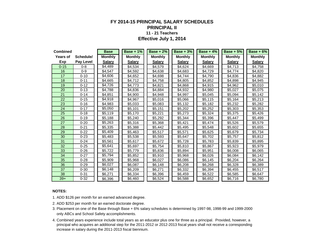#### **FY 2014-15 PRINCIPAL SALARY SCHEDULES PRINCIPAL II 11 - 21 Teachers Effective July 1, 2014**

| <b>Combined</b> |           | <b>Base</b>    | Base + $1\%$   | <b>Base + 2%</b> | <b>Base + 3%</b> | Base + $4\%$   | <b>Base + 5%</b> | Base $+6%$     |
|-----------------|-----------|----------------|----------------|------------------|------------------|----------------|------------------|----------------|
| Years of        | Schedule/ | <b>Monthly</b> | <b>Monthly</b> | <b>Monthly</b>   | <b>Monthly</b>   | <b>Monthly</b> | <b>Monthly</b>   | <b>Monthly</b> |
| Exp             | Pay Level | <b>Salary</b>  | <b>Salary</b>  | <b>Salary</b>    | <b>Salary</b>    | <b>Salary</b>  | <b>Salary</b>    | <b>Salary</b>  |
| $0 - 15$        | $0 - 8$   | \$4,489        | \$4,534        | \$4,579          | \$4,624          | \$4,669        | \$4,713          | \$4,758        |
| 16              | $0 - 9$   | \$4,547        | \$4.592        | \$4,638          | \$4.683          | \$4.729        | \$4.774          | \$4,820        |
| 17              | $0 - 10$  | \$4,606        | \$4,652        | \$4,698          | \$4,744          | \$4,790        | \$4,836          | \$4,882        |
| 18              | $0 - 11$  | \$4,665        | \$4,712        | \$4,758          | \$4,805          | \$4,852        | \$4,898          | \$4,945        |
| 19              | $0 - 12$  | \$4,726        | \$4.773        | \$4,821          | \$4.868          | \$4,915        | \$4.962          | \$5,010        |
| 20              | $0 - 13$  | \$4,788        | \$4,836        | \$4,884          | \$4,932          | \$4,980        | \$5,027          | \$5,075        |
| 21              | $0 - 14$  | \$4,851        | \$4,900        | \$4,948          | \$4,997          | \$5,045        | \$5,094          | \$5,142        |
| 22              | $0 - 15$  | \$4,918        | \$4,967        | \$5,016          | \$5,066          | \$5,115        | \$5,164          | \$5,213        |
| 23              | $0 - 16$  | \$4,983        | \$5,033        | \$5,083          | \$5,132          | \$5,182        | \$5,232          | \$5,282        |
| 24              | $0 - 17$  | \$5,050        | \$5,101        | \$5,151          | \$5,202          | \$5,252        | \$5,303          | \$5,353        |
| 25              | $0 - 18$  | \$5.119        | \$5,170        | \$5,221          | \$5,273          | \$5,324        | \$5,375          | \$5,426        |
| 26              | $0 - 19$  | \$5,188        | \$5,240        | \$5.292          | \$5,344          | \$5,396        | \$5.447          | \$5,499        |
| 27              | $0 - 20$  | \$5,263        | \$5,316        | \$5,368          | \$5,421          | \$5,474        | \$5,526          | \$5,579        |
| 28              | $0 - 21$  | \$5,335        | \$5,388        | \$5,442          | \$5,495          | \$5,548        | \$5,602          | \$5,655        |
| 29              | $0 - 22$  | \$5,409        | \$5,463        | \$5,517          | \$5,571          | \$5,625        | \$5,679          | \$5,734        |
| 30              | $0 - 23$  | \$5,483        | \$5,538        | \$5,593          | \$5,647          | \$5,702        | \$5,757          | \$5,812        |
| 31              | $0 - 24$  | \$5,561        | \$5,617        | \$5,672          | \$5,728          | \$5.783        | \$5,839          | \$5,895        |
| 32              | $0 - 25$  | \$5,641        | \$5,697        | \$5,754          | \$5,810          | \$5,867        | \$5,923          | \$5,979        |
| 33              | $0 - 26$  | \$5,722        | \$5,779        | \$5,836          | \$5,894          | \$5,951        | \$6,008          | \$6,065        |
| 34              | $0 - 27$  | \$5,794        | \$5,852        | \$5,910          | \$5,968          | \$6,026        | \$6,084          | \$6,142        |
| 35              | $0 - 28$  | \$5,909        | \$5,968        | \$6,027          | \$6,086          | \$6,145        | \$6,204          | \$6,264        |
| 36              | $0 - 29$  | \$6,027        | \$6,087        | \$6,148          | \$6,208          | \$6,268        | \$6,328          | \$6,389        |
| 37              | $0 - 30$  | \$6,148        | \$6,209        | \$6.271          | \$6,332          | \$6,394        | \$6.455          | \$6.517        |
| 38              | $0 - 31$  | \$6,271        | \$6,334        | \$6,396          | \$6,459          | \$6,522        | \$6,585          | \$6,647        |
| $39+$           | $0 - 32$  | \$6,396        | \$6,460        | \$6,524          | \$6,588          | \$6,652        | \$6,716          | \$6,780        |

#### **NOTES:**

1. ADD \$126 per month for an earned advanced degree.

- 3. Placement on one of the Base through Base + 6% salary schedules is determined by 1997-98, 1998-99 and 1999-2000 only ABCs and School Safety accomplishments.
- 4. Combined years experience include total years as an educator plus one for three as a principal. Provided, however, a principal who acquires an additional step for the 2011-2012 or 2012-2013 fiscal years shall not receive a corresponding increase in salary during the 2011-2013 fiscal biennium.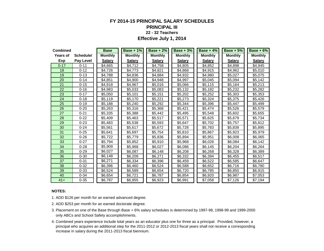#### **FY 2014-15 PRINCIPAL SALARY SCHEDULES PRINCIPAL III 22 - 32 Teachers**

**Effective July 1, 2014**

| <b>Combined</b> |                  | <b>Base</b>    | <b>Base + 1%</b> | <b>Base + 2%</b> | <b>Base + 3%</b> | Base + $4\%$   | <b>Base + 5%</b> | Base $+6%$     |
|-----------------|------------------|----------------|------------------|------------------|------------------|----------------|------------------|----------------|
| <b>Years of</b> | Schedule/        | <b>Monthly</b> | <b>Monthly</b>   | <b>Monthly</b>   | <b>Monthly</b>   | <b>Monthly</b> | <b>Monthly</b>   | <b>Monthly</b> |
| Exp             | <b>Pay Level</b> | <b>Salary</b>  | <b>Salary</b>    | <b>Salary</b>    | <b>Salary</b>    | <b>Salary</b>  | <b>Salary</b>    | <b>Salary</b>  |
| $0 - 17$        | $0 - 11$         | \$4,665        | \$4,712          | \$4,758          | \$4,805          | \$4,852        | \$4,898          | \$4,945        |
| 18              | $0 - 12$         | \$4,726        | \$4,773          | \$4,821          | \$4,868          | \$4,915        | \$4,962          | \$5,010        |
| 19              | $0 - 13$         | \$4,788        | \$4,836          | \$4,884          | \$4,932          | \$4,980        | \$5,027          | \$5,075        |
| 20              | $0 - 14$         | \$4,851        | \$4,900          | \$4,948          | \$4,997          | \$5,045        | \$5,094          | \$5,142        |
| 21              | $0 - 15$         | \$4,918        | \$4,967          | \$5,016          | \$5,066          | \$5,115        | \$5,164          | \$5,213        |
| 22              | $0 - 16$         | \$4,983        | \$5,033          | \$5,083          | \$5,132          | \$5,182        | \$5,232          | \$5,282        |
| 23              | $0 - 17$         | \$5,050        | \$5,101          | \$5,151          | \$5,202          | \$5,252        | \$5,303          | \$5,353        |
| 24              | $0 - 18$         | \$5,119        | \$5,170          | \$5,221          | \$5,273          | \$5,324        | \$5,375          | \$5,426        |
| 25              | $0 - 19$         | \$5,188        | \$5,240          | \$5,292          | \$5,344          | \$5,396        | \$5,447          | \$5,499        |
| 26              | $0 - 20$         | \$5,263        | \$5,316          | \$5,368          | \$5,421          | \$5,474        | \$5,526          | \$5,579        |
| 27              | $0 - 21$         | \$5,335        | \$5,388          | \$5,442          | \$5,495          | \$5,548        | \$5,602          | \$5,655        |
| 28              | $0 - 22$         | \$5,409        | \$5,463          | \$5,517          | \$5,571          | \$5,625        | \$5,679          | \$5,734        |
| 29              | $0 - 23$         | \$5,483        | \$5,538          | \$5,593          | \$5,647          | \$5,702        | \$5,757          | \$5,812        |
| 30              | $0 - 24$         | \$5,561        | \$5,617          | \$5,672          | \$5,728          | \$5,783        | \$5,839          | \$5,895        |
| 31              | $0 - 25$         | \$5,641        | \$5,697          | \$5,754          | \$5,810          | \$5,867        | \$5,923          | \$5,979        |
| 32              | $0 - 26$         | \$5,722        | \$5,779          | \$5,836          | \$5,894          | \$5,951        | \$6,008          | \$6,065        |
| 33              | $0 - 27$         | \$5,794        | \$5,852          | \$5,910          | \$5,968          | \$6,026        | \$6,084          | \$6,142        |
| 34              | $0 - 28$         | \$5,909        | \$5,968          | \$6,027          | \$6,086          | \$6,145        | \$6,204          | \$6,264        |
| 35              | $0 - 29$         | \$6.027        | \$6,087          | \$6,148          | \$6,208          | \$6,268        | \$6,328          | \$6,389        |
| 36              | $0 - 30$         | \$6,148        | \$6,209          | \$6,271          | \$6,332          | \$6,394        | \$6,455          | \$6,517        |
| 37              | $0 - 31$         | \$6,271        | \$6,334          | \$6,396          | \$6,459          | \$6,522        | \$6,585          | \$6,647        |
| 38              | $0 - 32$         | \$6,396        | \$6,460          | \$6,524          | \$6,588          | \$6,652        | \$6,716          | \$6,780        |
| 39              | $0 - 33$         | \$6,524        | \$6,589          | \$6,654          | \$6,720          | \$6,785        | \$6,850          | \$6,915        |
| 40              | $0 - 34$         | \$6,654        | \$6,721          | \$6,787          | \$6,854          | \$6,920        | \$6,987          | \$7,053        |
| $41+$           | $0 - 35$         | \$6.787        | \$6,855          | \$6,923          | \$6,991          | \$7,058        | \$7,126          | \$7,194        |

#### **NOTES:**

1. ADD \$126 per month for an earned advanced degree.

- 2. ADD \$253 per month for an earned doctorate degree.
- 3. Placement on one of the Base through Base + 6% salary schedules is determined by 1997-98, 1998-99 and 1999-2000 only ABCs and School Safety accomplishments.
- 4. Combined years experience include total years as an educator plus one for three as a principal. Provided, however, a principal who acquires an additional step for the 2011-2012 or 2012-2013 fiscal years shall not receive a corresponding increase in salary during the 2011-2013 fiscal biennium.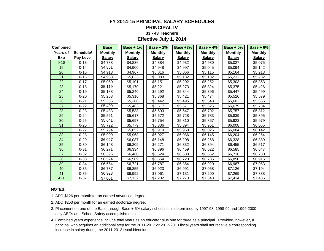### **FY 2014-15 PRINCIPAL SALARY SCHEDULES**

#### **PRINCIPAL IV**

#### **33 - 43 Teachers**

#### **Effective July 1, 2014**

| <b>Combined</b> |                  | <b>Base</b>    | <b>Base + 1%</b>    | $Base + 2%$    | <b>Base +3%</b> | $Base + 4%$    | $Base + 5%$    | $Base + 6%$    |
|-----------------|------------------|----------------|---------------------|----------------|-----------------|----------------|----------------|----------------|
| Years of        | Schedule/        | <b>Monthly</b> | <b>Monthly</b>      | <b>Monthly</b> | <b>Monthly</b>  | <b>Monthly</b> | <b>Monthly</b> | <b>Monthly</b> |
| Exp             | <b>Pay Level</b> | <b>Salary</b>  | <b>Salary</b>       | <b>Salary</b>  | <b>Salary</b>   | <b>Salary</b>  | <b>Salary</b>  | <b>Salary</b>  |
| $0 - 18$        | $0 - 13$         | \$4,788        | \$4,836             | \$4,884        | \$4.932         | \$4,980        | \$5,027        | \$5.075        |
| 19              | $0 - 14$         | \$4,851        | \$4,900             | \$4,948        | \$4,997         | \$5,045        | \$5,094        | \$5,142        |
| 20              | $0 - 15$         | \$4,918        | \$4,967             | \$5,016        | \$5,066         | \$5,115        | \$5,164        | \$5,213        |
| 21              | $0 - 16$         | \$4,983        | \$5,033             | \$5,083        | \$5,132         | \$5,182        | \$5,232        | \$5,282        |
| 22              | $0 - 17$         | \$5,050        | \$5,101             | \$5,151        | \$5,202         | \$5,252        | \$5,303        | \$5,353        |
| 23              | $0 - 18$         | \$5,119        | \$5,170             | \$5,221        | \$5,273         | \$5,324        | \$5,375        | \$5,426        |
| 24              | $0 - 19$         | \$5,188        | \$5,240             | \$5,292        | \$5,344         | \$5,396        | \$5,447        | \$5,499        |
| 25              | $0 - 20$         | \$5,263        | \$5,316             | \$5,368        | \$5,421         | \$5,474        | \$5,526        | \$5,579        |
| 26              | $0 - 21$         | \$5,335        | \$5,388             | \$5,442        | \$5,495         | \$5,548        | \$5,602        | \$5,655        |
| 27              | $0 - 22$         | \$5,409        | \$5,463             | \$5,517        | \$5,571         | \$5,625        | \$5,679        | \$5,734        |
| 28              | $0 - 23$         | \$5,483        | \$5,538             | \$5,593        | \$5,647         | \$5,702        | \$5,757        | \$5,812        |
| 29              | $0 - 24$         | \$5,561        | \$5,617             | \$5,672        | \$5,728         | \$5,783        | \$5,839        | \$5,895        |
| 30              | $0 - 25$         | \$5,641        | $\overline{$}5,697$ | \$5,754        | \$5,810         | \$5,867        | \$5,923        | \$5,979        |
| 31              | $0 - 26$         | \$5,722        | \$5,779             | \$5,836        | \$5,894         | \$5,951        | \$6,008        | \$6,065        |
| 32              | $0 - 27$         | \$5,794        | \$5,852             | \$5,910        | \$5,968         | \$6,026        | \$6,084        | \$6,142        |
| 33              | $0 - 28$         | \$5,909        | \$5,968             | \$6,027        | \$6,086         | \$6,145        | \$6,204        | \$6,264        |
| 34              | $0 - 29$         | \$6,027        | \$6,087             | \$6,148        | \$6,208         | \$6,268        | \$6,328        | \$6,389        |
| 35              | $0 - 30$         | \$6,148        | \$6,209             | \$6,271        | \$6,332         | \$6,394        | \$6,455        | \$6,517        |
| 36              | $0 - 31$         | \$6,271        | \$6,334             | \$6,396        | \$6,459         | \$6,522        | \$6,585        | \$6,647        |
| 37              | $0 - 32$         | \$6,396        | \$6,460             | \$6,524        | \$6,588         | \$6,652        | \$6,716        | \$6,780        |
| 38              | $0 - 33$         | \$6,524        | \$6,589             | \$6,654        | \$6,720         | \$6,785        | \$6,850        | \$6,915        |
| 39              | $0 - 34$         | \$6,654        | \$6,721             | \$6,787        | \$6,854         | \$6,920        | \$6,987        | \$7,053        |
| 40              | $0 - 35$         | \$6,787        | \$6,855             | \$6,923        | \$6,991         | \$7,058        | \$7,126        | \$7,194        |
| 41              | $0 - 36$         | \$6,923        | \$6,992             | \$7,061        | \$7,131         | \$7,200        | \$7,269        | \$7,338        |
| $42+$           | $0 - 37$         | \$7,061        | \$7,132             | \$7,202        | \$7,273         | \$7,343        | \$7,414        | \$7,485        |

#### **NOTES:**

1. ADD \$126 per month for an earned advanced degree.

- 2. ADD \$253 per month for an earned doctorate degree.
- 3. Placement on one of the Base through Base + 6% salary schedules is determined by 1997-98, 1998-99 and 1999-2000 only ABCs and School Safety accomplishments.
- 4. Combined years experience include total years as an educator plus one for three as a principal. Provided, however, a principal who acquires an additional step for the 2011-2012 or 2012-2013 fiscal years shall not receive a corresponding increase in salary during the 2011-2013 fiscal biennium.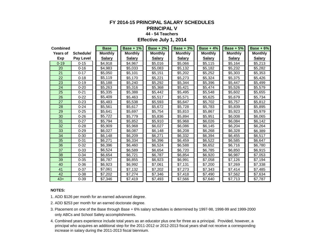# **FY 2014-15 PRINCIPAL SALARY SCHEDULES**

#### **PRINCIPAL V**

#### **44 - 54 Teachers**

**Effective July 1, 2014**

| <b>Combined</b> |                  | <b>Base</b>    | <b>Base + 1%</b> | <b>Base + 2%</b> | Base + $3\%$   | Base + $4\%$   | Base + $5\%$   | $Base + 6%$    |
|-----------------|------------------|----------------|------------------|------------------|----------------|----------------|----------------|----------------|
| <b>Years of</b> | Schedule/        | <b>Monthly</b> | <b>Monthly</b>   | <b>Monthly</b>   | <b>Monthly</b> | <b>Monthly</b> | <b>Monthly</b> | <b>Monthly</b> |
| Exp             | <b>Pay Level</b> | <b>Salary</b>  | <b>Salary</b>    | <b>Salary</b>    | <b>Salary</b>  | <b>Salary</b>  | <b>Salary</b>  | <b>Salary</b>  |
| $0 - 19$        | $0 - 15$         | \$4,918        | \$4,967          | \$5,016          | \$5,066        | \$5,115        | \$5,164        | \$5,213        |
| 20              | $0 - 16$         | \$4,983        | \$5,033          | \$5,083          | \$5,132        | \$5,182        | \$5,232        | \$5,282        |
| 21              | $0 - 17$         | \$5,050        | \$5,101          | \$5,151          | \$5,202        | \$5,252        | \$5,303        | \$5,353        |
| 22              | $0 - 18$         | \$5,119        | \$5,170          | \$5,221          | \$5,273        | \$5,324        | \$5,375        | \$5,426        |
| 23              | $0 - 19$         | \$5,188        | \$5,240          | \$5,292          | \$5,344        | \$5,396        | \$5,447        | \$5,499        |
| 24              | $0 - 20$         | \$5,263        | \$5,316          | \$5,368          | \$5,421        | \$5,474        | \$5,526        | \$5,579        |
| 25              | $0 - 21$         | \$5,335        | \$5,388          | \$5,442          | \$5,495        | \$5,548        | \$5,602        | \$5,655        |
| 26              | $0 - 22$         | \$5,409        | \$5,463          | \$5,517          | \$5,571        | \$5,625        | \$5,679        | \$5,734        |
| 27              | $0 - 23$         | \$5,483        | \$5,538          | \$5,593          | \$5,647        | \$5,702        | \$5,757        | \$5,812        |
| 28              | $0 - 24$         | \$5,561        | \$5,617          | \$5,672          | \$5,728        | \$5,783        | \$5,839        | \$5,895        |
| 29              | $0 - 25$         | \$5,641        | \$5,697          | \$5,754          | \$5,810        | \$5,867        | \$5,923        | \$5,979        |
| 30              | $0 - 26$         | \$5,722        | \$5,779          | \$5,836          | \$5,894        | \$5,951        | \$6,008        | \$6,065        |
| 31              | $0 - 27$         | \$5,794        | \$5,852          | \$5,910          | \$5,968        | \$6,026        | \$6,084        | \$6,142        |
| 32              | $0 - 28$         | \$5,909        | \$5,968          | \$6,027          | \$6,086        | \$6,145        | \$6,204        | \$6,264        |
| 33              | $0 - 29$         | \$6,027        | \$6,087          | \$6,148          | \$6,208        | \$6,268        | \$6,328        | \$6,389        |
| 34              | $0 - 30$         | \$6,148        | \$6,209          | \$6,271          | \$6,332        | \$6,394        | \$6,455        | \$6,517        |
| 35              | $0 - 31$         | \$6.271        | \$6,334          | \$6,396          | \$6,459        | \$6,522        | \$6,585        | \$6,647        |
| 36              | $0 - 32$         | \$6,396        | \$6,460          | \$6,524          | \$6,588        | \$6,652        | \$6,716        | \$6,780        |
| 37              | $0 - 33$         | \$6,524        | \$6,589          | \$6,654          | \$6,720        | \$6,785        | \$6,850        | \$6,915        |
| 38              | $0 - 34$         | \$6,654        | \$6,721          | \$6,787          | \$6,854        | \$6,920        | \$6,987        | \$7,053        |
| 39              | $0 - 35$         | \$6,787        | \$6,855          | \$6,923          | \$6,991        | \$7,058        | \$7,126        | \$7,194        |
| 40              | $0 - 36$         | \$6.923        | \$6,992          | \$7,061          | \$7,131        | \$7,200        | \$7,269        | \$7,338        |
| 41              | $0 - 37$         | \$7,061        | \$7,132          | \$7,202          | \$7,273        | \$7,343        | \$7,414        | \$7,485        |
| 42              | $0 - 38$         | \$7,202        | \$7,274          | \$7,346          | \$7,418        | \$7,490        | \$7,562        | \$7,634        |
| $43+$           | $0 - 39$         | \$7,346        | \$7,419          | \$7,493          | \$7,566        | \$7,640        | \$7,713        | \$7,787        |

#### **NOTES:**

1. ADD \$126 per month for an earned advanced degree.

- 3. Placement on one of the Base through Base + 6% salary schedules is determined by 1997-98, 1998-99 and 1999-2000 only ABCs and School Safety accomplishments.
- 4. Combined years experience include total years as an educator plus one for three as a principal. Provided, however, a principal who acquires an additional step for the 2011-2012 or 2012-2013 fiscal years shall not receive a corresponding increase in salary during the 2011-2013 fiscal biennium.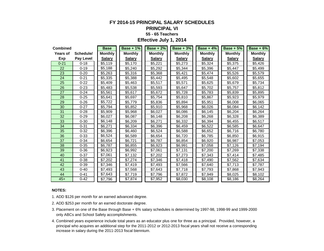#### **FY 2014-15 PRINCIPAL SALARY SCHEDULES PRINCIPAL VI 55 - 65 Teachers Effective July 1, 2014**

| <b>Combined</b> |                  | <b>Base</b>    | Base + $1\%$   | Base + $2\%$   | Base + $3\%$   | Base + $4\%$   | Base $+5%$     | $Base + 6%$    |
|-----------------|------------------|----------------|----------------|----------------|----------------|----------------|----------------|----------------|
| Years of        | Schedule/        | <b>Monthly</b> | <b>Monthly</b> | <b>Monthly</b> | <b>Monthly</b> | <b>Monthly</b> | <b>Monthly</b> | <b>Monthly</b> |
| Exp             | <b>Pay Level</b> | <b>Salary</b>  | <b>Salary</b>  | <b>Salary</b>  | <b>Salary</b>  | <b>Salary</b>  | <b>Salary</b>  | <b>Salary</b>  |
| $0 - 21$        | $0 - 18$         | \$5,119        | \$5,170        | \$5,221        | \$5,273        | \$5,324        | \$5,375        | \$5,426        |
| 22              | $0 - 19$         | \$5,188        | \$5,240        | \$5,292        | \$5,344        | \$5,396        | \$5,447        | \$5,499        |
| 23              | $0 - 20$         | \$5,263        | \$5,316        | \$5,368        | \$5,421        | \$5,474        | \$5,526        | \$5,579        |
| 24              | $0 - 21$         | \$5,335        | \$5,388        | \$5,442        | \$5,495        | \$5,548        | \$5,602        | \$5,655        |
| 25              | $0 - 22$         | \$5,409        | \$5,463        | \$5,517        | \$5,571        | \$5,625        | \$5,679        | \$5,734        |
| 26              | $0 - 23$         | \$5,483        | \$5,538        | \$5,593        | \$5,647        | \$5,702        | \$5,757        | \$5,812        |
| 27              | $0 - 24$         | \$5,561        | \$5,617        | \$5,672        | \$5,728        | \$5,783        | \$5,839        | \$5,895        |
| 28              | $0 - 25$         | \$5,641        | \$5,697        | \$5,754        | \$5,810        | \$5,867        | \$5,923        | \$5,979        |
| 29              | $0 - 26$         | \$5,722        | \$5,779        | \$5,836        | \$5,894        | \$5,951        | \$6,008        | \$6,065        |
| 30              | $0 - 27$         | \$5,794        | \$5,852        | \$5,910        | \$5,968        | \$6,026        | \$6,084        | \$6,142        |
| 31              | $0 - 28$         | \$5,909        | \$5,968        | \$6,027        | \$6,086        | \$6,145        | \$6,204        | \$6,264        |
| 32              | $0 - 29$         | \$6,027        | \$6,087        | \$6,148        | \$6,208        | \$6,268        | \$6,328        | \$6,389        |
| 33              | $0 - 30$         | \$6,148        | \$6,209        | \$6,271        | \$6,332        | \$6,394        | \$6,455        | \$6,517        |
| 34              | $0 - 31$         | \$6,271        | \$6,334        | \$6,396        | \$6,459        | \$6,522        | \$6,585        | \$6,647        |
| 35              | $0 - 32$         | \$6,396        | \$6,460        | \$6,524        | \$6,588        | \$6,652        | \$6,716        | \$6,780        |
| 36              | $0 - 33$         | \$6,524        | \$6,589        | \$6,654        | \$6,720        | \$6,785        | \$6,850        | \$6,915        |
| 37              | $0 - 34$         | \$6,654        | \$6,721        | \$6,787        | \$6,854        | \$6,920        | \$6,987        | \$7,053        |
| 38              | $0 - 35$         | \$6,787        | \$6,855        | \$6,923        | \$6,991        | \$7,058        | \$7,126        | \$7,194        |
| 39              | $0 - 36$         | \$6,923        | \$6,992        | \$7,061        | \$7,131        | \$7,200        | \$7,269        | \$7,338        |
| 40              | $0 - 37$         | \$7,061        | \$7,132        | \$7,202        | \$7,273        | \$7,343        | \$7,414        | \$7,485        |
| 41              | $0 - 38$         | \$7,202        | \$7,274        | \$7,346        | \$7,418        | \$7,490        | \$7,562        | \$7,634        |
| 42              | $0 - 39$         | \$7,346        | \$7,419        | \$7,493        | \$7,566        | \$7,640        | \$7,713        | \$7,787        |
| 43              | $0 - 40$         | \$7,493        | \$7,568        | \$7,643        | \$7,718        | \$7,793        | \$7,868        | \$7,943        |
| 44              | $0 - 41$         | \$7,643        | \$7,719        | \$7,796        | \$7,872        | \$7,949        | \$8,025        | \$8,102        |
| $45+$           | $0 - 42$         | \$7,796        | \$7,874        | \$7,952        | \$8,030        | \$8,108        | \$8,186        | \$8,264        |

#### **NOTES:**

1. ADD \$126 per month for an earned advanced degree.

- 3. Placement on one of the Base through Base + 6% salary schedules is determined by 1997-98, 1998-99 and 1999-2000 only ABCs and School Safety accomplishments.
- 4. Combined years experience include total years as an educator plus one for three as a principal. Provided, however, a principal who acquires an additional step for the 2011-2012 or 2012-2013 fiscal years shall not receive a corresponding increase in salary during the 2011-2013 fiscal biennium.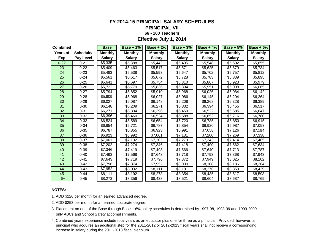#### **FY 2014-15 PRINCIPAL SALARY SCHEDULES**

#### **PRINCIPAL VII**

#### **66 - 100 Teachers**

**Effective July 1, 2014**

| <b>Combined</b> |                  | <b>Base</b>    | Base + $1\%$   | <b>Base + 2%</b> | Base + $3\%$   | Base + $4\%$   | $Base + 5%$    | Base + $6\%$   |
|-----------------|------------------|----------------|----------------|------------------|----------------|----------------|----------------|----------------|
| Years of        | Schedule/        | <b>Monthly</b> | <b>Monthly</b> | <b>Monthly</b>   | <b>Monthly</b> | <b>Monthly</b> | <b>Monthly</b> | <b>Monthly</b> |
| Exp             | <b>Pay Level</b> | <b>Salary</b>  | <b>Salary</b>  | <b>Salary</b>    | <b>Salary</b>  | <b>Salary</b>  | <b>Salary</b>  | <b>Salary</b>  |
| $0 - 22$        | $0 - 21$         | \$5,335        | \$5,388        | \$5,442          | \$5,495        | \$5,548        | \$5,602        | \$5,655        |
| 23              | $0 - 22$         | \$5,409        | \$5,463        | \$5,517          | \$5,571        | \$5,625        | \$5,679        | \$5,734        |
| 24              | $0 - 23$         | \$5,483        | \$5,538        | \$5,593          | \$5,647        | \$5,702        | \$5,757        | \$5,812        |
| 25              | $0 - 24$         | \$5,561        | \$5,617        | \$5,672          | \$5,728        | \$5,783        | \$5,839        | \$5,895        |
| 26              | $0 - 25$         | \$5,641        | \$5,697        | \$5,754          | \$5,810        | \$5,867        | \$5,923        | \$5,979        |
| 27              | $0 - 26$         | \$5,722        | \$5,779        | \$5,836          | \$5,894        | \$5,951        | \$6,008        | \$6,065        |
| 28              | $0 - 27$         | \$5,794        | \$5,852        | \$5,910          | \$5,968        | \$6,026        | \$6,084        | \$6,142        |
| 29              | $0 - 28$         | \$5,909        | \$5,968        | \$6,027          | \$6,086        | \$6,145        | \$6,204        | \$6,264        |
| 30              | $0 - 29$         | \$6,027        | \$6,087        | \$6,148          | \$6,208        | \$6,268        | \$6,328        | \$6,389        |
| 31              | $0 - 30$         | \$6,148        | \$6,209        | \$6,271          | \$6,332        | \$6,394        | \$6,455        | \$6,517        |
| 32              | $0 - 31$         | \$6,271        | \$6,334        | \$6,396          | \$6,459        | \$6,522        | \$6,585        | \$6,647        |
| 33              | $0 - 32$         | \$6,396        | \$6,460        | \$6,524          | \$6,588        | \$6,652        | \$6,716        | \$6,780        |
| 34              | $0 - 33$         | \$6,524        | \$6,589        | \$6,654          | \$6,720        | \$6,785        | \$6,850        | \$6,915        |
| 35              | $0 - 34$         | \$6,654        | \$6,721        | \$6,787          | \$6,854        | \$6,920        | \$6,987        | \$7,053        |
| 36              | $0 - 35$         | \$6,787        | \$6,855        | \$6,923          | \$6,991        | \$7,058        | \$7,126        | \$7,194        |
| 37              | $0 - 36$         | \$6,923        | \$6,992        | \$7,061          | \$7,131        | \$7,200        | \$7,269        | \$7,338        |
| 38              | $0 - 37$         | \$7,061        | \$7,132        | \$7,202          | \$7,273        | \$7,343        | \$7,414        | \$7,485        |
| 39              | $0 - 38$         | \$7,202        | \$7,274        | \$7,346          | \$7,418        | \$7,490        | \$7,562        | \$7,634        |
| 40              | $0 - 39$         | \$7,346        | \$7,419        | \$7,493          | \$7,566        | \$7,640        | \$7,713        | \$7,787        |
| 41              | $0 - 40$         | \$7,493        | \$7,568        | \$7,643          | \$7,718        | \$7,793        | \$7,868        | \$7,943        |
| 42              | $0 - 41$         | \$7,643        | \$7,719        | \$7,796          | \$7,872        | \$7,949        | \$8,025        | \$8,102        |
| 43              | $0 - 42$         | \$7,796        | \$7,874        | \$7,952          | \$8,030        | \$8,108        | \$8,186        | \$8,264        |
| 44              | $0 - 43$         | \$7,952        | \$8,032        | \$8,111          | \$8,191        | \$8,270        | \$8,350        | \$8,429        |
| 45              | $0 - 44$         | \$8,111        | \$8,192        | \$8,273          | \$8,354        | \$8,435        | \$8,517        | \$8,598        |
| $46+$           | $0 - 45$         | \$8,273        | \$8,356        | \$8,438          | \$8,521        | \$8,604        | \$8,687        | \$8,769        |

#### **NOTES:**

1. ADD \$126 per month for an earned advanced degree.

- 3. Placement on one of the Base through Base + 6% salary schedules is determined by 1997-98, 1998-99 and 1999-2000 only ABCs and School Safety accomplishments.
- 4. Combined years experience include total years as an educator plus one for three as a principal. Provided, however, a principal who acquires an additional step for the 2011-2012 or 2012-2013 fiscal years shall not receive a corresponding increase in salary during the 2011-2013 fiscal biennium.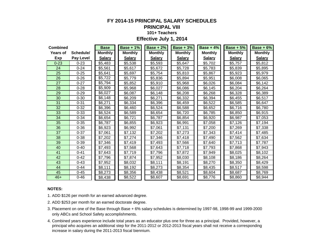# **FY 2014-15 PRINCIPAL SALARY SCHEDULES**

### **PRINCIPAL VIII**

#### **101+ Teachers**

#### **Effective July 1, 2014**

| <b>Combined</b> |           | <b>Base</b>    | <b>Base + 1%</b> | <b>Base + 2%</b> | <b>Base + 3%</b> | Base + $4\%$   | <b>Base + 5%</b> | <b>Base + 6%</b> |
|-----------------|-----------|----------------|------------------|------------------|------------------|----------------|------------------|------------------|
| Years of        | Schedule/ | <b>Monthly</b> | <b>Monthly</b>   | <b>Monthly</b>   | <b>Monthly</b>   | <b>Monthly</b> | <b>Monthly</b>   | <b>Monthly</b>   |
| <b>Exp</b>      | Pay Level | <b>Salary</b>  | <b>Salary</b>    | <b>Salary</b>    | <b>Salary</b>    | <b>Salary</b>  | <b>Salary</b>    | <b>Salary</b>    |
| $0 - 23$        | $0 - 23$  | \$5,483        | \$5,538          | \$5,593          | \$5,647          | \$5,702        | \$5,757          | \$5,812          |
| 24              | $0 - 24$  | \$5,561        | \$5,617          | \$5,672          | \$5,728          | \$5,783        | \$5,839          | \$5,895          |
| 25              | $0 - 25$  | \$5,641        | \$5,697          | \$5,754          | \$5,810          | \$5,867        | \$5,923          | \$5,979          |
| 26              | $0 - 26$  | \$5,722        | \$5,779          | \$5,836          | \$5,894          | \$5,951        | \$6,008          | \$6,065          |
| 27              | $0 - 27$  | \$5,794        | \$5,852          | \$5,910          | \$5,968          | \$6,026        | \$6,084          | \$6,142          |
| 28              | $0 - 28$  | \$5,909        | \$5,968          | \$6,027          | \$6,086          | \$6,145        | \$6,204          | \$6,264          |
| 29              | $0 - 29$  | \$6,027        | \$6,087          | \$6,148          | \$6,208          | \$6,268        | \$6,328          | \$6,389          |
| 30              | $0 - 30$  | \$6,148        | \$6,209          | \$6,271          | \$6,332          | \$6,394        | \$6,455          | \$6,517          |
| 31              | $0 - 31$  | \$6,271        | \$6,334          | \$6,396          | \$6,459          | \$6,522        | \$6,585          | \$6,647          |
| 32              | $0 - 32$  | \$6,396        | \$6,460          | \$6,524          | \$6,588          | \$6,652        | \$6,716          | \$6,780          |
| 33              | $0 - 33$  | \$6,524        | \$6,589          | \$6,654          | \$6,720          | \$6,785        | \$6,850          | \$6,915          |
| 34              | $0 - 34$  | \$6,654        | \$6,721          | \$6,787          | \$6,854          | \$6,920        | \$6,987          | \$7,053          |
| 35              | $0 - 35$  | \$6,787        | \$6,855          | \$6,923          | \$6,991          | \$7,058        | \$7,126          | \$7,194          |
| 36              | $0 - 36$  | \$6,923        | \$6,992          | \$7,061          | \$7,131          | \$7,200        | \$7,269          | \$7,338          |
| 37              | $0 - 37$  | \$7,061        | \$7,132          | \$7,202          | \$7,273          | \$7,343        | \$7,414          | \$7,485          |
| 38              | $0 - 38$  | \$7,202        | \$7,274          | \$7,346          | \$7,418          | \$7,490        | \$7,562          | \$7,634          |
| 39              | $0 - 39$  | \$7,346        | \$7,419          | \$7,493          | \$7,566          | \$7,640        | \$7,713          | \$7,787          |
| 40              | $0 - 40$  | \$7,493        | \$7,568          | \$7,643          | \$7,718          | \$7,793        | \$7,868          | \$7,943          |
| 41              | $0 - 41$  | \$7,643        | \$7,719          | \$7,796          | \$7,872          | \$7,949        | \$8,025          | \$8,102          |
| 42              | $0 - 42$  | \$7,796        | \$7,874          | \$7,952          | \$8,030          | \$8,108        | \$8,186          | \$8,264          |
| 43              | $0 - 43$  | \$7,952        | \$8,032          | \$8,111          | \$8,191          | \$8,270        | \$8,350          | \$8,429          |
| 44              | $0 - 44$  | \$8,111        | \$8,192          | \$8,273          | \$8,354          | \$8,435        | \$8,517          | \$8,598          |
| 45              | $0 - 45$  | \$8,273        | \$8,356          | \$8,438          | \$8,521          | \$8,604        | \$8,687          | \$8,769          |
| $46+$           | $0 - 46$  | \$8,438        | \$8,522          | \$8,607          | \$8,691          | \$8,776        | \$8,860          | \$8,944          |

#### **NOTES:**

1. ADD \$126 per month for an earned advanced degree.

- 2. ADD \$253 per month for an earned doctorate degree.
- 3. Placement on one of the Base through Base + 6% salary schedules is determined by 1997-98, 1998-99 and 1999-2000 only ABCs and School Safety accomplishments.
- 4. Combined years experience include total years as an educator plus one for three as a principal. Provided, however, a principal who acquires an additional step for the 2011-2012 or 2012-2013 fiscal years shall not receive a corresponding increase in salary during the 2011-2013 fiscal biennium.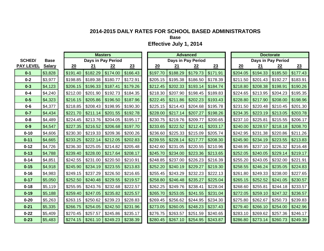**Base**

|                  |               |          | <b>Masters</b> |                    |                     |  |          | <b>Advanced</b> |                    |          |  |          | <b>Doctorate</b> |                    |          |  |
|------------------|---------------|----------|----------------|--------------------|---------------------|--|----------|-----------------|--------------------|----------|--|----------|------------------|--------------------|----------|--|
| <b>SCHED/</b>    | <b>Base</b>   |          |                | Days in Pay Period |                     |  |          |                 | Days in Pay Period |          |  |          |                  | Days in Pay Period |          |  |
| <b>PAY LEVEL</b> | <b>Salary</b> | 20       | 21             | 22                 | 23                  |  | 20       | 21              | 22                 | 23       |  | 20       | 21               | 22                 | 23       |  |
| $0 - 1$          | \$3,828       | \$191.40 | \$182.29       | \$174.00           | \$166.43            |  | \$197.70 | \$188.29        | \$179.73           | \$171.91 |  | \$204.05 | \$194.33         | \$185.50           | \$177.43 |  |
| $0 - 2$          | \$3,977       | \$198.85 | \$189.38       | \$180.77           | \$172.91            |  | \$205.15 | \$195.38        | \$186.50           | \$178.39 |  | \$211.50 | \$201.43         | \$192.27           | \$183.91 |  |
| $0 - 3$          | \$4,123       | \$206.15 | \$196.33       | \$187.41           | \$179.26            |  | \$212.45 | \$202.33        | \$193.14           | \$184.74 |  | \$218.80 | \$208.38         | \$198.91           | \$190.26 |  |
| $0 - 4$          | \$4,240       | \$212.00 | \$201.90       | \$192.73           | \$184.35            |  | \$218.30 | \$207.90        | \$198.45           | \$189.83 |  | \$224.65 | \$213.95         | \$204.23           | \$195.35 |  |
| $0 - 5$          | \$4,323       | \$216.15 | \$205.86       | \$196.50           | \$187.96            |  | \$222.45 | \$211.86        | \$202.23           | \$193.43 |  | \$228.80 | \$217.90         | \$208.00           | \$198.96 |  |
| $0 - 6$          | \$4,377       | \$218.85 | \$208.43       | \$198.95           | \$190.30            |  | \$225.15 | \$214.43        | \$204.68           | \$195.78 |  | \$231.50 | \$220.48         | \$210.45           | \$201.30 |  |
| $0 - 7$          | \$4,434       | \$221.70 | \$211.14       | \$201.55           | \$192.78            |  | \$228.00 | \$217.14        | \$207.27           | \$198.26 |  | \$234.35 | \$223.19         | \$213.05           | \$203.78 |  |
| $0 - 8$          | \$4,489       | \$224.45 | \$213.76       | \$204.05           | \$195.17            |  | \$230.75 | \$219.76        | \$209.77           | \$200.65 |  | \$237.10 | \$225.81         | \$215.55           | \$206.17 |  |
| $0-9$            | \$4,547       | \$227.35 | \$216.52       | \$206.68           | \$197.70            |  | \$233.65 | \$222.52        | \$212.41           | \$203.17 |  | \$240.00 | \$228.57         | \$218.18           | \$208.70 |  |
| $0 - 10$         | \$4,606       | \$230.30 | \$219.33       | \$209.36           | \$200.26            |  | \$236.60 | \$225.33        | \$215.09           | \$205.74 |  | \$242.95 | \$231.38         | \$220.86           | \$211.26 |  |
| $0 - 11$         | \$4,665       | \$233.25 | \$222.14       | \$212.05           | \$202.83            |  | \$239.55 | \$228.14        | \$217.77           | \$208.30 |  | \$245.90 | \$234.19         | \$223.55           | \$213.83 |  |
| $0 - 12$         | \$4,726       | \$236.30 | \$225.05       | \$214.82           | \$205.48            |  | \$242.60 | \$231.05        | \$220.55           | \$210.96 |  | \$248.95 | \$237.10         | \$226.32           | \$216.48 |  |
| $0 - 13$         | \$4,788       | \$239.40 | \$228.00       | \$217.64           | \$208.17            |  | \$245.70 | \$234.00        | \$223.36           | \$213.65 |  | \$252.05 | \$240.05         | \$229.14           | \$219.17 |  |
| $0 - 14$         | \$4,851       | \$242.55 | \$231.00       | \$220.50           | \$210.91            |  | \$248.85 | \$237.00        | \$226.23           | \$216.39 |  | \$255.20 | \$243.05         | \$232.00           | \$221.91 |  |
| $0 - 15$         | \$4,918       | \$245.90 | \$234.19       | \$223.55           | \$213.83            |  | \$252.20 | \$240.19        | \$229.27           | \$219.30 |  | \$258.55 | \$246.24         | \$235.05           | \$224.83 |  |
| $0 - 16$         | \$4,983       | \$249.15 | \$237.29       | \$226.50           | \$216.65            |  | \$255.45 | \$243.29        | \$232.23           | \$222.13 |  | \$261.80 | \$249.33         | \$238.00           | \$227.65 |  |
| $0 - 17$         | \$5,050       | \$252.50 | \$240.48       | \$229.55           | \$219.57            |  | \$258.80 | \$246.48        | \$235.27           | \$225.04 |  | \$265.15 | \$252.52         | \$241.05           | \$230.57 |  |
| $0 - 18$         | \$5,119       | \$255.95 | \$243.76       | \$232.68           | \$222.57            |  | \$262.25 | \$249.76        | \$238.41           | \$228.04 |  | \$268.60 | \$255.81         | \$244.18           | \$233.57 |  |
| $0 - 19$         | \$5,188       | \$259.40 | \$247.05       | \$235.82           | \$225.57            |  | \$265.70 | \$253.05        | \$241.55           | \$231.04 |  | \$272.05 | \$259.10         | \$247.32           | \$236.57 |  |
| $0 - 20$         | \$5,263       | \$263.15 | \$250.62       | \$239.23           | \$228.83            |  | \$269.45 | \$256.62        | \$244.95           | \$234.30 |  | \$275.80 | \$262.67         | \$250.73           | \$239.83 |  |
| $0 - 21$         | \$5,335       | \$266.75 | \$254.05       | \$242.50           | \$231.96            |  | \$273.05 | \$260.05        | \$248.23           | \$237.43 |  | \$279.40 | \$266.10         | \$254.00           | \$242.96 |  |
| $0 - 22$         | \$5,409       | \$270.45 | \$257.57       | \$245.86           | \$235.17            |  | \$276.75 | \$263.57        | \$251.59           | \$240.65 |  | \$283.10 | \$269.62         | \$257.36           | \$246.17 |  |
| $0 - 23$         | \$5,483       | \$274.15 | \$261.10       |                    | $$249.23$ $$238.39$ |  | \$280.45 | \$267.10        | \$254.95           | \$243.87 |  | \$286.80 | \$273.14         | \$260.73           | \$249.39 |  |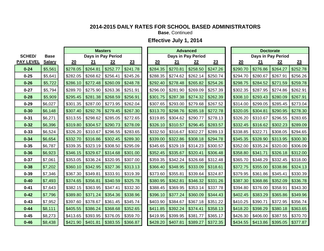**Base**, Continued

|                  |               | <b>Masters</b> |           |                    |          |  | <b>Advanced</b> |            |                    |          |  | <b>Doctorate</b> |           |                    |          |  |
|------------------|---------------|----------------|-----------|--------------------|----------|--|-----------------|------------|--------------------|----------|--|------------------|-----------|--------------------|----------|--|
| <b>SCHED/</b>    | <b>Base</b>   |                |           | Days in Pay Period |          |  |                 |            | Days in Pay Period |          |  |                  |           | Days in Pay Period |          |  |
| <b>PAY LEVEL</b> | <b>Salary</b> | 20             | <u>21</u> | 22                 | 23       |  | 20              | <u> 21</u> | 22                 | 23       |  | 20               | <u>21</u> | 22                 | 23       |  |
| $0 - 24$         | \$5,561       | \$278.05       | \$264.81  | \$252.77           | \$241.78 |  | \$284.35        | \$270.81   | \$258.50           | \$247.26 |  | \$290.70         | \$276.86  | \$264.27           | \$252.78 |  |
| $0 - 25$         | \$5,641       | \$282.05       | \$268.62  | \$256.41           | \$245.26 |  | \$288.35        | \$274.62   | \$262.14           | \$250.74 |  | \$294.70         | \$280.67  | \$267.91           | \$256.26 |  |
| $0 - 26$         | \$5,722       | \$286.10       | \$272.48  | \$260.09           | \$248.78 |  | \$292.40        | \$278.48   | \$265.82           | \$254.26 |  | \$298.75         | \$284.52  | \$271.59           | \$259.78 |  |
| $0 - 27$         | \$5,794       | \$289.70       | \$275.90  | \$263.36           | \$251.91 |  | \$296.00        | \$281.90   | \$269.09           | \$257.39 |  | \$302.35         | \$287.95  | \$274.86           | \$262.91 |  |
| $0 - 28$         | \$5,909       | \$295.45       | \$281.38  | \$268.59           | \$256.91 |  | \$301.75        | \$287.38   | \$274.32           | \$262.39 |  | \$308.10         | \$293.43  | \$280.09           | \$267.91 |  |
| $0 - 29$         | \$6,027       | \$301.35       | \$287.00  | \$273.95           | \$262.04 |  | \$307.65        | \$293.00   | \$279.68           | \$267.52 |  | \$314.00         | \$299.05  | \$285.45           | \$273.04 |  |
| $0 - 30$         | \$6,148       | \$307.40       | \$292.76  | \$279.45           | \$267.30 |  | \$313.70        | \$298.76   | \$285.18           | \$272.78 |  | \$320.05         | \$304.81  | \$290.95           | \$278.30 |  |
| $0 - 31$         | \$6,271       | \$313.55       | \$298.62  | \$285.05           | \$272.65 |  | \$319.85        | \$304.62   | \$290.77           | \$278.13 |  | \$326.20         | \$310.67  | \$296.55           | \$283.65 |  |
| $0 - 32$         | \$6,396       | \$319.80       | \$304.57  | \$290.73           | \$278.09 |  | \$326.10        | \$310.57   | \$296.45           | \$283.57 |  | \$332.45         | \$316.62  | \$302.23           | \$289.09 |  |
| $0 - 33$         | \$6,524       | \$326.20       | \$310.67  | \$296.55           | \$283.65 |  | \$332.50        | \$316.67   | \$302.27           | \$289.13 |  | \$338.85         | \$322.71  | \$308.05           | \$294.65 |  |
| $0 - 34$         | \$6,654       | \$332.70       | \$316.86  | \$302.45           | \$289.30 |  | \$339.00        | \$322.86   | \$308.18           | \$294.78 |  | \$345.35         | \$328.90  | \$313.95           | \$300.30 |  |
| $0 - 35$         | \$6,787       | \$339.35       | \$323.19  | \$308.50           | \$295.09 |  | \$345.65        | \$329.19   | \$314.23           | \$300.57 |  | \$352.00         | \$335.24  | \$320.00           | \$306.09 |  |
| $0 - 36$         | \$6,923       | \$346.15       | \$329.67  | \$314.68           | \$301.00 |  | \$352.45        | \$335.67   | \$320.41           | \$306.48 |  | \$358.80         | \$341.71  | \$326.18           | \$312.00 |  |
| $0 - 37$         | \$7,061       | \$353.05       | \$336.24  | \$320.95           | \$307.00 |  | \$359.35        | \$342.24   | \$326.68           | \$312.48 |  | \$365.70         | \$348.29  | \$332.45           | \$318.00 |  |
| $0 - 38$         | \$7,202       | \$360.10       | \$342.95  | \$327.36           | \$313.13 |  | \$366.40        | \$348.95   | \$333.09           | \$318.61 |  | \$372.75         | \$355.00  | \$338.86           | \$324.13 |  |
| $0 - 39$         | \$7,346       | \$367.30       | \$349.81  | \$333.91           | \$319.39 |  | \$373.60        | \$355.81   | \$339.64           | \$324.87 |  | \$379.95         | \$361.86  | \$345.41           | \$330.39 |  |
| $0 - 40$         | \$7,493       | \$374.65       | \$356.81  | \$340.59           | \$325.78 |  | \$380.95        | \$362.81   | \$346.32           | \$331.26 |  | \$387.30         | \$368.86  | \$352.09           | \$336.78 |  |
| $0 - 41$         | \$7,643       | \$382.15       | \$363.95  | \$347.41           | \$332.30 |  | \$388.45        | \$369.95   | \$353.14           | \$337.78 |  | \$394.80         | \$376.00  | \$358.91           | \$343.30 |  |
| $0 - 42$         | \$7,796       | \$389.80       | \$371.24  | \$354.36           | \$338.96 |  | \$396.10        | \$377.24   | \$360.09           | \$344.43 |  | \$402.45         | \$383.29  | \$365.86           | \$349.96 |  |
| $0 - 43$         | \$7,952       | \$397.60       | \$378.67  | \$361.45           | \$345.74 |  | \$403.90        | \$384.67   | \$367.18           | \$351.22 |  | \$410.25         | \$390.71  | \$372.95           | \$356.74 |  |
| $0 - 44$         | \$8,111       | \$405.55       | \$386.24  | \$368.68           | \$352.65 |  | \$411.85        | \$392.24   | \$374.41           | \$358.13 |  | \$418.20         | \$398.29  | \$380.18           | \$363.65 |  |
| $0 - 45$         | \$8,273       | \$413.65       | \$393.95  | \$376.05           | \$359.70 |  | \$419.95        | \$399.95   | \$381.77           | \$365.17 |  | \$426.30         | \$406.00  | \$387.55           | \$370.70 |  |
| $0 - 46$         | \$8,438       | \$421.90       | \$401.81  | \$383.55           | \$366.87 |  | \$428.20        | \$407.81   | \$389.27           | \$372.35 |  | \$434.55         | \$413.86  | \$395.05           | \$377.87 |  |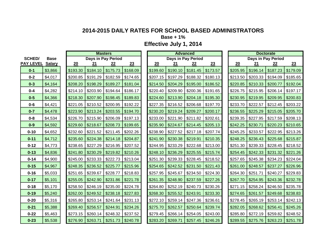**Base + 1%**

|                  |               |          |          | <b>Masters</b>            |                        | <b>Advanced</b> |          |          |                           |          |  | <b>Doctorate</b> |          |                           |          |  |
|------------------|---------------|----------|----------|---------------------------|------------------------|-----------------|----------|----------|---------------------------|----------|--|------------------|----------|---------------------------|----------|--|
| <b>SCHED/</b>    | <b>Base</b>   |          |          | <b>Days in Pay Period</b> |                        |                 |          |          | <b>Days in Pay Period</b> |          |  |                  |          | <b>Days in Pay Period</b> |          |  |
| <b>PAY LEVEL</b> | <b>Salary</b> | 20       | 21       | 22                        | 23                     |                 | 20       | 21       | 22                        | 23       |  | 20               | 21       | 22                        | 23       |  |
| $0 - 1$          | \$3,866       | \$193.30 | \$184.10 | \$175.73                  | \$168.09               |                 | \$199.60 | \$190.10 | \$181.45                  | \$173.57 |  | \$205.95         | \$196.14 | \$187.23                  | \$179.09 |  |
| $0 - 2$          | \$4,017       | \$200.85 | \$191.29 | \$182.59                  | \$174.65               |                 | \$207.15 | \$197.29 | \$188.32                  | \$180.13 |  | \$213.50         | \$203.33 | \$194.09                  | \$185.65 |  |
| $0 - 3$          | \$4,164       | \$208.20 | \$198.29 | \$189.27                  | \$181.04               |                 | \$214.50 | \$204.29 | \$195.00                  | \$186.52 |  | \$220.85         | \$210.33 | \$200.77                  | \$192.04 |  |
| $0 - 4$          | \$4,282       | \$214.10 | \$203.90 | \$194.64                  | \$186.17               |                 | \$220.40 | \$209.90 | \$200.36                  | \$191.65 |  | \$226.75         | \$215.95 | \$206.14                  | \$197.17 |  |
| $0 - 5$          | \$4,366       | \$218.30 | \$207.90 | \$198.45                  | \$189.83               |                 | \$224.60 | \$213.90 | \$204.18                  | \$195.30 |  | \$230.95         | \$219.95 | \$209.95                  | \$200.83 |  |
| $0 - 6$          | \$4,421       | \$221.05 | \$210.52 | \$200.95                  | \$192.22               |                 | \$227.35 | \$216.52 | \$206.68                  | \$197.70 |  | \$233.70         | \$222.57 | \$212.45                  | \$203.22 |  |
| $0 - 7$          | \$4,478       | \$223.90 | \$213.24 | \$203.55                  | \$194.70               |                 | \$230.20 | \$219.24 | \$209.27                  | \$200.17 |  | \$236.55         | \$225.29 | \$215.05                  | \$205.70 |  |
| $0 - 8$          | \$4,534       | \$226.70 | \$215.90 | \$206.09                  | \$197.13               |                 | \$233.00 | \$221.90 | \$211.82                  | \$202.61 |  | \$239.35         | \$227.95 | \$217.59                  | \$208.13 |  |
| $0-9$            | \$4,592       | \$229.60 | \$218.67 | \$208.73                  | \$199.65               |                 | \$235.90 | \$224.67 | \$214.45                  | \$205.13 |  | \$242.25         | \$230.71 | \$220.23                  | \$210.65 |  |
| $0 - 10$         | \$4,652       | \$232.60 | \$221.52 | \$211.45                  | \$202.26               |                 | \$238.90 | \$227.52 | \$217.18                  | \$207.74 |  | \$245.25         | \$233.57 | \$222.95                  | \$213.26 |  |
| $0 - 11$         | \$4,712       | \$235.60 | \$224.38 | \$214.18                  | \$204.87               |                 | \$241.90 | \$230.38 | \$219.91                  | \$210.35 |  | \$248.25         | \$236.43 | \$225.68                  | \$215.87 |  |
| $0 - 12$         | \$4,773       | \$238.65 | \$227.29 | \$216.95                  | \$207.52               |                 | \$244.95 | \$233.29 | \$222.68                  | \$213.00 |  | \$251.30         | \$239.33 | \$228.45                  | \$218.52 |  |
| $0 - 13$         | \$4,836       | \$241.80 | \$230.29 | \$219.82                  | \$210.26               |                 | \$248.10 | \$236.29 | \$225.55                  | \$215.74 |  | \$254.45         | \$242.33 | \$231.32                  | \$221.26 |  |
| $0 - 14$         | \$4,900       | \$245.00 | \$233.33 | \$222.73                  | \$213.04               |                 | \$251.30 | \$239.33 | \$228.45                  | \$218.52 |  | \$257.65         | \$245.38 | \$234.23                  | \$224.04 |  |
| $0 - 15$         | \$4,967       | \$248.35 | \$236.52 | \$225.77                  | \$215.96               |                 | \$254.65 | \$242.52 | \$231.50                  | \$221.43 |  | \$261.00         | \$248.57 | \$237.27                  | \$226.96 |  |
| $0 - 16$         | \$5,033       | \$251.65 | \$239.67 | \$228.77                  | \$218.83               |                 | \$257.95 | \$245.67 | \$234.50                  | \$224.30 |  | \$264.30         | \$251.71 | \$240.27                  | \$229.83 |  |
| $0 - 17$         | \$5,101       | \$255.05 | \$242.90 | \$231.86                  | \$221.78               |                 | \$261.35 | \$248.90 | \$237.59                  | \$227.26 |  | \$267.70         | \$254.95 | \$243.36                  | \$232.78 |  |
| $0 - 18$         | \$5,170       | \$258.50 | \$246.19 | \$235.00                  | \$224.78               |                 | \$264.80 | \$252.19 | \$240.73                  | \$230.26 |  | \$271.15         | \$258.24 | \$246.50                  | \$235.78 |  |
| $0 - 19$         | \$5,240       | \$262.00 | \$249.52 | \$238.18                  | \$227.83               |                 | \$268.30 | \$255.52 | \$243.91                  | \$233.30 |  | \$274.65         | \$261.57 | \$249.68                  | \$238.83 |  |
| $0 - 20$         | \$5,316       | \$265.80 | \$253.14 | \$241.64                  | \$231.13               |                 | \$272.10 | \$259.14 | \$247.36                  | \$236.61 |  | \$278.45         | \$265.19 | \$253.14                  | \$242.13 |  |
| $0 - 21$         | \$5,388       | \$269.40 | \$256.57 | \$244.91                  | \$234.26               |                 | \$275.70 | \$262.57 | \$250.64                  | \$239.74 |  | \$282.05         | \$268.62 | \$256.41                  | \$245.26 |  |
| $0 - 22$         | \$5,463       | \$273.15 | \$260.14 | \$248.32                  | \$237.52               |                 | \$279.45 | \$266.14 | \$254.05                  | \$243.00 |  | \$285.80         | \$272.19 | \$259.82                  | \$248.52 |  |
| $0 - 23$         | \$5,538       | \$276.90 | \$263.71 | \$251.73                  | $\frac{1}{2}$ \$240.78 |                 | \$283.20 | \$269.71 | \$257.45                  | \$246.26 |  | \$289.55         | \$275.76 | \$263.23                  | \$251.78 |  |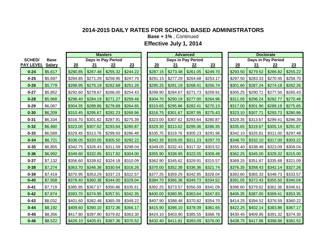**Base + 1%** , Continued

|                  |               | <b>Masters</b> |          |                    |          |  |          |          | <b>Advanced</b>    |          | <b>Doctorate</b> |          |          |                           |          |
|------------------|---------------|----------------|----------|--------------------|----------|--|----------|----------|--------------------|----------|------------------|----------|----------|---------------------------|----------|
| <b>SCHED/</b>    | <b>Base</b>   |                |          | Days in Pay Period |          |  |          |          | Days in Pay Period |          |                  |          |          | <b>Days in Pay Period</b> |          |
| <b>PAY LEVEL</b> | <b>Salary</b> | 20             | 21       | 22                 | 23       |  | 20       | 21       | 22                 | 23       |                  | 20       | 21       | 22                        | 23       |
| $0 - 24$         | \$5,617       | \$280.85       | \$267.48 | \$255.32           | \$244.22 |  | \$287.15 | \$273.48 | \$261.05           | \$249.70 |                  | \$293.50 | \$279.52 | \$266.82                  | \$255.22 |
| $0 - 25$         | \$5,697       | \$284.85       | \$271.29 | \$258.95           | \$247.70 |  | \$291.15 | \$277.29 | \$264.68           | \$253.17 |                  | \$297.50 | \$283.33 | \$270.45                  | \$258.70 |
| $0 - 26$         | \$5,779       | \$288.95       | \$275.19 | \$262.68           | \$251.26 |  | \$295.25 | \$281.19 | \$268.41           | \$256.74 |                  | \$301.60 | \$287.24 | \$274.18                  | \$262.26 |
| $0 - 27$         | \$5,852       | \$292.60       | \$278.67 | \$266.00           | \$254.43 |  | \$298.90 | \$284.67 | \$271.73           | \$259.91 |                  | \$305.25 | \$290.71 | \$277.50                  | \$265.43 |
| $0 - 28$         | \$5,968       | \$298.40       | \$284.19 | \$271.27           | \$259.48 |  | \$304.70 | \$290.19 | \$277.00           | \$264.96 |                  | \$311.05 | \$296.24 | \$282.77                  | \$270.48 |
| $0 - 29$         | \$6,087       | \$304.35       | \$289.86 | \$276.68           | \$264.65 |  | \$310.65 | \$295.86 | \$282.41           | \$270.13 |                  | \$317.00 | \$301.90 | \$288.18                  | \$275.65 |
| $0 - 30$         | \$6,209       | \$310.45       | \$295.67 | \$282.23           | \$269.96 |  | \$316.75 | \$301.67 | \$287.95           | \$275.43 |                  | \$323.10 | \$307.71 | \$293.73                  | \$280.96 |
| $0 - 31$         | \$6,334       | \$316.70       | \$301.62 | \$287.91           | \$275.39 |  | \$323.00 | \$307.62 | \$293.64           | \$280.87 |                  | \$329.35 | \$313.67 | \$299.41                  | \$286.39 |
| $0 - 32$         | \$6,460       | \$323.00       | \$307.62 | \$293.64           | \$280.87 |  | \$329.30 | \$313.62 | \$299.36           | \$286.35 |                  | \$335.65 | \$319.67 | \$305.14                  | \$291.87 |
| $0 - 33$         | \$6,589       | \$329.45       | \$313.76 | \$299.50           | \$286.48 |  | \$335.75 | \$319.76 | \$305.23           | \$291.96 |                  | \$342.10 | \$325.81 | \$311.00                  | \$297.48 |
| $0 - 34$         | \$6,721       | \$336.05       | \$320.05 | \$305.50           | \$292.22 |  | \$342.35 | \$326.05 | \$311.23           | \$297.70 |                  | \$348.70 | \$332.10 | \$317.00                  | \$303.22 |
| $0 - 35$         | \$6,855       | \$342.75       | \$326.43 | \$311.59           | \$298.04 |  | \$349.05 | \$332.43 | \$317.32           | \$303.52 |                  | \$355.40 | \$338.48 | \$323.09                  | \$309.04 |
| $0 - 36$         | \$6,992       | \$349.60       | \$332.95 | \$317.82           | \$304.00 |  | \$355.90 | \$338.95 | \$323.55           | \$309.48 |                  | \$362.25 | \$345.00 | \$329.32                  | \$315.00 |
| $0 - 37$         | \$7,132       | \$356.60       | \$339.62 | \$324.18           | \$310.09 |  | \$362.90 | \$345.62 | \$329.91           | \$315.57 |                  | \$369.25 | \$351.67 | \$335.68                  | \$321.09 |
| $0 - 38$         | \$7,274       | \$363.70       | \$346.38 | \$330.64           | \$316.26 |  | \$370.00 | \$352.38 | \$336.36           | \$321.74 |                  | \$376.35 | \$358.43 | \$342.14                  | \$327.26 |
| $0 - 39$         | \$7,419       | \$370.95       | \$353.29 | \$337.23           | \$322.57 |  | \$377.25 | \$359.29 | \$342.95           | \$328.04 |                  | \$383.60 | \$365.33 | \$348.73                  | \$333.57 |
| $0 - 40$         | \$7,568       | \$378.40       | \$360.38 | \$344.00           | \$329.04 |  | \$384.70 | \$366.38 | \$349.73           | \$334.52 |                  | \$391.05 | \$372.43 | \$355.50                  | \$340.04 |
| $0 - 41$         | \$7,719       | \$385.95       | \$367.57 | \$350.86           | \$335.61 |  | \$392.25 | \$373.57 | \$356.59           | \$341.09 |                  | \$398.60 | \$379.62 | \$362.36                  | \$346.61 |
| $0 - 42$         | \$7,874       | \$393.70       | \$374.95 | \$357.91           | \$342.35 |  | \$400.00 | \$380.95 | \$363.64           | \$347.83 |                  | \$406.35 | \$387.00 | \$369.41                  | \$353.35 |
| $0 - 43$         | \$8,032       | \$401.60       | \$382.48 | \$365.09           | \$349.22 |  | \$407.90 | \$388.48 | \$370.82           | \$354.70 |                  | \$414.25 | \$394.52 | \$376.59                  | \$360.22 |
| $0 - 44$         | \$8,192       | \$409.60       | \$390.10 | \$372.36           | \$356.17 |  | \$415.90 | \$396.10 | \$378.09           | \$361.65 |                  | \$422.25 | \$402.14 | \$383.86                  | \$367.17 |
| $0 - 45$         | \$8,356       | \$417.80       | \$397.90 | \$379.82           | \$363.30 |  | \$424.10 | \$403.90 | \$385.55           | \$368.78 |                  | \$430.45 | \$409.95 | \$391.32                  | \$374.30 |
| $0 - 46$         | \$8,522       | \$426.10       | \$405.81 | \$387.36           | \$370.52 |  | \$432.40 | \$411.81 | \$393.09           | \$376.00 |                  | \$438.75 | \$417.86 | \$398.86                  | \$381.52 |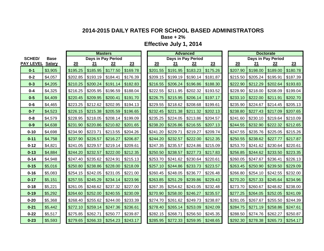**Base + 2%**

|                  |               |          |          | <b>Masters</b>     |          | <b>Advanced</b> |          |          |                    |          |  | <b>Doctorate</b> |                    |                        |          |  |
|------------------|---------------|----------|----------|--------------------|----------|-----------------|----------|----------|--------------------|----------|--|------------------|--------------------|------------------------|----------|--|
| <b>SCHED/</b>    | <b>Base</b>   |          |          | Days in Pay Period |          |                 |          |          | Days in Pay Period |          |  |                  | Days in Pay Period |                        |          |  |
| <b>PAY LEVEL</b> | <b>Salary</b> | 20       | 21       | 22                 | 23       |                 | 20       | 21       | 22                 | 23       |  | 20               | 21                 | 22                     | 23       |  |
| $0 - 1$          | \$3,905       | \$195.25 | \$185.95 | \$177.50           | \$169.78 |                 | \$201.55 | \$191.95 | \$183.23           | \$175.26 |  | \$207.90         | \$198.00           | \$189.00               | \$180.78 |  |
| $0 - 2$          | \$4,057       | \$202.85 | \$193.19 | \$184.41           | \$176.39 |                 | \$209.15 | \$199.19 | \$190.14           | \$181.87 |  | \$215.50         | \$205.24           | \$195.91               | \$187.39 |  |
| $0 - 3$          | \$4,205       | \$210.25 | \$200.24 | \$191.14           | \$182.83 |                 | \$216.55 | \$206.24 | \$196.86           | \$188.30 |  | \$222.90         | \$212.29           | \$202.64               | \$193.83 |  |
| $0 - 4$          | \$4,325       | \$216.25 | \$205.95 | \$196.59           | \$188.04 |                 | \$222.55 | \$211.95 | \$202.32           | \$193.52 |  | \$228.90         | \$218.00           | \$208.09               | \$199.04 |  |
| $0 - 5$          | \$4,409       | \$220.45 | \$209.95 | \$200.41           | \$191.70 |                 | \$226.75 | \$215.95 | \$206.14           | \$197.17 |  | \$233.10         | \$222.00           | \$211.91               | \$202.70 |  |
| $0 - 6$          | \$4,465       | \$223.25 | \$212.62 | \$202.95           | \$194.13 |                 | \$229.55 | \$218.62 | \$208.68           | \$199.61 |  | \$235.90         | \$224.67           | \$214.45               | \$205.13 |  |
| $0 - 7$          | \$4,523       | \$226.15 | \$215.38 | \$205.59           | \$196.65 |                 | \$232.45 | \$221.38 | \$211.32           | \$202.13 |  | \$238.80         | \$227.43           | \$217.09               | \$207.65 |  |
| $0 - 8$          | \$4,579       | \$228.95 | \$218.05 | \$208.14           | \$199.09 |                 | \$235.25 | \$224.05 | \$213.86           | \$204.57 |  | \$241.60         | \$230.10           | \$219.64               | \$210.09 |  |
| $0-9$            | \$4,638       | \$231.90 | \$220.86 | \$210.82           | \$201.65 |                 | \$238.20 | \$226.86 | \$216.55           | \$207.13 |  | \$244.55         | \$232.90           | \$222.32               | \$212.65 |  |
| $0 - 10$         | \$4,698       | \$234.90 | \$223.71 | \$213.55           | \$204.26 |                 | \$241.20 | \$229.71 | \$219.27           | \$209.74 |  | \$247.55         | \$235.76           | \$225.05               | \$215.26 |  |
| $0 - 11$         | \$4,758       | \$237.90 | \$226.57 | \$216.27           | \$206.87 |                 | \$244.20 | \$232.57 | \$222.00           | \$212.35 |  | \$250.55         | \$238.62           | \$227.77               | \$217.87 |  |
| $0 - 12$         | \$4,821       | \$241.05 | \$229.57 | \$219.14           | \$209.61 |                 | \$247.35 | \$235.57 | \$224.86           | \$215.09 |  | \$253.70         | \$241.62           | \$230.64               | \$220.61 |  |
| $0 - 13$         | \$4,884       | \$244.20 | \$232.57 | \$222.00           | \$212.35 |                 | \$250.50 | \$238.57 | \$227.73           | \$217.83 |  | \$256.85         | \$244.62           | \$233.50               | \$223.35 |  |
| $0 - 14$         | \$4,948       | \$247.40 | \$235.62 | \$224.91           | \$215.13 |                 | \$253.70 | \$241.62 | \$230.64           | \$220.61 |  | \$260.05         | \$247.67           | \$236.41               | \$226.13 |  |
| $0 - 15$         | \$5,016       | \$250.80 | \$238.86 | \$228.00           | \$218.09 |                 | \$257.10 | \$244.86 | \$233.73           | \$223.57 |  | \$263.45         | \$250.90           | \$239.50               | \$229.09 |  |
| $0 - 16$         | \$5,083       | \$254.15 | \$242.05 | \$231.05           | \$221.00 |                 | \$260.45 | \$248.05 | \$236.77           | \$226.48 |  | \$266.80         | \$254.10           | \$242.55               | \$232.00 |  |
| $0 - 17$         | \$5,151       | \$257.55 | \$245.29 | \$234.14           | \$223.96 |                 | \$263.85 | \$251.29 | \$239.86           | \$229.43 |  | \$270.20         | \$257.33           | \$245.64               | \$234.96 |  |
| $0 - 18$         | \$5,221       | \$261.05 | \$248.62 | \$237.32           | \$227.00 |                 | \$267.35 | \$254.62 | \$243.05           | \$232.48 |  | \$273.70         | \$260.67           | \$248.82               | \$238.00 |  |
| $0 - 19$         | \$5,292       | \$264.60 | \$252.00 | \$240.55           | \$230.09 |                 | \$270.90 | \$258.00 | \$246.27           | \$235.57 |  | \$277.25         | \$264.05           | \$252.05               | \$241.09 |  |
| $0 - 20$         | \$5,368       | \$268.40 | \$255.62 | \$244.00           | \$233.39 |                 | \$274.70 | \$261.62 | \$249.73           | \$238.87 |  | \$281.05         | \$267.67           | \$255.50               | \$244.39 |  |
| $0 - 21$         | \$5,442       | \$272.10 | \$259.14 | \$247.36           | \$236.61 |                 | \$278.40 | \$265.14 | \$253.09           | \$242.09 |  | \$284.75         | \$271.19           | \$258.86               | \$247.61 |  |
| $0 - 22$         | \$5,517       | \$275.85 | \$262.71 | \$250.77           | \$239.87 |                 | \$282.15 | \$268.71 | \$256.50           | \$245.35 |  | \$288.50         | \$274.76           | \$262.27               | \$250.87 |  |
| $0 - 23$         | \$5,593       | \$279.65 | \$266.33 | \$254.23           | \$243.17 |                 | \$285.95 | \$272.33 | \$259.95           | \$248.65 |  | \$292.30         | \$278.38           | $\frac{1}{2}$ \$265.73 | \$254.17 |  |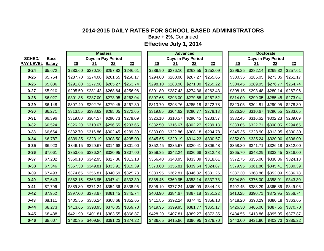**Base + 2%**, Continued

**Effective July 1, 2014**

|                  |               |          |          | <b>Masters</b>     |          |          |          | <b>Advanced</b>    |          |          |          | <b>Doctorate</b>   |          |
|------------------|---------------|----------|----------|--------------------|----------|----------|----------|--------------------|----------|----------|----------|--------------------|----------|
| <b>SCHED/</b>    | <b>Base</b>   |          |          | Days in Pay Period |          |          |          | Days in Pay Period |          |          |          | Days in Pay Period |          |
| <b>PAY LEVEL</b> | <b>Salary</b> | 20       | 21       | 22                 | 23       | 20       | 21       | 22                 | 23       | 20       | 21       | 22                 | 23       |
| $0 - 24$         | \$5,672       | \$283.60 | \$270.10 | \$257.82           | \$246.61 | \$289.90 | \$276.10 | \$263.55           | \$252.09 | \$296.25 | \$282.14 | \$269.32           | \$257.61 |
| $0 - 25$         | \$5,754       | \$287.70 | \$274.00 | \$261.55           | \$250.17 | \$294.00 | \$280.00 | \$267.27           | \$255.65 | \$300.35 | \$286.05 | \$273.05           | \$261.17 |
| $0 - 26$         | \$5,836       | \$291.80 | \$277.90 | \$265.27           | \$253.74 | \$298.10 | \$283.90 | \$271.00           | \$259.22 | \$304.45 | \$289.95 | \$276.77           | \$264.74 |
| $0 - 27$         | \$5,910       | \$295.50 | \$281.43 | \$268.64           | \$256.96 | \$301.80 | \$287.43 | \$274.36           | \$262.43 | \$308.15 | \$293.48 | \$280.14           | \$267.96 |
| $0 - 28$         | \$6,027       | \$301.35 | \$287.00 | \$273.95           | \$262.04 | \$307.65 | \$293.00 | \$279.68           | \$267.52 | \$314.00 | \$299.05 | \$285.45           | \$273.04 |
| $0 - 29$         | \$6,148       | \$307.40 | \$292.76 | \$279.45           | \$267.30 | \$313.70 | \$298.76 | \$285.18           | \$272.78 | \$320.05 | \$304.81 | \$290.95           | \$278.30 |
| $0 - 30$         | \$6,271       | \$313.55 | \$298.62 | \$285.05           | \$272.65 | \$319.85 | \$304.62 | \$290.77           | \$278.13 | \$326.20 | \$310.67 | \$296.55           | \$283.65 |
| $0 - 31$         | \$6,396       | \$319.80 | \$304.57 | \$290.73           | \$278.09 | \$326.10 | \$310.57 | \$296.45           | \$283.57 | \$332.45 | \$316.62 | \$302.23           | \$289.09 |
| $0 - 32$         | \$6,524       | \$326.20 | \$310.67 | \$296.55           | \$283.65 | \$332.50 | \$316.67 | \$302.27           | \$289.13 | \$338.85 | \$322.71 | \$308.05           | \$294.65 |
| $0 - 33$         | \$6,654       | \$332.70 | \$316.86 | \$302.45           | \$289.30 | \$339.00 | \$322.86 | \$308.18           | \$294.78 | \$345.35 | \$328.90 | \$313.95           | \$300.30 |
| $0 - 34$         | \$6,787       | \$339.35 | \$323.19 | \$308.50           | \$295.09 | \$345.65 | \$329.19 | \$314.23           | \$300.57 | \$352.00 | \$335.24 | \$320.00           | \$306.09 |
| $0 - 35$         | \$6,923       | \$346.15 | \$329.67 | \$314.68           | \$301.00 | \$352.45 | \$335.67 | \$320.41           | \$306.48 | \$358.80 | \$341.71 | \$326.18           | \$312.00 |
| $0 - 36$         | \$7,061       | \$353.05 | \$336.24 | \$320.95           | \$307.00 | \$359.35 | \$342.24 | \$326.68           | \$312.48 | \$365.70 | \$348.29 | \$332.45           | \$318.00 |
| $0 - 37$         | \$7,202       | \$360.10 | \$342.95 | \$327.36           | \$313.13 | \$366.40 | \$348.95 | \$333.09           | \$318.61 | \$372.75 | \$355.00 | \$338.86           | \$324.13 |
| $0 - 38$         | \$7,346       | \$367.30 | \$349.81 | \$333.91           | \$319.39 | \$373.60 | \$355.81 | \$339.64           | \$324.87 | \$379.95 | \$361.86 | \$345.41           | \$330.39 |
| $0 - 39$         | \$7,493       | \$374.65 | \$356.81 | \$340.59           | \$325.78 | \$380.95 | \$362.81 | \$346.32           | \$331.26 | \$387.30 | \$368.86 | \$352.09           | \$336.78 |
| $0 - 40$         | \$7,643       | \$382.15 | \$363.95 | \$347.41           | \$332.30 | \$388.45 | \$369.95 | \$353.14           | \$337.78 | \$394.80 | \$376.00 | \$358.91           | \$343.30 |
| $0 - 41$         | \$7,796       | \$389.80 | \$371.24 | \$354.36           | \$338.96 | \$396.10 | \$377.24 | \$360.09           | \$344.43 | \$402.45 | \$383.29 | \$365.86           | \$349.96 |
| $0 - 42$         | \$7,952       | \$397.60 | \$378.67 | \$361.45           | \$345.74 | \$403.90 | \$384.67 | \$367.18           | \$351.22 | \$410.25 | \$390.71 | \$372.95           | \$356.74 |
| $0 - 43$         | \$8,111       | \$405.55 | \$386.24 | \$368.68           | \$352.65 | \$411.85 | \$392.24 | \$374.41           | \$358.13 | \$418.20 | \$398.29 | \$380.18           | \$363.65 |
| $0 - 44$         | \$8,273       | \$413.65 | \$393.95 | \$376.05           | \$359.70 | \$419.95 | \$399.95 | \$381.77           | \$365.17 | \$426.30 | \$406.00 | \$387.55           | \$370.70 |
| $0 - 45$         | \$8,438       | \$421.90 | \$401.81 | \$383.55           | \$366.87 | \$428.20 | \$407.81 | \$389.27           | \$372.35 | \$434.55 | \$413.86 | \$395.05           | \$377.87 |
| $0 - 46$         | \$8,607       | \$430.35 | \$409.86 | \$391.23           | \$374.22 | \$436.65 | \$415.86 | \$396.95           | \$379.70 | \$443.00 | \$421.90 | \$402.73           | \$385.22 |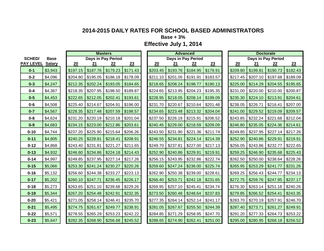**Base + 3%**

|                  |               |          |          | <b>Masters</b>     |          |          |                    | <b>Advanced</b> |          |          |          | <b>Doctorate</b>   |          |
|------------------|---------------|----------|----------|--------------------|----------|----------|--------------------|-----------------|----------|----------|----------|--------------------|----------|
| <b>SCHED/</b>    | <b>Base</b>   |          |          | Days in Pay Period |          |          | Days in Pay Period |                 |          |          |          | Days in Pay Period |          |
| <b>PAY LEVEL</b> | <b>Salary</b> | 20       | 21       | 22                 | 23       | 20       | 21                 | 22              | 23       | 20       | 21       | 22                 | 23       |
| $0 - 1$          | \$3,943       | \$197.15 | \$187.76 | \$179.23           | \$171.43 | \$203.45 | \$193.76           | \$184.95        | \$176.91 | \$209.80 | \$199.81 | \$190.73           | \$182.43 |
| $0 - 2$          | \$4,096       | \$204.80 | \$195.05 | \$186.18           | \$178.09 | \$211.10 | \$201.05           | \$191.91        | \$183.57 | \$217.45 | \$207.10 | \$197.68           | \$189.09 |
| $0 - 3$          | \$4,247       | \$212.35 | \$202.24 | \$193.05           | \$184.65 | \$218.65 | \$208.24           | \$198.77        | \$190.13 | \$225.00 | \$214.29 | \$204.55           | \$195.65 |
| $0 - 4$          | \$4,367       | \$218.35 | \$207.95 | \$198.50           | \$189.87 | \$224.65 | \$213.95           | \$204.23        | \$195.35 | \$231.00 | \$220.00 | \$210.00           | \$200.87 |
| $0 - 5$          | \$4,453       | \$222.65 | \$212.05 | \$202.41           | \$193.61 | \$228.95 | \$218.05           | \$208.14        | \$199.09 | \$235.30 | \$224.10 | \$213.91           | \$204.61 |
| $0 - 6$          | \$4,508       | \$225.40 | \$214.67 | \$204.91           | \$196.00 | \$231.70 | \$220.67           | \$210.64        | \$201.48 | \$238.05 | \$226.71 | \$216.41           | \$207.00 |
| $0 - 7$          | \$4,567       | \$228.35 | \$217.48 | \$207.59           | \$198.57 | \$234.65 | \$223.48           | \$213.32        | \$204.04 | \$241.00 | \$229.52 | \$219.09           | \$209.57 |
| $0 - 8$          | \$4,624       | \$231.20 | \$220.19 | \$210.18           | \$201.04 | \$237.50 | \$226.19           | \$215.91        | \$206.52 | \$243.85 | \$232.24 | \$221.68           | \$212.04 |
| $0-9$            | \$4,683       | \$234.15 | \$223.00 | \$212.86           | \$203.61 | \$240.45 | \$229.00           | \$218.59        | \$209.09 | \$246.80 | \$235.05 | \$224.36           | \$214.61 |
| $0 - 10$         | \$4,744       | \$237.20 | \$225.90 | \$215.64           | \$206.26 | \$243.50 | \$231.90           | \$221.36        | \$211.74 | \$249.85 | \$237.95 | \$227.14           | \$217.26 |
| $0 - 11$         | \$4,805       | \$240.25 | \$228.81 | \$218.41           | \$208.91 | \$246.55 | \$234.81           | \$224.14        | \$214.39 | \$252.90 | \$240.86 | \$229.91           | \$219.91 |
| $0 - 12$         | \$4,868       | \$243.40 | \$231.81 | \$221.27           | \$211.65 | \$249.70 | \$237.81           | \$227.00        | \$217.13 | \$256.05 | \$243.86 | \$232.77           | \$222.65 |
| $0 - 13$         | \$4,932       | \$246.60 | \$234.86 | \$224.18           | \$214.43 | \$252.90 | \$240.86           | \$229.91        | \$219.91 | \$259.25 | \$246.90 | \$235.68           | \$225.43 |
| $0 - 14$         | \$4,997       | \$249.85 | \$237.95 | \$227.14           | \$217.26 | \$256.15 | \$243.95           | \$232.86        | \$222.74 | \$262.50 | \$250.00 | \$238.64           | \$228.26 |
| $0 - 15$         | \$5,066       | \$253.30 | \$241.24 | \$230.27           | \$220.26 | \$259.60 | \$247.24           | \$236.00        | \$225.74 | \$265.95 | \$253.29 | \$241.77           | \$231.26 |
| $0 - 16$         | \$5,132       | \$256.60 | \$244.38 | \$233.27           | \$223.13 | \$262.90 | \$250.38           | \$239.00        | \$228.61 | \$269.25 | \$256.43 | \$244.77           | \$234.13 |
| $0 - 17$         | \$5,202       | \$260.10 | \$247.71 | \$236.45           | \$226.17 | \$266.40 | \$253.71           | \$242.18        | \$231.65 | \$272.75 | \$259.76 | \$247.95           | \$237.17 |
| $0 - 18$         | \$5,273       | \$263.65 | \$251.10 | \$239.68           | \$229.26 | \$269.95 | \$257.10           | \$245.41        | \$234.74 | \$276.30 | \$263.14 | \$251.18           | \$240.26 |
| $0 - 19$         | \$5,344       | \$267.20 | \$254.48 | \$242.91           | \$232.35 | \$273.50 | \$260.48           | \$248.64        | \$237.83 | \$279.85 | \$266.52 | \$254.41           | \$243.35 |
| $0 - 20$         | \$5,421       | \$271.05 | \$258.14 | \$246.41           | \$235.70 | \$277.35 | \$264.14           | \$252.14        | \$241.17 | \$283.70 | \$270.19 | \$257.91           | \$246.70 |
| $0 - 21$         | \$5,495       | \$274.75 | \$261.67 | \$249.77           | \$238.91 | \$281.05 | \$267.67           | \$255.50        | \$244.39 | \$287.40 | \$273.71 | \$261.27           | \$249.91 |
| $0 - 22$         | \$5,571       | \$278.55 | \$265.29 | \$253.23           | \$242.22 | \$284.85 | \$271.29           | \$258.95        | \$247.70 | \$291.20 | \$277.33 | \$264.73           | \$253.22 |
| $0 - 23$         | \$5,647       | \$282.35 | \$268.90 | \$256.68           | \$245.52 | \$288.65 | \$274.90           | \$262.41        | \$251.00 | \$295.00 | \$280.95 | \$268.18           | \$256.52 |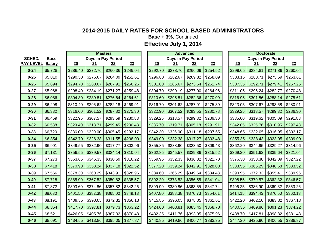**Base + 3%**, Continued

|                         |             |          |          | <b>Masters</b>                             |          |          |                               | Advanced           |          |          |                               | Doctorate                       |          |
|-------------------------|-------------|----------|----------|--------------------------------------------|----------|----------|-------------------------------|--------------------|----------|----------|-------------------------------|---------------------------------|----------|
| <b>SCHED/</b>           | <b>Base</b> |          |          | Days in Pay Period                         |          |          |                               | Days in Pay Period |          |          |                               | Days in Pay Period              |          |
| <b>PAY LEVEL Salary</b> |             | 20       | 21       | 22                                         | 23       | 20       | 21                            | 22                 | 23       | 20       | 21                            | 22                              | 23       |
| $0 - 24$                | \$5,728     | \$286.40 | \$272.76 | \$260.36                                   | \$249.04 | \$292.70 | \$278.76                      | \$266.09           | \$254.52 | \$299.05 | \$284.81                      | \$271.86                        | \$260.04 |
| $0 - 25$                | \$5,810     | \$290.50 | \$276.67 | \$264.09                                   | \$252.61 | \$296.80 | \$282.67                      | \$269.82           | \$258.09 | \$303.15 | \$288.71                      | \$275.59                        | \$263.61 |
| $0 - 26$                | \$5,894     | \$294.70 | \$280.67 | \$267.91                                   | \$256.26 | \$301.00 | \$286.67                      | \$273.64           | \$261.74 | \$307.35 | \$292.71                      | \$279.41                        | \$267.26 |
| $0 - 27$                | \$5,968     | \$298.40 | \$284.19 | \$271.27                                   | \$259.48 | \$304.70 | \$290.19                      | \$277.00           | \$264.96 | \$311.05 | \$296.24                      | \$282.77                        | \$270.48 |
| $0 - 28$                | \$6,086     | \$304.30 | \$289.81 | \$276.64                                   | \$264.61 | \$310.60 | \$295.81                      | \$282.36           | \$270.09 | \$316.95 | \$301.86                      | \$288.14                        | \$275.61 |
| $0 - 29$                | \$6,208     | \$310.40 | \$295.62 | \$282.18                                   | \$269.91 | \$316.70 | \$301.62                      | \$287.91           | \$275.39 | \$323.05 | \$307.67                      | \$293.68                        | \$280.91 |
| $0 - 30$                | \$6,332     | \$316.60 | \$301.52 | \$287.82                                   | \$275.30 | \$322.90 | \$307.52                      | \$293.55           | \$280.78 | \$329.25 | \$313.57                      | \$299.32                        | \$286.30 |
| $0 - 31$                | \$6,459     | \$322.95 | \$307.57 | \$293.59                                   | \$280.83 | \$329.25 | \$313.57                      | \$299.32           | \$286.30 | \$335.60 | \$319.62                      | \$305.09                        | \$291.83 |
| $0 - 32$                | \$6,588     | \$329.40 | \$313.71 | \$299.45                                   | \$286.43 | \$335.70 | \$319.71                      | \$305.18           | \$291.91 | \$342.05 | \$325.76                      | \$310.95                        | \$297.43 |
| $0 - 33$                | \$6,720     | \$336.00 | \$320.00 | \$305.45                                   | \$292.17 | \$342.30 | \$326.00                      | \$311.18           | \$297.65 | \$348.65 | \$332.05                      | \$316.95                        | \$303.17 |
| $0 - 34$                | \$6,854     | \$342.70 | \$326.38 | \$311.55                                   | \$298.00 | \$349.00 | \$332.38                      | \$317.27           | \$303.48 | \$355.35 | \$338.43                      | \$323.05                        | \$309.00 |
| $0 - 35$                | \$6,991     | \$349.55 | \$332.90 | \$317.77                                   | \$303.96 | \$355.85 | \$338.90                      | \$323.50           | \$309.43 | \$362.20 | \$344.95                      | \$329.27                        | \$314.96 |
| $0 - 36$                | \$7,131     | \$356.55 | \$339.57 | $$324.14$ $$310.04$                        |          | \$362.85 | \$345.57                      | \$329.86           | \$315.52 | \$369.20 | \$351.62                      | \$335.64                        | \$321.04 |
| $0 - 37$                | \$7,273     | \$363.65 | \$346.33 | \$330.59                                   | \$316.22 | \$369.95 | \$352.33                      | \$336.32           | \$321.70 | \$376.30 | \$358.38                      | \$342.09                        | \$327.22 |
| $0 - 38$                | \$7,418     | \$370.90 | \$353.24 | \$337.18                                   | \$322.52 | \$377.20 | \$359.24                      | \$342.91           | \$328.00 | \$383.55 | \$365.29                      | \$348.68                        | \$333.52 |
| $0 - 39$                | \$7,566     | \$378.30 | \$360.29 | \$343.91                                   | \$328.96 | \$384.60 | \$366.29                      | \$349.64           | \$334.43 | \$390.95 | \$372.33                      | \$355.41                        | \$339.96 |
| $0 - 40$                | \$7,718     | \$385.90 | \$367.52 | $$350.82$ $$335.57$                        |          | \$392.20 | \$373.52                      | \$356.55           | \$341.04 | \$398.55 | \$379.57                      | \$362.32                        | \$346.57 |
| $0 - 41$                | \$7,872     | \$393.60 | \$374.86 | $$357.82$ $$342.26$                        |          | \$399.90 | \$380.86                      | \$363.55           | \$347.74 | \$406.25 | \$386.90                      | \$369.32                        | \$353.26 |
| $0 - 42$                | \$8,030     | \$401.50 | \$382.38 | $$365.00$ $$349.13$                        |          | \$407.80 | \$388.38                      | \$370.73           | \$354.61 | \$414.15 | $\frac{1}{394.43}$ \ \$376.50 |                                 | \$360.13 |
| $0 - 43$                | \$8,191     | \$409.55 | \$390.05 | \$372.32                                   | \$356.13 | \$415.85 | \$396.05                      | \$378.05           | \$361.61 | \$422.20 | \$402.10                      | \$383.82                        | \$367.13 |
| $0 - 44$                | \$8,354     | \$417.70 | \$397.81 | \$379.73                                   | \$363.22 | \$424.00 | \$403.81                      | \$385.45           | \$368.70 | \$430.35 | $$409.86$ $$391.23$           |                                 | \$374.22 |
| $0 - 45$                | \$8,521     | \$426.05 | \$405.76 | \$387.32                                   | \$370.48 | \$432.35 | \$411.76                      | \$393.05           | \$375.96 | \$438.70 | \$417.81                      | \$398.82                        | \$381.48 |
| $0 - 46$                | \$8,691     |          |          | $$434.55$   \$413.86   \$395.05   \$377.87 |          |          | $$440.85$ $$419.86$ $$400.77$ |                    | \$383.35 |          |                               | $$447.20$   \$425.90   \$406.55 | \$388.87 |
|                         |             |          |          |                                            |          |          |                               |                    |          |          |                               |                                 |          |

|            | <b>Masters</b> |          |          |          | <b>Advanced</b>    |          |          | <b>Doctorate</b> |       |
|------------|----------------|----------|----------|----------|--------------------|----------|----------|------------------|-------|
|            | in Pay Period  |          |          |          | Days in Pay Period |          |          | Days in Pay Pe   |       |
|            | 22             | 23       | 20       | 21       | 22                 | 23       | 20       | 21               |       |
| .76        | \$260.36       | \$249.04 | \$292.70 | \$278.76 | \$266.09           | \$254.52 | \$299.05 | \$284.81         | \$27' |
| .67        | \$264.09       | \$252.61 | \$296.80 | \$282.67 | \$269.82           | \$258.09 | \$303.15 | \$288.71         | \$275 |
| .67        | \$267.91       | \$256.26 | \$301.00 | \$286.67 | \$273.64           | \$261.74 | \$307.35 | \$292.71         | \$279 |
| .19        | \$271.27       | \$259.48 | \$304.70 | \$290.19 | \$277.00           | \$264.96 | \$311.05 | \$296.24         | \$282 |
| .81        | \$276.64       | \$264.61 | \$310.60 | \$295.81 | \$282.36           | \$270.09 | \$316.95 | \$301.86         | \$288 |
| .62        | \$282.18       | \$269.91 | \$316.70 | \$301.62 | \$287.91           | \$275.39 | \$323.05 | \$307.67         | \$293 |
| .52        | \$287.82       | \$275.30 | \$322.90 | \$307.52 | \$293.55           | \$280.78 | \$329.25 | \$313.57         | \$299 |
| .57        | \$293.59       | \$280.83 | \$329.25 | \$313.57 | \$299.32           | \$286.30 | \$335.60 | \$319.62         | \$305 |
| .71        | \$299.45       | \$286.43 | \$335.70 | \$319.71 | \$305.18           | \$291.91 | \$342.05 | \$325.76         | \$310 |
| 00         | \$305.45       | \$292.17 | \$342.30 | \$326.00 | \$311.18           | \$297.65 | \$348.65 | \$332.05         | \$316 |
| .38        | \$311.55       | \$298.00 | \$349.00 | \$332.38 | \$317.27           | \$303.48 | \$355.35 | \$338.43         | \$323 |
| .90        | \$317.77       | \$303.96 | \$355.85 | \$338.90 | \$323.50           | \$309.43 | \$362.20 | \$344.95         | \$329 |
| .57        | \$324.14       | \$310.04 | \$362.85 | \$345.57 | \$329.86           | \$315.52 | \$369.20 | \$351.62         | \$335 |
| .33        | \$330.59       | \$316.22 | \$369.95 | \$352.33 | \$336.32           | \$321.70 | \$376.30 | \$358.38         | \$342 |
| .24        | \$337.18       | \$322.52 | \$377.20 | \$359.24 | \$342.91           | \$328.00 | \$383.55 | \$365.29         | \$348 |
| <u>.29</u> | \$343.91       | \$328.96 | \$384.60 | \$366.29 | \$349.64           | \$334.43 | \$390.95 | \$372.33         | \$355 |
| .52        | \$350.82       | \$335.57 | \$392.20 | \$373.52 | \$356.55           | \$341.04 | \$398.55 | \$379.57         | \$362 |
| .86        | \$357.82       | \$342.26 | \$399.90 | \$380.86 | \$363.55           | \$347.74 | \$406.25 | \$386.90         | \$369 |
| .38        | \$365.00       | \$349.13 | \$407.80 | \$388.38 | \$370.73           | \$354.61 | \$414.15 | \$394.43         | \$376 |
| .05        | \$372.32       | \$356.13 | \$415.85 | \$396.05 | \$378.05           | \$361.61 | \$422.20 | \$402.10         | \$383 |
| .81        | \$379.73       | \$363.22 | \$424.00 | \$403.81 | \$385.45           | \$368.70 | \$430.35 | \$409.86         | \$39  |
| .76        | \$387.32       | \$370.48 | \$432.35 | \$411.76 | \$393.05           | \$375.96 | \$438.70 | \$417.81         | \$398 |
| .86        | \$395.05       | \$377.87 | \$440.85 | \$419.86 | \$400.77           | \$383.35 | \$447.20 | \$425.90         | \$406 |

|        |            | <b>Doctorate</b>   |           |
|--------|------------|--------------------|-----------|
|        |            | Days in Pay Period |           |
| 20     | <u> 21</u> | 22                 | <u>23</u> |
| 299.05 | \$284.81   | \$271.86           | \$260.04  |
| 303.15 | \$288.71   | \$275.59           | \$263.61  |
| 307.35 | \$292.71   | \$279.41           | \$267.26  |
| 311.05 | \$296.24   | \$282.77           | \$270.48  |
| 316.95 | \$301.86   | \$288.14           | \$275.61  |
| 323.05 | \$307.67   | \$293.68           | \$280.91  |
| 329.25 | \$313.57   | \$299.32           | \$286.30  |
| 335.60 | \$319.62   | \$305.09           | \$291.83  |
| 342.05 | \$325.76   | \$310.95           | \$297.43  |
| 348.65 | \$332.05   | \$316.95           | \$303.17  |
| 355.35 | \$338.43   | \$323.05           | \$309.00  |
| 362.20 | \$344.95   | \$329.27           | \$314.96  |
| 369.20 | \$351.62   | \$335.64           | \$321.04  |
| 376.30 | \$358.38   | \$342.09           | \$327.22  |
| 383.55 | \$365.29   | \$348.68           | \$333.52  |
| 390.95 | \$372.33   | \$355.41           | \$339.96  |
| 398.55 | \$379.57   | \$362.32           | \$346.57  |
| 406.25 | \$386.90   | \$369.32           | \$353.26  |
| 114.15 | \$394.43   | \$376.50           | \$360.13  |
| 422.20 | \$402.10   | \$383.82           | \$367.13  |
| 430.35 | \$409.86   | \$391.23           | \$374.22  |
| 438.70 | \$417.81   | \$398.82           | \$381.48  |
| 447.20 | \$425.90   | \$406.55           | \$388.87  |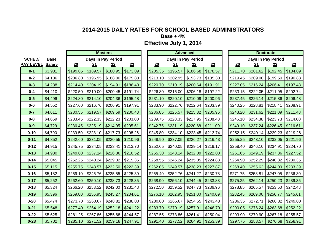**Base + 4%**

|                  |               |          | <b>Masters</b>      |                    |          |          |                     | <b>Advanced</b> |          |          |                    | <b>Doctorate</b> |          |
|------------------|---------------|----------|---------------------|--------------------|----------|----------|---------------------|-----------------|----------|----------|--------------------|------------------|----------|
| <b>SCHED/</b>    | <b>Base</b>   |          |                     | Days in Pay Period |          |          | Days in Pay Period  |                 |          |          | Days in Pay Period |                  |          |
| <b>PAY LEVEL</b> | <b>Salary</b> | 20       | 21                  | 22                 | 23       | 20       | 21                  | 22              | 23       | 20       | 21                 | 22               | 23       |
| $0 - 1$          | \$3,981       | \$199.05 | \$189.57            | \$180.95           | \$173.09 | \$205.35 | \$195.57            | \$186.68        | \$178.57 | \$211.70 | \$201.62           | \$192.45         | \$184.09 |
| $0 - 2$          | \$4,136       | \$206.80 | \$196.95            | \$188.00           | \$179.83 | \$213.10 | \$202.95            | \$193.73        | \$185.30 | \$219.45 | \$209.00           | \$199.50         | \$190.83 |
| $0 - 3$          | \$4,288       | \$214.40 | \$204.19            | \$194.91           | \$186.43 | \$220.70 | \$210.19            | \$200.64        | \$191.91 | \$227.05 | \$216.24           | \$206.41         | \$197.43 |
| $0 - 4$          | \$4,410       | \$220.50 | \$210.00            | \$200.45           | \$191.74 | \$226.80 | \$216.00            | \$206.18        | \$197.22 | \$233.15 | \$222.05           | \$211.95         | \$202.74 |
| $0-5$            | \$4,496       | \$224.80 | \$214.10            | \$204.36           | \$195.48 | \$231.10 | \$220.10            | \$210.09        | \$200.96 | \$237.45 | \$226.14           | \$215.86         | \$206.48 |
| $0 - 6$          | \$4,552       | \$227.60 | \$216.76 \$206.91   |                    | \$197.91 | \$233.90 | \$222.76            | \$212.64        | \$203.39 | \$240.25 | \$228.81           | \$218.41         | \$208.91 |
| $0 - 7$          | \$4,611       | \$230.55 | \$219.57            | \$209.59           | \$200.48 | \$236.85 | \$225.57            | \$215.32        | \$205.96 | \$243.20 | \$231.62           | \$221.09         | \$211.48 |
| $0 - 8$          | \$4,669       | \$233.45 | \$222.33            | \$212.23           | \$203.00 | \$239.75 | \$228.33            | \$217.95        | \$208.48 | \$246.10 | \$234.38           | \$223.73         | \$214.00 |
| $0-9$            | \$4,729       | \$236.45 | \$225.19            | \$214.95           | \$205.61 | \$242.75 | \$231.19            | \$220.68        | \$211.09 | \$249.10 | \$237.24           | \$226.45         | \$216.61 |
| $0 - 10$         | \$4,790       | \$239.50 | \$228.10            | \$217.73           | \$208.26 | \$245.80 | \$234.10            | \$223.45        | \$213.74 | \$252.15 | \$240.14           | \$229.23         | \$219.26 |
| $0 - 11$         | \$4,852       | \$242.60 | \$231.05            | \$220.55           | \$210.96 | \$248.90 | \$237.05            | \$226.27        | \$216.43 | \$255.25 | \$243.10           | \$232.05         | \$221.96 |
| $0 - 12$         | \$4,915       | \$245.75 | \$234.05            | \$223.41           | \$213.70 | \$252.05 | \$240.05            | \$229.14        | \$219.17 | \$258.40 | \$246.10           | \$234.91         | \$224.70 |
| $0 - 13$         | \$4,980       | \$249.00 | \$237.14            | \$226.36           | \$216.52 | \$255.30 | \$243.14            | \$232.09        | \$222.00 | \$261.65 | \$249.19           | \$237.86         | \$227.52 |
| $0 - 14$         | \$5,045       | \$252.25 | \$240.24            | \$229.32           | \$219.35 | \$258.55 | \$246.24            | \$235.05        | \$224.83 | \$264.90 | \$252.29           | \$240.82         | \$230.35 |
| $0 - 15$         | \$5,115       | \$255.75 | \$243.57            | \$232.50           | \$222.39 | \$262.05 | \$249.57            | \$238.23        | \$227.87 | \$268.40 | \$255.62           | \$244.00         | \$233.39 |
| $0 - 16$         | \$5,182       | \$259.10 | \$246.76            | \$235.55           | \$225.30 | \$265.40 | \$252.76            | \$241.27        | \$230.78 | \$271.75 | \$258.81           | \$247.05         | \$236.30 |
| $0 - 17$         | \$5,252       | \$262.60 | \$250.10            | \$238.73           | \$228.35 | \$268.90 | \$256.10            | \$244.45        | \$233.83 | \$275.25 | \$262.14           | \$250.23         | \$239.35 |
| $0 - 18$         | \$5,324       | \$266.20 | \$253.52            | \$242.00           | \$231.48 | \$272.50 | \$259.52            | \$247.73        | \$236.96 | \$278.85 | \$265.57           | \$253.50         | \$242.48 |
| $0 - 19$         | \$5,396       | \$269.80 | \$256.95            | \$245.27           | \$234.61 | \$276.10 | \$262.95            | \$251.00        | \$240.09 | \$282.45 | \$269.00           | \$256.77         | \$245.61 |
| $0 - 20$         | \$5,474       | \$273.70 | \$260.67            | \$248.82           | \$238.00 | \$280.00 | \$266.67            | \$254.55        | \$243.48 | \$286.35 | \$272.71           | \$260.32         | \$249.00 |
| $0 - 21$         | \$5,548       | \$277.40 | \$264.19            | \$252.18           | \$241.22 | \$283.70 | \$270.19            | \$257.91        | \$246.70 | \$290.05 | \$276.24           | \$263.68         | \$252.22 |
| $0 - 22$         | \$5,625       | \$281.25 | \$267.86            | \$255.68           | \$244.57 | \$287.55 | \$273.86            | \$261.41        | \$250.04 | \$293.90 | \$279.90           | \$267.18         | \$255.57 |
| $0 - 23$         | \$5,702       | \$285.10 | $$271.52$ $$259.18$ |                    | \$247.91 | \$291.40 | $$277.52$ $$264.91$ |                 | \$253.39 | \$297.75 | \$283.57           | \$270.68         | \$258.91 |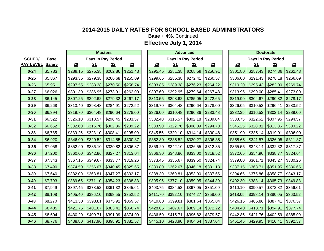**Base + 4%**, Continued

|                  |               |          |          | <b>Masters</b>      |          |          |          | <b>Advanced</b>    |          |          |          | <b>Doctorate</b>   |          |
|------------------|---------------|----------|----------|---------------------|----------|----------|----------|--------------------|----------|----------|----------|--------------------|----------|
| <b>SCHED/</b>    | <b>Base</b>   |          |          | Days in Pay Period  |          |          |          | Days in Pay Period |          |          |          | Days in Pay Period |          |
| <b>PAY LEVEL</b> | <b>Salary</b> | 20       | 21       | 22                  | 23       | 20       | 21       | 22                 | 23       | 20       | 21       | 22                 | 23       |
| $0 - 24$         | \$5,783       | \$289.15 | \$275.38 | \$262.86            | \$251.43 | \$295.45 | \$281.38 | \$268.59           | \$256.91 | \$301.80 | \$287.43 | \$274.36           | \$262.43 |
| $0 - 25$         | \$5,867       | \$293.35 | \$279.38 | \$266.68            | \$255.09 | \$299.65 | \$285.38 | \$272.41           | \$260.57 | \$306.00 | \$291.43 | \$278.18           | \$266.09 |
| $0 - 26$         | \$5,951       | \$297.55 | \$283.38 | \$270.50            | \$258.74 | \$303.85 | \$289.38 | \$276.23           | \$264.22 | \$310.20 | \$295.43 | \$282.00           | \$269.74 |
| $0 - 27$         | \$6,026       | \$301.30 | \$286.95 | \$273.91            | \$262.00 | \$307.60 | \$292.95 | \$279.64           | \$267.48 | \$313.95 | \$299.00 | \$285.41           | \$273.00 |
| $0 - 28$         | \$6,145       | \$307.25 | \$292.62 | \$279.32            | \$267.17 | \$313.55 | \$298.62 | \$285.05           | \$272.65 | \$319.90 | \$304.67 | \$290.82           | \$278.17 |
| $0 - 29$         | \$6,268       | \$313.40 | \$298.48 | \$284.91            | \$272.52 | \$319.70 | \$304.48 | \$290.64           | \$278.00 | \$326.05 | \$310.52 | \$296.41           | \$283.52 |
| $0 - 30$         | \$6,394       | \$319.70 | \$304.48 | \$290.64            | \$278.00 | \$326.00 | \$310.48 | \$296.36           | \$283.48 | \$332.35 | \$316.52 | \$302.14           | \$289.00 |
| $0 - 31$         | \$6,522       | \$326.10 | \$310.57 | \$296.45            | \$283.57 | \$332.40 | \$316.57 | \$302.18           | \$289.04 | \$338.75 | \$322.62 | \$307.95           | \$294.57 |
| $0 - 32$         | \$6,652       | \$332.60 | \$316.76 | \$302.36            | \$289.22 | \$338.90 | \$322.76 | \$308.09           | \$294.70 | \$345.25 | \$328.81 | \$313.86           | \$300.22 |
| $0 - 33$         | \$6,785       | \$339.25 | \$323.10 | \$308.41            | \$295.00 | \$345.55 | \$329.10 | \$314.14           | \$300.48 | \$351.90 | \$335.14 | \$319.91           | \$306.00 |
| $0 - 34$         | \$6,920       | \$346.00 | \$329.52 | \$314.55            | \$300.87 | \$352.30 | \$335.52 | \$320.27           | \$306.35 | \$358.65 | \$341.57 | \$326.05           | \$311.87 |
| $0 - 35$         | \$7,058       | \$352.90 | \$336.10 | \$320.82            | \$306.87 | \$359.20 | \$342.10 | \$326.55           | \$312.35 | \$365.55 | \$348.14 | \$332.32           | \$317.87 |
| $0 - 36$         | \$7,200       | \$360.00 | \$342.86 | \$327.27            | \$313.04 | \$366.30 | \$348.86 | \$333.00           | \$318.52 | \$372.65 | \$354.90 | \$338.77           | \$324.04 |
| $0 - 37$         | \$7,343       | \$367.15 | \$349.67 | \$333.77            | \$319.26 | \$373.45 | \$355.67 | \$339.50           | \$324.74 | \$379.80 | \$361.71 | \$345.27           | \$330.26 |
| $0 - 38$         | \$7,490       | \$374.50 | \$356.67 | \$340.45            | \$325.65 | \$380.80 | \$362.67 | \$346.18           | \$331.13 | \$387.15 | \$368.71 | \$351.95           | \$336.65 |
| $0 - 39$         | \$7,640       | \$382.00 | \$363.81 | \$347.27            | \$332.17 | \$388.30 | \$369.81 | \$353.00           | \$337.65 | \$394.65 | \$375.86 | \$358.77           | \$343.17 |
| $0 - 40$         | \$7,793       | \$389.65 | \$371.10 | \$354.23            | \$338.83 | \$395.95 | \$377.10 | \$359.95           | \$344.30 | \$402.30 | \$383.14 | \$365.73           | \$349.83 |
| $0 - 41$         | \$7,949       | \$397.45 | \$378.52 | \$361.32            | \$345.61 | \$403.75 | \$384.52 | \$367.05           | \$351.09 | \$410.10 | \$390.57 | \$372.82           | \$356.61 |
| $0 - 42$         | \$8,108       | \$405.40 | \$386.10 | \$368.55            | \$352.52 | \$411.70 | \$392.10 | \$374.27           | \$358.00 | \$418.05 | \$398.14 | \$380.05           | \$363.52 |
| $0 - 43$         | \$8,270       | \$413.50 | \$393.81 | \$375.91            | \$359.57 | \$419.80 | \$399.81 | \$381.64           | \$365.04 | \$426.15 | \$405.86 | \$387.41           | \$370.57 |
| $0 - 44$         | \$8,435       | \$421.75 | \$401.67 | \$383.41            | \$366.74 | \$428.05 | \$407.67 | \$389.14           | \$372.22 | \$434.40 | \$413.71 | \$394.91           | \$377.74 |
| $0 - 45$         | \$8,604       | \$430.20 | \$409.71 | \$391.09            | \$374.09 | \$436.50 | \$415.71 | \$396.82           | \$379.57 | \$442.85 | \$421.76 | \$402.59           | \$385.09 |
| $0 - 46$         | \$8,776       | \$438.80 |          | $$417.90$ $$398.91$ | \$381.57 | \$445.10 | \$423.90 | \$404.64           | \$387.04 | \$451.45 | \$429.95 | \$410.41           | \$392.57 |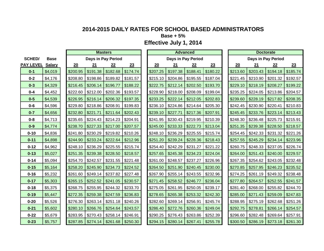**Base + 5%**

|                  |               |          |                     | <b>Masters</b>     |          |          |                     | <b>Advanced</b>    |          |          |          | <b>Doctorate</b>    |          |
|------------------|---------------|----------|---------------------|--------------------|----------|----------|---------------------|--------------------|----------|----------|----------|---------------------|----------|
| <b>SCHED/</b>    | <b>Base</b>   |          |                     | Days in Pay Period |          |          |                     | Days in Pay Period |          |          |          | Days in Pay Period  |          |
| <b>PAY LEVEL</b> | <b>Salary</b> | 20       | 21                  | 22                 | 23       | 20       | 21                  | 22                 | 23       | 20       | 21       | 22                  | 23       |
| $0 - 1$          | \$4,019       | \$200.95 | \$191.38            | \$182.68           | \$174.74 | \$207.25 | \$197.38            | \$188.41           | \$180.22 | \$213.60 | \$203.43 | \$194.18            | \$185.74 |
| $0 - 2$          | \$4,176       | \$208.80 | \$198.86            | \$189.82           | \$181.57 | \$215.10 | \$204.86            | \$195.55           | \$187.04 | \$221.45 | \$210.90 | \$201.32            | \$192.57 |
| $0 - 3$          | \$4,329       | \$216.45 | \$206.14            | \$196.77           | \$188.22 | \$222.75 | \$212.14            | \$202.50           | \$193.70 | \$229.10 | \$218.19 | \$208.27            | \$199.22 |
| $0 - 4$          | \$4,452       | \$222.60 | \$212.00            | \$202.36           | \$193.57 | \$228.90 | \$218.00            | \$208.09           | \$199.04 | \$235.25 | \$224.05 | \$213.86            | \$204.57 |
| $0-5$            | \$4,539       | \$226.95 | \$216.14            | \$206.32           | \$197.35 | \$233.25 | \$222.14            | \$212.05           | \$202.83 | \$239.60 | \$228.19 | \$217.82            | \$208.35 |
| $0 - 6$          | \$4,596       | \$229.80 | \$218.86            | \$208.91           | \$199.83 | \$236.10 | \$224.86            | \$214.64           | \$205.30 | \$242.45 | \$230.90 | \$220.41            | \$210.83 |
| $0 - 7$          | \$4,656       | \$232.80 | \$221.71            | \$211.64           | \$202.43 | \$239.10 | \$227.71            | \$217.36           | \$207.91 | \$245.45 | \$233.76 | \$223.14            | \$213.43 |
| $0 - 8$          | \$4,713       | \$235.65 | \$224.43            | \$214.23           | \$204.91 | \$241.95 | \$230.43            | \$219.95           | \$210.39 | \$248.30 | \$236.48 | \$225.73            | \$215.91 |
| $0-9$            | \$4,774       | \$238.70 | \$227.33            | \$217.00           | \$207.57 | \$245.00 | \$233.33            | \$222.73           | \$213.04 | \$251.35 | \$239.38 | \$228.50            | \$218.57 |
| $0 - 10$         | \$4,836       | \$241.80 | \$230.29            | \$219.82           | \$210.26 | \$248.10 | \$236.29            | \$225.55           | \$215.74 | \$254.45 | \$242.33 | \$231.32            | \$221.26 |
| $0 - 11$         | \$4,898       | \$244.90 | \$233.24            | \$222.64           | \$212.96 | \$251.20 | \$239.24            | \$228.36           | \$218.43 | \$257.55 | \$245.29 | \$234.14            | \$223.96 |
| $0 - 12$         | \$4,962       | \$248.10 | \$236.29            | \$225.55           | \$215.74 | \$254.40 | \$242.29            | \$231.27           | \$221.22 | \$260.75 | \$248.33 | \$237.05            | \$226.74 |
| $0 - 13$         | \$5,027       | \$251.35 | \$239.38            | \$228.50           | \$218.57 | \$257.65 | \$245.38            | \$234.23           | \$224.04 | \$264.00 | \$251.43 | \$240.00            | \$229.57 |
| $0 - 14$         | \$5,094       | \$254.70 | \$242.57            | \$231.55           | \$221.48 | \$261.00 | \$248.57            | \$237.27           | \$226.96 | \$267.35 | \$254.62 | \$243.05            | \$232.48 |
| $0 - 15$         | \$5,164       | \$258.20 | \$245.90            | \$234.73           | \$224.52 | \$264.50 | \$251.90            | \$240.45           | \$230.00 | \$270.85 | \$257.95 | \$246.23            | \$235.52 |
| $0 - 16$         | \$5,232       | \$261.60 | \$249.14            | \$237.82           | \$227.48 | \$267.90 | \$255.14            | \$243.55           | \$232.96 | \$274.25 | \$261.19 | \$249.32            | \$238.48 |
| $0 - 17$         | \$5,303       | \$265.15 | \$252.52            | \$241.05           | \$230.57 | \$271.45 | \$258.52            | \$246.77           | \$236.04 | \$277.80 | \$264.57 | \$252.55            | \$241.57 |
| $0 - 18$         | \$5,375       | \$268.75 | \$255.95            | \$244.32           | \$233.70 | \$275.05 | \$261.95            | \$250.05           | \$239.17 | \$281.40 | \$268.00 | \$255.82            | \$244.70 |
| $0 - 19$         | \$5,447       | \$272.35 | \$259.38            | \$247.59           | \$236.83 | \$278.65 | \$265.38            | \$253.32           | \$242.30 | \$285.00 | \$271.43 | \$259.09            | \$247.83 |
| $0 - 20$         | \$5,526       | \$276.30 | \$263.14            | \$251.18           | \$240.26 | \$282.60 | \$269.14            | \$256.91           | \$245.74 | \$288.95 | \$275.19 | \$262.68            | \$251.26 |
| $0 - 21$         | \$5,602       | \$280.10 | \$266.76            | \$254.64           | \$243.57 | \$286.40 | \$272.76            | \$260.36           | \$249.04 | \$292.75 | \$278.81 | \$266.14            | \$254.57 |
| $0 - 22$         | \$5,679       | \$283.95 | \$270.43            | \$258.14           | \$246.91 | \$290.25 | \$276.43            | \$263.86           | \$252.39 | \$296.60 | \$282.48 | \$269.64            | \$257.91 |
| $0 - 23$         | \$5,757       |          | $$287.85$ $$274.14$ | \$261.68           | \$250.30 | \$294.15 | $$280.14$ $$267.41$ |                    | \$255.78 | \$300.50 | \$286.19 | $$273.18$ $$261.30$ |          |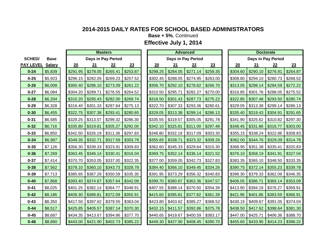**Base + 5%**, Continued

|                  |               |          |          | <b>Masters</b>     |          |          |                     | <b>Advanced</b>    |          |          |                    | <b>Doctorate</b> |          |
|------------------|---------------|----------|----------|--------------------|----------|----------|---------------------|--------------------|----------|----------|--------------------|------------------|----------|
| <b>SCHED/</b>    | <b>Base</b>   |          |          | Days in Pay Period |          |          |                     | Days in Pay Period |          |          | Days in Pay Period |                  |          |
| <b>PAY LEVEL</b> | <b>Salary</b> | 20       | 21       | 22                 | 23       | 20       | 21                  | 22                 | 23       | 20       | 21                 | 22               | 23       |
| $0 - 24$         | \$5,839       | \$291.95 | \$278.05 | \$265.41           | \$253.87 | \$298.25 | \$284.05            | \$271.14           | \$259.35 | \$304.60 | \$290.10           | \$276.91         | \$264.87 |
| $0 - 25$         | \$5,923       | \$296.15 | \$282.05 | \$269.23           | \$257.52 | \$302.45 | \$288.05            | \$274.95           | \$263.00 | \$308.80 | \$294.10           | \$280.73         | \$268.52 |
| $0 - 26$         | \$6,008       | \$300.40 | \$286.10 | \$273.09           | \$261.22 | \$306.70 | \$292.10            | \$278.82           | \$266.70 | \$313.05 | \$298.14           | \$284.59         | \$272.22 |
| $0 - 27$         | \$6,084       | \$304.20 | \$289.71 | \$276.55           | \$264.52 | \$310.50 | \$295.71            | \$282.27           | \$270.00 | \$316.85 | \$301.76           | \$288.05         | \$275.52 |
| $0 - 28$         | \$6,204       | \$310.20 | \$295.43 | \$282.00           | \$269.74 | \$316.50 | \$301.43            | \$287.73           | \$275.22 | \$322.85 | \$307.48           | \$293.50         | \$280.74 |
| $0 - 29$         | \$6,328       | \$316.40 | \$301.33 | \$287.64           | \$275.13 | \$322.70 | \$307.33            | \$293.36           | \$280.61 | \$329.05 | \$313.38           | \$299.14         | \$286.13 |
| $0 - 30$         | \$6,455       | \$322.75 | \$307.38 | \$293.41           | \$280.65 | \$329.05 | \$313.38            | \$299.14           | \$286.13 | \$335.40 | \$319.43           | \$304.91         | \$291.65 |
| $0 - 31$         | \$6,585       | \$329.25 | \$313.57 | \$299.32           | \$286.30 | \$335.55 | \$319.57            | \$305.05           | \$291.78 | \$341.90 | \$325.62           | \$310.82         | \$297.30 |
| $0 - 32$         | \$6,716       | \$335.80 | \$319.81 | \$305.27           | \$292.00 | \$342.10 | \$325.81            | \$311.00           | \$297.48 | \$348.45 | \$331.86           | \$316.77         | \$303.00 |
| $0 - 33$         | \$6,850       | \$342.50 | \$326.19 | \$311.36           | \$297.83 | \$348.80 | \$332.19            | \$317.09           | \$303.30 | \$355.15 | \$338.24           | \$322.86         | \$308.83 |
| $0 - 34$         | \$6,987       | \$349.35 | \$332.71 | \$317.59           | \$303.78 | \$355.65 | \$338.71            | \$323.32           | \$309.26 | \$362.00 | \$344.76           | \$329.09         | \$314.78 |
| $0 - 35$         | \$7,126       | \$356.30 | \$339.33 | \$323.91           | \$309.83 | \$362.60 | \$345.33            | \$329.64           | \$315.30 | \$368.95 | \$351.38           | \$335.41         | \$320.83 |
| $0 - 36$         | \$7,269       | \$363.45 | \$346.14 | \$330.41           | \$316.04 | \$369.75 | \$352.14            | \$336.14           | \$321.52 | \$376.10 | \$358.19           | \$341.91         | \$327.04 |
| $0 - 37$         | \$7,414       | \$370.70 | \$353.05 | \$337.00           | \$322.35 | \$377.00 | \$359.05            | \$342.73           | \$327.83 | \$383.35 | \$365.10           | \$348.50         | \$333.35 |
| $0 - 38$         | \$7,562       | \$378.10 | \$360.10 | \$343.73           | \$328.78 | \$384.40 | \$366.10            | \$349.45           | \$334.26 | \$390.75 | \$372.14           | \$355.23         | \$339.78 |
| $0 - 39$         | \$7,713       | \$385.65 | \$367.29 | \$350.59           | \$335.35 | \$391.95 | $$373.29$ \\$356.32 |                    | \$340.83 | \$398.30 | \$379.33           | \$362.09         | \$346.35 |
| $0 - 40$         | \$7,868       | \$393.40 | \$374.67 | \$357.64           | \$342.09 | \$399.70 | \$380.67            | \$363.36           | \$347.57 | \$406.05 | \$386.71           | \$369.14         | \$353.09 |
| $0 - 41$         | \$8,025       | \$401.25 | \$382.14 | \$364.77           | \$348.91 | \$407.55 | \$388.14            | \$370.50           | \$354.39 | \$413.90 | \$394.19           | \$376.27         | \$359.91 |
| $0 - 42$         | \$8,186       | \$409.30 | \$389.81 | \$372.09           | \$355.91 | \$415.60 | \$395.81            | \$377.82           | \$361.39 | \$421.95 | \$401.86           | \$383.59         | \$366.91 |
| $0 - 43$         | \$8,350       | \$417.50 | \$397.62 | \$379.55           | \$363.04 | \$423.80 | \$403.62            | \$385.27           | \$368.52 | \$430.15 | \$409.67           | \$391.05         | \$374.04 |
| $0 - 44$         | \$8,517       | \$425.85 | \$405.57 | \$387.14           | \$370.30 | \$432.15 | \$411.57            | \$392.86           | \$375.78 | \$438.50 | \$417.62           | \$398.64         | \$381.30 |
| $0 - 45$         | \$8,687       | \$434.35 | \$413.67 | \$394.86           | \$377.70 | \$440.65 | \$419.67            | \$400.59           | \$383.17 | \$447.00 | \$425.71           | \$406.36         | \$388.70 |
| $0 - 46$         | \$8,860       | \$443.00 | \$421.90 | \$402.73           | \$385.22 | \$449.30 | $$427.90$ $$408.45$ |                    | \$390.70 | \$455.65 | \$433.95           | \$414.23         | \$396.22 |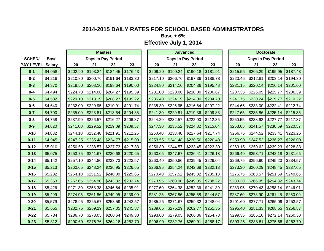**Base + 6%**

|                  |               |          |          | <b>Masters</b>     |          |          |                     | <b>Advanced</b>     |          |          |          | <b>Doctorate</b>   |          |
|------------------|---------------|----------|----------|--------------------|----------|----------|---------------------|---------------------|----------|----------|----------|--------------------|----------|
| <b>SCHED/</b>    | <b>Base</b>   |          |          | Days in Pay Period |          |          |                     | Days in Pay Period  |          |          |          | Days in Pay Period |          |
| <b>PAY LEVEL</b> | <b>Salary</b> | 20       | 21       | 22                 | 23       | 20       | 21                  | 22                  | 23       | 20       | 21       | 22                 | 23       |
| $0 - 1$          | \$4,058       | \$202.90 | \$193.24 | \$184.45           | \$176.43 | \$209.20 | \$199.24            | \$190.18            | \$181.91 | \$215.55 | \$205.29 | \$195.95           | \$187.43 |
| $0 - 2$          | \$4,216       | \$210.80 | \$200.76 | \$191.64           | \$183.30 | \$217.10 | \$206.76            | \$197.36            | \$188.78 | \$223.45 | \$212.81 | \$203.14           | \$194.30 |
| $0 - 3$          | \$4,370       | \$218.50 | \$208.10 | \$198.64           | \$190.00 | \$224.80 | \$214.10            | \$204.36            | \$195.48 | \$231.15 | \$220.14 | \$210.14           | \$201.00 |
| $0 - 4$          | \$4,494       | \$224.70 | \$214.00 | \$204.27           | \$195.39 | \$231.00 | \$220.00            | \$210.00            | \$200.87 | \$237.35 | \$226.05 | \$215.77           | \$206.39 |
| $0-5$            | \$4,582       | \$229.10 | \$218.19 | \$208.27           | \$199.22 | \$235.40 | \$224.19            | \$214.00            | \$204.70 | \$241.75 | \$230.24 | \$219.77           | \$210.22 |
| $0 - 6$          | \$4,640       | \$232.00 | \$220.95 | \$210.91           | \$201.74 | \$238.30 | \$226.95            | \$216.64            | \$207.22 | \$244.65 | \$233.00 | \$222.41           | \$212.74 |
| $0 - 7$          | \$4,700       | \$235.00 | \$223.81 | \$213.64           | \$204.35 | \$241.30 | \$229.81            | \$219.36            | \$209.83 | \$247.65 | \$235.86 | \$225.14           | \$215.35 |
| $0 - 8$          | \$4,758       | \$237.90 | \$226.57 | \$216.27           | \$206.87 | \$244.20 | \$232.57            | \$222.00            | \$212.35 | \$250.55 | \$238.62 | \$227.77           | \$217.87 |
| $0-9$            | \$4,820       | \$241.00 | \$229.52 | \$219.09           | \$209.57 | \$247.30 | \$235.52            | \$224.82            | \$215.04 | \$253.65 | \$241.57 | \$230.59           | \$220.57 |
| $0 - 10$         | \$4,882       | \$244.10 | \$232.48 | \$221.91           | \$212.26 | \$250.40 |                     | $$238.48$ $$227.64$ | \$217.74 | \$256.75 | \$244.52 | \$233.41           | \$223.26 |
| $0 - 11$         | \$4,945       | \$247.25 | \$235.48 | \$224.77           | \$215.00 | \$253.55 | $$241.48$ $$230.50$ |                     | \$220.48 | \$259.90 | \$247.52 | \$236.27           | \$226.00 |
| $0 - 12$         | \$5,010       | \$250.50 | \$238.57 | \$227.73           | \$217.83 | \$256.80 | \$244.57            | \$233.45            | \$223.30 | \$263.15 | \$250.62 | \$239.23           | \$228.83 |
| $0 - 13$         | \$5,075       | \$253.75 | \$241.67 | \$230.68           | \$220.65 | \$260.05 | \$247.67            | \$236.41            | \$226.13 | \$266.40 | \$253.71 | \$242.18           | \$231.65 |
| $0 - 14$         | \$5,142       | \$257.10 | \$244.86 | \$233.73           | \$223.57 | \$263.40 | \$250.86            | \$239.45            | \$229.04 | \$269.75 | \$256.90 | \$245.23           | \$234.57 |
| $0 - 15$         | \$5,213       | \$260.65 | \$248.24 | \$236.95           | \$226.65 | \$266.95 | \$254.24            | \$242.68            | \$232.13 | \$273.30 | \$260.29 | \$248.45           | \$237.65 |
| $0 - 16$         | \$5,282       | \$264.10 | \$251.52 | \$240.09           | \$229.65 | \$270.40 | \$257.52            | \$245.82            | \$235.13 | \$276.75 | \$263.57 | \$251.59           | \$240.65 |
| $0 - 17$         | \$5,353       | \$267.65 | \$254.90 | \$243.32           | \$232.74 | \$273.95 | \$260.90            | \$249.05            | \$238.22 | \$280.30 | \$266.95 | \$254.82           | \$243.74 |
| $0 - 18$         | \$5,426       | \$271.30 | \$258.38 | \$246.64           | \$235.91 | \$277.60 | \$264.38            | \$252.36            | \$241.39 | \$283.95 | \$270.43 | \$258.14           | \$246.91 |
| $0 - 19$         | \$5,499       | \$274.95 | \$261.86 | \$249.95           | \$239.09 | \$281.25 | \$267.86            | \$255.68            | \$244.57 | \$287.60 | \$273.90 | \$261.45           | \$250.09 |
| $0 - 20$         | \$5,579       | \$278.95 | \$265.67 | \$253.59           | \$242.57 | \$285.25 | \$271.67            | \$259.32            | \$248.04 | \$291.60 | \$277.71 | \$265.09           | \$253.57 |
| $0 - 21$         | \$5,655       | \$282.75 | \$269.29 | \$257.05           | \$245.87 | \$289.05 | \$275.29            | \$262.77            | \$251.35 | \$295.40 | \$281.33 | \$268.55           | \$256.87 |
| $0 - 22$         | \$5,734       | \$286.70 | \$273.05 | \$260.64           | \$249.30 | \$293.00 | \$279.05            | \$266.36            | \$254.78 | \$299.35 | \$285.10 | \$272.14           | \$260.30 |
| $0 - 23$         | \$5,812       | \$290.60 | \$276.76 | \$264.18           | \$252.70 | \$296.90 | $$282.76$ $$269.91$ |                     | \$258.17 | \$303.25 | \$288.81 | \$275.68           | \$263.70 |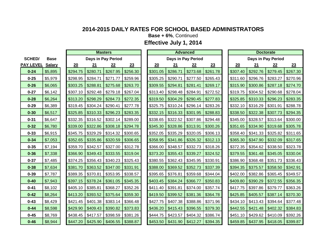**Base + 6%**, Continued

|                  |               |          |          | <b>Masters</b>     |          |          |                     | <b>Advanced</b>    |          |          |                    | <b>Doctorate</b>       |          |
|------------------|---------------|----------|----------|--------------------|----------|----------|---------------------|--------------------|----------|----------|--------------------|------------------------|----------|
| <b>SCHED/</b>    | <b>Base</b>   |          |          | Days in Pay Period |          |          |                     | Days in Pay Period |          |          | Days in Pay Period |                        |          |
| <b>PAY LEVEL</b> | <b>Salary</b> | 20       | 21       | 22                 | 23       | 20       | 21                  | 22                 | 23       | 20       | 21                 | 22                     | 23       |
| $0 - 24$         | \$5,895       | \$294.75 | \$280.71 | \$267.95           | \$256.30 | \$301.05 | \$286.71            | \$273.68           | \$261.78 | \$307.40 | \$292.76           | \$279.45               | \$267.30 |
| $0 - 25$         | \$5,979       | \$298.95 | \$284.71 | \$271.77           | \$259.96 | \$305.25 | \$290.71            | \$277.50           | \$265.43 | \$311.60 | \$296.76           | \$283.27               | \$270.96 |
| $0 - 26$         | \$6,065       | \$303.25 | \$288.81 | \$275.68           | \$263.70 | \$309.55 | \$294.81            | \$281.41           | \$269.17 | \$315.90 | \$300.86           | \$287.18               | \$274.70 |
| $0 - 27$         | \$6,142       | \$307.10 | \$292.48 | \$279.18           | \$267.04 | \$313.40 | \$298.48            | \$284.91           | \$272.52 | \$319.75 | \$304.52           | \$290.68               | \$278.04 |
| $0 - 28$         | \$6,264       | \$313.20 | \$298.29 | \$284.73           | \$272.35 | \$319.50 | \$304.29            | \$290.45           | \$277.83 | \$325.85 | \$310.33           | \$296.23               | \$283.35 |
| $0 - 29$         | \$6,389       | \$319.45 | \$304.24 | \$290.41           | \$277.78 | \$325.75 | \$310.24            | \$296.14           | \$283.26 | \$332.10 | \$316.29           | \$301.91               | \$288.78 |
| $0 - 30$         | \$6,517       | \$325.85 | \$310.33 | \$296.23           | \$283.35 | \$332.15 | \$316.33            | \$301.95           | \$288.83 | \$338.50 | \$322.38           | \$307.73               | \$294.35 |
| $0 - 31$         | \$6,647       | \$332.35 | \$316.52 | \$302.14           | \$289.00 | \$338.65 | \$322.52            | \$307.86           | \$294.48 | \$345.00 | \$328.57           | \$313.64               | \$300.00 |
| $0 - 32$         | \$6,780       | \$339.00 | \$322.86 | \$308.18           | \$294.78 | \$345.30 | \$328.86            | \$313.91           | \$300.26 | \$351.65 | \$334.90           | \$319.68               | \$305.78 |
| $0 - 33$         | \$6,915       | \$345.75 | \$329.29 | \$314.32           | \$300.65 | \$352.05 | \$335.29            | \$320.05           | \$306.13 | \$358.40 | \$341.33           | \$325.82               | \$311.65 |
| $0 - 34$         | \$7,053       | \$352.65 | \$335.86 | \$320.59           | \$306.65 | \$358.95 | \$341.86            | \$326.32           | \$312.13 | \$365.30 | \$347.90           | \$332.09               | \$317.65 |
| $0 - 35$         | \$7,194       | \$359.70 | \$342.57 | \$327.00           | \$312.78 | \$366.00 | \$348.57            | \$332.73           | \$318.26 | \$372.35 | \$354.62           | \$338.50               | \$323.78 |
| $0 - 36$         | \$7,338       | \$366.90 | \$349.43 | \$333.55           | \$319.04 | \$373.20 | \$355.43            | \$339.27           | \$324.52 | \$379.55 | \$361.48           | \$345.05               | \$330.04 |
| $0 - 37$         | \$7,485       | \$374.25 | \$356.43 | \$340.23           | \$325.43 | \$380.55 | \$362.43            | \$345.95           | \$330.91 | \$386.90 | \$368.48           | \$351.73               | \$336.43 |
| $0 - 38$         | \$7,634       | \$381.70 | \$363.52 | \$347.00           | \$331.91 | \$388.00 | \$369.52            | \$352.73           | \$337.39 | \$394.35 | \$375.57           | \$358.50               | \$342.91 |
| $0 - 39$         | \$7,787       | \$389.35 | \$370.81 | \$353.95           | \$338.57 | \$395.65 | \$376.81            | \$359.68           | \$344.04 | \$402.00 | \$382.86           | \$365.45               | \$349.57 |
| $0 - 40$         | \$7,943       | \$397.15 | \$378.24 | \$361.05           | \$345.35 | \$403.45 | \$384.24            | \$366.77           | \$350.83 | \$409.80 | \$390.29           | \$372.55               | \$356.35 |
| $0 - 41$         | \$8,102       | \$405.10 | \$385.81 | \$368.27           | \$352.26 | \$411.40 | \$391.81            | \$374.00           | \$357.74 | \$417.75 | \$397.86           | \$379.77               | \$363.26 |
| $0 - 42$         | \$8,264       | \$413.20 | \$393.52 | \$375.64           | \$359.30 | \$419.50 | \$399.52            | \$381.36           | \$364.78 | \$425.85 | \$405.57           | \$387.14               | \$370.30 |
| $0 - 43$         | \$8,429       | \$421.45 | \$401.38 | \$383.14           | \$366.48 | \$427.75 | \$407.38            | \$388.86           | \$371.96 | \$434.10 | \$413.43           | \$394.64               | \$377.48 |
| $0 - 44$         | \$8,598       | \$429.90 | \$409.43 | \$390.82           | \$373.83 | \$436.20 | \$415.43            | \$396.55           | \$379.30 | \$442.55 | \$421.48           | \$402.32               | \$384.83 |
| $0 - 45$         | \$8,769       | \$438.45 | \$417.57 | \$398.59           | \$381.26 | \$444.75 | \$423.57            | \$404.32           | \$386.74 | \$451.10 | \$429.62           | \$410.09               | \$392.26 |
| $0 - 46$         | \$8,944       | \$447.20 | \$425.90 | \$406.55           | \$388.87 | \$453.50 | $$431.90$ $$412.27$ |                    | \$394.35 | \$459.85 | \$437.95           | $\frac{1}{2}$ \$418.05 | \$399.87 |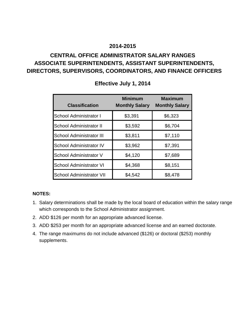# **CENTRAL OFFICE ADMINISTRATOR SALARY RANGES ASSOCIATE SUPERINTENDENTS, ASSISTANT SUPERINTENDENTS, DIRECTORS, SUPERVISORS, COORDINATORS, AND FINANCE OFFICERS**

| <b>Classification</b>           | <b>Minimum</b><br><b>Monthly Salary</b> | <b>Maximum</b><br><b>Monthly Salary</b> |
|---------------------------------|-----------------------------------------|-----------------------------------------|
| School Administrator I          | \$3,391                                 | \$6,323                                 |
| School Administrator II         | \$3,592                                 | \$6,704                                 |
| <b>School Administrator III</b> | \$3,811                                 | \$7,110                                 |
| <b>School Administrator IV</b>  | \$3,962                                 | \$7,391                                 |
| School Administrator V          | \$4,120                                 | \$7,689                                 |
| <b>School Administrator VI</b>  | \$4,368                                 | \$8,151                                 |
| <b>School Administrator VII</b> | \$4,542                                 | \$8,478                                 |

### **Effective July 1, 2014**

### **NOTES:**

- 1. Salary determinations shall be made by the local board of education within the salary range which corresponds to the School Administrator assignment.
- 2. ADD \$126 per month for an appropriate advanced license.
- 3. ADD \$253 per month for an appropriate advanced license and an earned doctorate.
- 4. The range maximums do not include advanced (\$126) or doctoral (\$253) monthly supplements.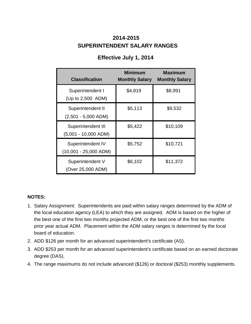# **SUPERINTENDENT SALARY RANGES 2014-2015**

| <b>Classification</b>                        | <b>Minimum</b><br><b>Monthly Salary</b> | <b>Maximum</b><br><b>Monthly Salary</b> |
|----------------------------------------------|-----------------------------------------|-----------------------------------------|
| Superintendent I<br>(Up to 2,500 ADM)        | \$4,819                                 | \$8,991                                 |
| Superintendent II<br>$(2,501 - 5,000$ ADM)   | \$5,113                                 | \$9,532                                 |
| Superintendent III<br>$(5,001 - 10,000$ ADM) | \$5,422                                 | \$10,109                                |
| Superintendent IV<br>$(10,001 - 25,000$ ADM) | \$5,752                                 | \$10,721                                |
| Superintendent V<br>(Over 25,000 ADM)        | \$6,102                                 | \$11,372                                |

# **Effective July 1, 2014**

### **NOTES:**

- 1. Salary Assignment: Superintendents are paid within salary ranges determined by the ADM of the local education agency (LEA) to which they are assigned. ADM is based on the higher of the best one of the first two months projected ADM, or the best one of the first two months prior year actual ADM. Placement within the ADM salary ranges is determined by the local board of education.
- 2. ADD \$126 per month for an advanced superintendent's certificate (AS).
- 3. ADD \$253 per month for an advanced superintendent's certificate based on an earned doctorate degree (DAS).
- 4. The range maximums do not include advanced (\$126) or doctoral (\$253) monthly supplements.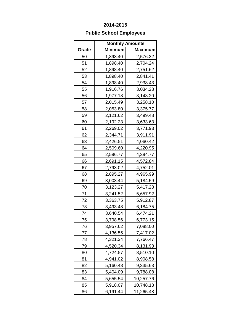# **Public School Employees**

|              |                | <b>Monthly Amounts</b> |  |
|--------------|----------------|------------------------|--|
| <u>Grade</u> | <u>Minimum</u> | <u>Maximum</u>         |  |
| 50           | 1,898.40       | 2,576.32               |  |
| 51           | 1,898.40       | 2,704.24               |  |
| 52           | 1,898.40       | 2,751.62               |  |
| 53           | 1,898.40       | 2,841.41               |  |
| 54           | 1,898.40       | 2,938.43               |  |
| 55           | 1,916.76       | 3,034.28               |  |
| 56           | 1,977.18       | 3,143.20               |  |
| 57           | 2,015.49       | 3,258.10               |  |
| 58           | 2,053.80       | 3,375.77               |  |
| 59           | 2,121.62       | 3,499.48               |  |
| 60           | 2,192.23       | 3,633.63               |  |
| 61           | 2,269.02       | 3,771.93               |  |
| 62           | 2,344.71       | 3,911.91               |  |
| 63           | 2,426.51       | 4,060.42               |  |
| 64           | 2,509.60       | 4,220.95               |  |
| 65           | 2,596.77       | 4,394.77               |  |
| 66           | 2,691.15       | 4,572.84               |  |
| 67           | 2,793.02       | 4,752.01               |  |
| 68           | 2,895.27       | 4,965.99               |  |
| 69           | 3,003.44       | 5,184.59               |  |
| 70           | 3,123.27       | 5,417.28               |  |
| 71           | 3,241.52       | 5,657.92               |  |
| 72           | 3,363.75       | 5,912.87               |  |
| 73           | 3,493.48       | 6,184.75               |  |
| 74           | 3,640.54       | 6,474.21               |  |
| 75           | 3,798.56       | 6,773.15               |  |
| 76           | 3,957.62       | 7,088.00               |  |
| 77           | 4,136.55       | 7,417.02               |  |
| 78           | 4,321.34       | 7,766.47               |  |
| 79           | 4,520.34       | 8,131.93               |  |
| 80           | 4,724.57       | 8,510.10               |  |
| 81           | 4,941.02       | 8,908.58               |  |
| 82           | 5,160.48       | 9,335.63               |  |
| 83           | 5,404.09       | 9,788.08               |  |
| 84           | 5,655.54       | 10,257.76              |  |
| 85           | 5,918.07       | 10,748.13              |  |
| 86           | 6,191.44       | 11,265.48              |  |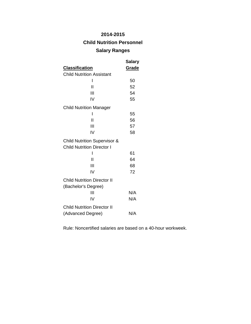## **Child Nutrition Personnel**

### **Salary Ranges**

|                                         | Salary |
|-----------------------------------------|--------|
| <b>Classification</b>                   | Grade  |
| <b>Child Nutrition Assistant</b>        |        |
| ı                                       | 50     |
| Н                                       | 52     |
| Ш                                       | 54     |
| IV                                      | 55     |
| <b>Child Nutrition Manager</b>          |        |
| I                                       | 55     |
| Ш                                       | 56     |
| Ш                                       | 57     |
| IV                                      | 58     |
| <b>Child Nutrition Supervisor &amp;</b> |        |
| <b>Child Nutrition Director I</b>       |        |
| ı                                       | 61     |
| Ш                                       | 64     |
| Ш                                       | 68     |
| IV                                      | 72     |
| <b>Child Nutrition Director II</b>      |        |
| (Bachelor's Degree)                     |        |
| Ш                                       | N/A    |
| IV                                      | N/A    |
| <b>Child Nutrition Director II</b>      |        |
| (Advanced Degree)                       | N/A    |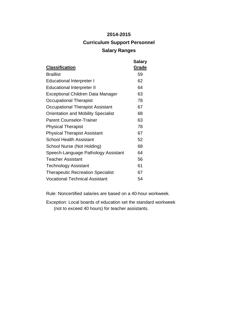# **2014-2015 Curriculum Support Personnel Salary Ranges**

| <b>Classification</b>                      | <b>Salary</b><br>Grade |
|--------------------------------------------|------------------------|
| <b>Braillist</b>                           | 59                     |
| <b>Educational Interpreter I</b>           | 62                     |
| <b>Educational Interpreter II</b>          | 64                     |
| Exceptional Children Data Manager          | 63                     |
| Occupational Therapist                     | 78                     |
| Occupational Therapist Assistant           | 67                     |
| <b>Orientation and Mobility Specialist</b> | 68                     |
| <b>Parent Counselor-Trainer</b>            | 63                     |
| <b>Physical Therapist</b>                  | 78                     |
| <b>Physical Therapist Assistant</b>        | 67                     |
| School Health Assistant                    | 52                     |
| School Nurse (Not Holding)                 | 68                     |
| Speech-Language Pathology Assistant        | 64                     |
| <b>Teacher Assistant</b>                   | 56                     |
| Technology Assistant                       | 61                     |
| <b>Therapeutic Recreation Specialist</b>   | 67                     |
| <b>Vocational Technical Assistant</b>      | 54                     |

Rule: Noncertified salaries are based on a 40-hour workweek.

Exception: Local boards of education set the standard workweek (not to exceed 40 hours) for teacher assistants.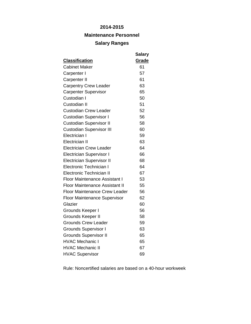### **Maintenance Personnel**

### **Salary Ranges**

| <b>Classification</b>                            | <b>Salary</b><br>Grade |
|--------------------------------------------------|------------------------|
| <b>Cabinet Maker</b>                             | 61                     |
| Carpenter I                                      | 57                     |
| Carpenter II                                     | 61                     |
| <b>Carpentry Crew Leader</b>                     | 63                     |
| <b>Carpenter Supervisor</b>                      | 65                     |
| Custodian I                                      | 50                     |
| Custodian II                                     | 51                     |
| <b>Custodian Crew Leader</b>                     | 52                     |
|                                                  | 56                     |
| <b>Custodian Supervisor I</b>                    | 58                     |
| <b>Custodian Supervisor II</b>                   | 60                     |
| <b>Custodian Supervisor III</b><br>Electrician I | 59                     |
| <b>Electrician II</b>                            |                        |
|                                                  | 63                     |
| <b>Electrician Crew Leader</b>                   | 64                     |
| <b>Electrician Supervisor I</b>                  | 66                     |
| <b>Electrician Supervisor II</b>                 | 68                     |
| <b>Electronic Technician I</b>                   | 64                     |
| <b>Electronic Technician II</b>                  | 67                     |
| <b>Floor Maintenance Assistant I</b>             | 53                     |
| <b>Floor Maintenance Assistant II</b>            | 55                     |
| <b>Floor Maintenance Crew Leader</b>             | 56                     |
| <b>Floor Maintenance Supervisor</b>              | 62                     |
| Glazier                                          | 60                     |
| Grounds Keeper I                                 | 56                     |
| Grounds Keeper II                                | 58                     |
| <b>Grounds Crew Leader</b>                       | 59                     |
| <b>Grounds Supervisor I</b>                      | 63                     |
| <b>Grounds Supervisor II</b>                     | 65                     |
| <b>HVAC Mechanic I</b>                           | 65                     |
| <b>HVAC Mechanic II</b>                          | 67                     |
| <b>HVAC Supervisor</b>                           | 69                     |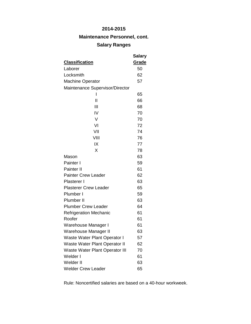# **Maintenance Personnel, cont.**

# **Salary Ranges**

|                                       | Salary |
|---------------------------------------|--------|
| <u>Classification</u>                 | Grade  |
| Laborer                               | 50     |
| Locksmith                             | 62     |
| <b>Machine Operator</b>               | 57     |
| Maintenance Supervisor/Director       |        |
| ı                                     | 65     |
| $\mathsf{I}$                          | 66     |
| Ш                                     | 68     |
| IV                                    | 70     |
| V                                     | 70     |
| VI                                    | 72     |
| VII                                   | 74     |
| VIII                                  | 76     |
| IX                                    | 77     |
| X                                     | 78     |
| Mason                                 | 63     |
| Painter I                             | 59     |
| Painter II                            | 61     |
| <b>Painter Crew Leader</b>            | 62     |
| Plasterer I                           | 63     |
| <b>Plasterer Crew Leader</b>          | 65     |
| Plumber I                             | 59     |
| Plumber II                            | 63     |
| <b>Plumber Crew Leader</b>            | 64     |
| <b>Refrigeration Mechanic</b>         | 61     |
| Roofer                                | 61     |
| Warehouse Manager I                   | 61     |
| Warehouse Manager II                  | 63     |
| Waste Water Plant Operator I          | 57     |
| Waste Water Plant Operator II         | 62     |
| <b>Waste Water Plant Operator III</b> | 70     |
| Welder I                              | 61     |
| Welder II                             | 63     |
| <b>Welder Crew Leader</b>             | 65     |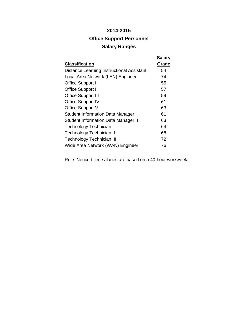# **2014-2015 Office Support Personnel Salary Ranges**

| <b>Classification</b>                            | <b>Salary</b><br>Grade |
|--------------------------------------------------|------------------------|
|                                                  |                        |
| <b>Distance Learning Instructional Assistant</b> | 54                     |
| Local Area Network (LAN) Engineer                | 74                     |
| Office Support I                                 | 55                     |
| <b>Office Support II</b>                         | 57                     |
| <b>Office Support III</b>                        | 59                     |
| <b>Office Support IV</b>                         | 61                     |
| Office Support V                                 | 63                     |
| <b>Student Information Data Manager I</b>        | 61                     |
| <b>Student Information Data Manager II</b>       | 63                     |
| Technology Technician I                          | 64                     |
| Technology Technician II                         | 68                     |
| <b>Technology Technician III</b>                 | 72                     |
| Wide Area Network (WAN) Engineer                 | 76                     |